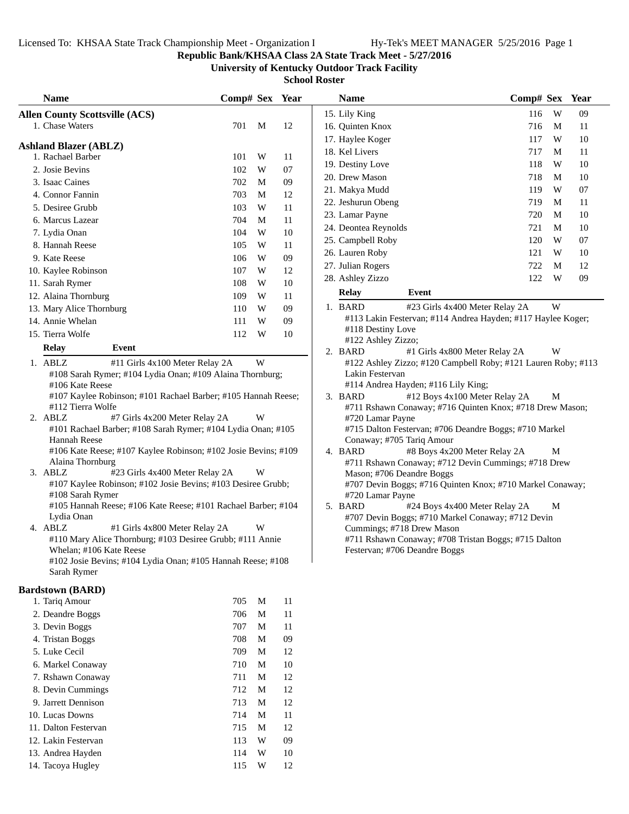### **Republic Bank/KHSAA Class 2A State Track Meet - 5/27/2016**

**University of Kentucky Outdoor Track Facility**

|    | <b>Name</b>                                                                                                                                                                                                    | ∪отр# эех |   | rear |
|----|----------------------------------------------------------------------------------------------------------------------------------------------------------------------------------------------------------------|-----------|---|------|
|    | <b>Allen County Scottsville (ACS)</b><br>1. Chase Waters                                                                                                                                                       | 701       | М | 12   |
|    |                                                                                                                                                                                                                |           |   |      |
|    | <b>Ashland Blazer (ABLZ)</b><br>1. Rachael Barber                                                                                                                                                              | 101       | W | 11   |
|    | 2. Josie Bevins                                                                                                                                                                                                | 102       | W | 07   |
|    | 3. Isaac Caines                                                                                                                                                                                                | 702       | M | 09   |
|    | 4. Connor Fannin                                                                                                                                                                                               | 703       | М | 12   |
|    | 5. Desiree Grubb                                                                                                                                                                                               | 103       | W | 11   |
|    | 6. Marcus Lazear                                                                                                                                                                                               | 704       | M | 11   |
|    | 7. Lydia Onan                                                                                                                                                                                                  | 104       | W | 10   |
|    | 8. Hannah Reese                                                                                                                                                                                                | 105       | W | 11   |
|    | 9. Kate Reese                                                                                                                                                                                                  | 106       | W | 09   |
|    | 10. Kaylee Robinson                                                                                                                                                                                            | 107       | W | 12   |
|    | 11. Sarah Rymer                                                                                                                                                                                                | 108       | W | 10   |
|    | 12. Alaina Thornburg                                                                                                                                                                                           | 109       | W | 11   |
|    | 13. Mary Alice Thornburg                                                                                                                                                                                       | 110       | W | 09   |
|    | 14. Annie Whelan                                                                                                                                                                                               | 111       | W | 09   |
|    | 15. Tierra Wolfe                                                                                                                                                                                               | 112       | W | 10   |
|    | Event                                                                                                                                                                                                          |           |   |      |
|    | Relay<br>1. ABLZ<br>#11 Girls 4x100 Meter Relay 2A                                                                                                                                                             |           | W |      |
|    | #108 Sarah Rymer; #104 Lydia Onan; #109 Alaina Thornburg;<br>#106 Kate Reese<br>#107 Kaylee Robinson; #101 Rachael Barber; #105 Hannah Reese;<br>#112 Tierra Wolfe                                             |           |   |      |
|    | 2. ABLZ<br>#7 Girls 4x200 Meter Relay 2A<br>#101 Rachael Barber; #108 Sarah Rymer; #104 Lydia Onan; #105<br>Hannah Reese<br>#106 Kate Reese; #107 Kaylee Robinson; #102 Josie Bevins; #109<br>Alaina Thornburg |           | W |      |
| 3. | ABLZ<br>#23 Girls 4x400 Meter Relay 2A<br>#107 Kaylee Robinson; #102 Josie Bevins; #103 Desiree Grubb;<br>#108 Sarah Rymer<br>#105 Hannah Reese; #106 Kate Reese; #101 Rachael Barber; #104<br>Lydia Onan      |           | W |      |
|    | 4. ABLZ<br>#1 Girls 4x800 Meter Relay 2A<br>#110 Mary Alice Thornburg; #103 Desiree Grubb; #111 Annie<br>Whelan; #106 Kate Reese<br>#102 Josie Bevins; #104 Lydia Onan; #105 Hannah Reese; #108<br>Sarah Rymer |           | W |      |
|    | <b>Bardstown (BARD)</b>                                                                                                                                                                                        |           |   |      |
|    | 1. Tariq Amour                                                                                                                                                                                                 | 705       | M | 11   |
|    | 2. Deandre Boggs                                                                                                                                                                                               | 706       | M | 11   |
|    | 3. Devin Boggs                                                                                                                                                                                                 | 707       | M | 11   |
|    | 4. Tristan Boggs                                                                                                                                                                                               | 708       | M | 09   |
|    | 5. Luke Cecil                                                                                                                                                                                                  | 709       | M | 12   |
|    | 6. Markel Conaway                                                                                                                                                                                              | 710       | M | 10   |
|    | 7. Rshawn Conaway                                                                                                                                                                                              | 711       | M | 12   |
|    | 8. Devin Cummings                                                                                                                                                                                              | 712       | M | 12   |
|    | 9. Jarrett Dennison                                                                                                                                                                                            | 713       | M | 12   |
|    | 10. Lucas Downs                                                                                                                                                                                                | 714       | M | 11   |
|    | 11. Dalton Festervan                                                                                                                                                                                           | 715       | M | 12   |
|    | 12. Lakin Festervan                                                                                                                                                                                            | 113       | W | 09   |
|    | 13. Andrea Hayden                                                                                                                                                                                              | 114       | W | 10   |
|    | 14. Tacoya Hugley                                                                                                                                                                                              | 115       | W | 12   |
|    |                                                                                                                                                                                                                |           |   |      |

|     |                                                                                                                                                                                                                        |                                                               | <b>Name</b>                                                                                                                                                                                                                                                                                                                                                                                                                                                                                                                                                      |                                                                          |                                                                                                                                                                   |                                                                                                                                                                                                                                                                                                                                                                                                                                                                                                                                              |
|-----|------------------------------------------------------------------------------------------------------------------------------------------------------------------------------------------------------------------------|---------------------------------------------------------------|------------------------------------------------------------------------------------------------------------------------------------------------------------------------------------------------------------------------------------------------------------------------------------------------------------------------------------------------------------------------------------------------------------------------------------------------------------------------------------------------------------------------------------------------------------------|--------------------------------------------------------------------------|-------------------------------------------------------------------------------------------------------------------------------------------------------------------|----------------------------------------------------------------------------------------------------------------------------------------------------------------------------------------------------------------------------------------------------------------------------------------------------------------------------------------------------------------------------------------------------------------------------------------------------------------------------------------------------------------------------------------------|
|     |                                                                                                                                                                                                                        |                                                               | 15. Lily King                                                                                                                                                                                                                                                                                                                                                                                                                                                                                                                                                    | 116                                                                      | W                                                                                                                                                                 | 09                                                                                                                                                                                                                                                                                                                                                                                                                                                                                                                                           |
| 701 | M                                                                                                                                                                                                                      | 12                                                            | 16. Quinten Knox                                                                                                                                                                                                                                                                                                                                                                                                                                                                                                                                                 | 716                                                                      | M                                                                                                                                                                 | 11                                                                                                                                                                                                                                                                                                                                                                                                                                                                                                                                           |
|     |                                                                                                                                                                                                                        |                                                               | 17. Haylee Koger                                                                                                                                                                                                                                                                                                                                                                                                                                                                                                                                                 | 117                                                                      | W                                                                                                                                                                 | 10                                                                                                                                                                                                                                                                                                                                                                                                                                                                                                                                           |
|     |                                                                                                                                                                                                                        |                                                               | 18. Kel Livers                                                                                                                                                                                                                                                                                                                                                                                                                                                                                                                                                   | 717                                                                      | M                                                                                                                                                                 | 11                                                                                                                                                                                                                                                                                                                                                                                                                                                                                                                                           |
|     |                                                                                                                                                                                                                        |                                                               | 19. Destiny Love                                                                                                                                                                                                                                                                                                                                                                                                                                                                                                                                                 | 118                                                                      | W                                                                                                                                                                 | 10                                                                                                                                                                                                                                                                                                                                                                                                                                                                                                                                           |
|     |                                                                                                                                                                                                                        |                                                               | 20. Drew Mason                                                                                                                                                                                                                                                                                                                                                                                                                                                                                                                                                   | 718                                                                      | M                                                                                                                                                                 | 10                                                                                                                                                                                                                                                                                                                                                                                                                                                                                                                                           |
|     |                                                                                                                                                                                                                        |                                                               | 21. Makya Mudd                                                                                                                                                                                                                                                                                                                                                                                                                                                                                                                                                   | 119                                                                      | W                                                                                                                                                                 | 07                                                                                                                                                                                                                                                                                                                                                                                                                                                                                                                                           |
|     |                                                                                                                                                                                                                        |                                                               |                                                                                                                                                                                                                                                                                                                                                                                                                                                                                                                                                                  | 719                                                                      | M                                                                                                                                                                 | 11                                                                                                                                                                                                                                                                                                                                                                                                                                                                                                                                           |
|     |                                                                                                                                                                                                                        |                                                               | 23. Lamar Payne                                                                                                                                                                                                                                                                                                                                                                                                                                                                                                                                                  | 720                                                                      | M                                                                                                                                                                 | 10                                                                                                                                                                                                                                                                                                                                                                                                                                                                                                                                           |
|     |                                                                                                                                                                                                                        |                                                               | 24. Deontea Reynolds                                                                                                                                                                                                                                                                                                                                                                                                                                                                                                                                             | 721                                                                      | M                                                                                                                                                                 | 10                                                                                                                                                                                                                                                                                                                                                                                                                                                                                                                                           |
|     |                                                                                                                                                                                                                        |                                                               | 25. Campbell Roby                                                                                                                                                                                                                                                                                                                                                                                                                                                                                                                                                | 120                                                                      | W                                                                                                                                                                 | 07                                                                                                                                                                                                                                                                                                                                                                                                                                                                                                                                           |
|     |                                                                                                                                                                                                                        |                                                               | 26. Lauren Roby                                                                                                                                                                                                                                                                                                                                                                                                                                                                                                                                                  | 121                                                                      | W                                                                                                                                                                 | 10                                                                                                                                                                                                                                                                                                                                                                                                                                                                                                                                           |
|     |                                                                                                                                                                                                                        |                                                               | 27. Julian Rogers                                                                                                                                                                                                                                                                                                                                                                                                                                                                                                                                                | 722                                                                      | M                                                                                                                                                                 | 12                                                                                                                                                                                                                                                                                                                                                                                                                                                                                                                                           |
|     |                                                                                                                                                                                                                        |                                                               | 28. Ashley Zizzo                                                                                                                                                                                                                                                                                                                                                                                                                                                                                                                                                 | 122                                                                      | W                                                                                                                                                                 | 09                                                                                                                                                                                                                                                                                                                                                                                                                                                                                                                                           |
|     |                                                                                                                                                                                                                        |                                                               | <b>Relay</b><br>Event                                                                                                                                                                                                                                                                                                                                                                                                                                                                                                                                            |                                                                          |                                                                                                                                                                   |                                                                                                                                                                                                                                                                                                                                                                                                                                                                                                                                              |
| 110 | W                                                                                                                                                                                                                      |                                                               | 1. BARD                                                                                                                                                                                                                                                                                                                                                                                                                                                                                                                                                          |                                                                          | W                                                                                                                                                                 |                                                                                                                                                                                                                                                                                                                                                                                                                                                                                                                                              |
| 111 |                                                                                                                                                                                                                        |                                                               |                                                                                                                                                                                                                                                                                                                                                                                                                                                                                                                                                                  |                                                                          |                                                                                                                                                                   |                                                                                                                                                                                                                                                                                                                                                                                                                                                                                                                                              |
| 112 | W                                                                                                                                                                                                                      | 10                                                            |                                                                                                                                                                                                                                                                                                                                                                                                                                                                                                                                                                  |                                                                          |                                                                                                                                                                   |                                                                                                                                                                                                                                                                                                                                                                                                                                                                                                                                              |
|     |                                                                                                                                                                                                                        |                                                               |                                                                                                                                                                                                                                                                                                                                                                                                                                                                                                                                                                  |                                                                          |                                                                                                                                                                   |                                                                                                                                                                                                                                                                                                                                                                                                                                                                                                                                              |
|     | W<br>W<br>W<br>W                                                                                                                                                                                                       |                                                               | Lakin Festervan<br>#114 Andrea Hayden; #116 Lily King;<br>3. BARD<br>#720 Lamar Payne<br>Conaway; #705 Tariq Amour<br>4. BARD<br>Mason; #706 Deandre Boggs<br>#720 Lamar Payne<br>5. BARD<br>Cummings; #718 Drew Mason                                                                                                                                                                                                                                                                                                                                           |                                                                          | M<br>M<br>M                                                                                                                                                       |                                                                                                                                                                                                                                                                                                                                                                                                                                                                                                                                              |
|     | 101<br>102<br>702<br>703<br>103<br>704<br>104<br>105<br>106<br>107<br>108<br>109<br>#11 Girls 4x100 Meter Relay 2A<br>#7 Girls 4x200 Meter Relay 2A<br>#23 Girls 4x400 Meter Relay 2A<br>#1 Girls 4x800 Meter Relay 2A | W<br>W<br>M<br>M<br>W<br>M<br>W<br>W<br>W<br>W<br>W<br>W<br>W | Comp# Sex Year<br>11<br>07<br>09<br>12<br>11<br>11<br>10<br>11<br>09<br>12<br>10<br>11<br>09<br>09<br>#108 Sarah Rymer; #104 Lydia Onan; #109 Alaina Thornburg;<br>#107 Kaylee Robinson; #101 Rachael Barber; #105 Hannah Reese;<br>#101 Rachael Barber; #108 Sarah Rymer; #104 Lydia Onan; #105<br>#106 Kate Reese; #107 Kaylee Robinson; #102 Josie Bevins; #109<br>#107 Kaylee Robinson; #102 Josie Bevins; #103 Desiree Grubb;<br>#105 Hannah Reese; #106 Kate Reese; #101 Rachael Barber; #104<br>#110 Mary Alice Thornburg; #103 Desiree Grubb; #111 Annie | 22. Jeshurun Obeng<br>#118 Destiny Love<br>#122 Ashley Zizzo;<br>2. BARD | #23 Girls 4x400 Meter Relay 2A<br>#1 Girls 4x800 Meter Relay 2A<br>#12 Boys 4x100 Meter Relay 2A<br>#8 Boys 4x200 Meter Relay 2A<br>#24 Boys 4x400 Meter Relay 2A | Comp# Sex Year<br>#113 Lakin Festervan; #114 Andrea Hayden; #117 Haylee Koger;<br>W<br>#122 Ashley Zizzo; #120 Campbell Roby; #121 Lauren Roby; #113<br>#711 Rshawn Conaway; #716 Quinten Knox; #718 Drew Mason;<br>#715 Dalton Festervan; #706 Deandre Boggs; #710 Markel<br>#711 Rshawn Conaway; #712 Devin Cummings; #718 Drew<br>#707 Devin Boggs; #716 Quinten Knox; #710 Markel Conaway;<br>#707 Devin Boggs; #710 Markel Conaway; #712 Devin<br>#711 Rshawn Conaway; #708 Tristan Boggs; #715 Dalton<br>Festervan; #706 Deandre Boggs |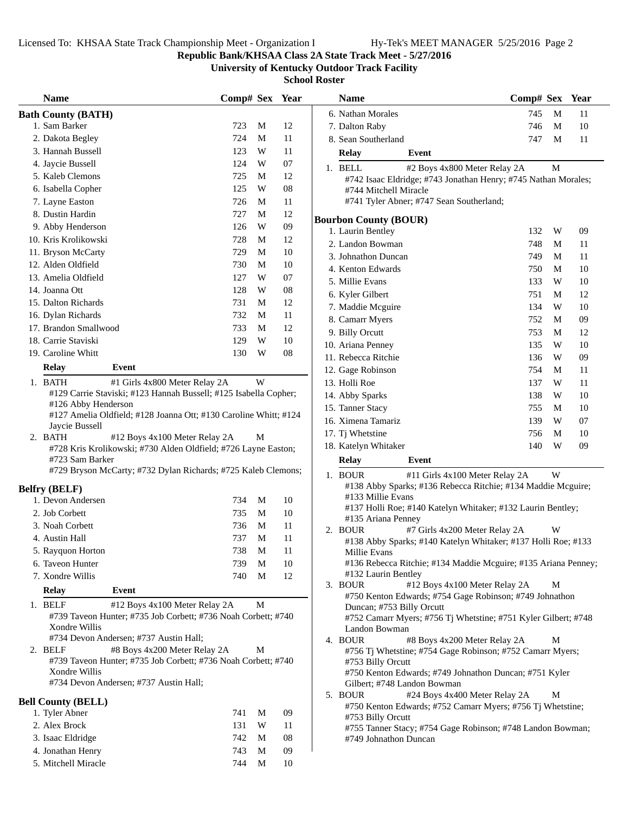**Republic Bank/KHSAA Class 2A State Track Meet - 5/27/2016**

**University of Kentucky Outdoor Track Facility**

| <b>Name</b>                                                                                              | Comp# Sex Year |                         |            | <b>Name</b>                                                                                               | Comp# Sex Year |   |        |
|----------------------------------------------------------------------------------------------------------|----------------|-------------------------|------------|-----------------------------------------------------------------------------------------------------------|----------------|---|--------|
| <b>Bath County (BATH)</b>                                                                                |                |                         |            | 6. Nathan Morales                                                                                         | 745            | M | 11     |
| 1. Sam Barker                                                                                            | 723            | M                       | 12         | 7. Dalton Raby                                                                                            | 746            | M | 10     |
| 2. Dakota Begley                                                                                         | 724            | $\mathbf M$             | $11\,$     | 8. Sean Southerland                                                                                       | 747            | M | 11     |
| 3. Hannah Bussell                                                                                        | 123            | $\ensuremath{\text{W}}$ | 11         | <b>Relay</b><br>Event                                                                                     |                |   |        |
| 4. Jaycie Bussell                                                                                        | 124            | W                       | 07         |                                                                                                           |                | M |        |
| 5. Kaleb Clemons                                                                                         | 725            | M                       | 12         | 1. BELL<br>#2 Boys 4x800 Meter Relay 2A<br>#742 Isaac Eldridge; #743 Jonathan Henry; #745 Nathan Morales; |                |   |        |
| 6. Isabella Copher                                                                                       | 125            | W                       | ${\bf 08}$ | #744 Mitchell Miracle                                                                                     |                |   |        |
| 7. Layne Easton                                                                                          | 726            | M                       | 11         | #741 Tyler Abner; #747 Sean Southerland;                                                                  |                |   |        |
| 8. Dustin Hardin                                                                                         | 727            | M                       | 12         |                                                                                                           |                |   |        |
| 9. Abby Henderson                                                                                        | 126            | W                       | 09         | <b>Bourbon County (BOUR)</b>                                                                              |                |   |        |
| 10. Kris Krolikowski                                                                                     | 728            | M                       | 12         | 1. Laurin Bentley                                                                                         | 132            | W | 09     |
| 11. Bryson McCarty                                                                                       | 729            | M                       | 10         | 2. Landon Bowman                                                                                          | 748            | M | 11     |
| 12. Alden Oldfield                                                                                       | 730            | M                       | 10         | 3. Johnathon Duncan                                                                                       | 749            | M | 11     |
| 13. Amelia Oldfield                                                                                      | 127            | W                       | $07\,$     | 4. Kenton Edwards                                                                                         | 750            | M | 10     |
| 14. Joanna Ott                                                                                           | 128            | W                       | 08         | 5. Millie Evans                                                                                           | 133            | W | $10\,$ |
| 15. Dalton Richards                                                                                      | 731            | M                       | 12         | 6. Kyler Gilbert                                                                                          | 751            | M | 12     |
| 16. Dylan Richards                                                                                       | 732            | M                       | 11         | 7. Maddie Mcguire                                                                                         | 134            | W | 10     |
|                                                                                                          | 733            | M                       | 12         | 8. Camarr Myers                                                                                           | 752            | M | 09     |
| 17. Brandon Smallwood                                                                                    |                |                         |            | 9. Billy Orcutt                                                                                           | 753            | M | 12     |
| 18. Carrie Staviski                                                                                      | 129            | W                       | 10         | 10. Ariana Penney                                                                                         | 135            | W | $10\,$ |
| 19. Caroline Whitt                                                                                       | 130            | W                       | 08         | 11. Rebecca Ritchie                                                                                       | 136            | W | 09     |
| <b>Relay</b><br>Event                                                                                    |                |                         |            | 12. Gage Robinson                                                                                         | 754            | M | 11     |
| 1. BATH<br>#1 Girls 4x800 Meter Relay 2A                                                                 |                | W                       |            | 13. Holli Roe                                                                                             | 137            | W | 11     |
| #129 Carrie Staviski; #123 Hannah Bussell; #125 Isabella Copher;                                         |                |                         |            | 14. Abby Sparks                                                                                           | 138            | W | 10     |
| #126 Abby Henderson                                                                                      |                |                         |            | 15. Tanner Stacy                                                                                          | 755            | M | 10     |
| #127 Amelia Oldfield; #128 Joanna Ott; #130 Caroline Whitt; #124                                         |                |                         |            | 16. Ximena Tamariz                                                                                        | 139            | W | 07     |
| Jaycie Bussell<br>2. BATH<br>#12 Boys 4x100 Meter Relay 2A                                               |                | M                       |            | 17. Tj Whetstine                                                                                          | 756            | M | 10     |
| #728 Kris Krolikowski; #730 Alden Oldfield; #726 Layne Easton;                                           |                |                         |            | 18. Katelyn Whitaker                                                                                      | 140            | W | 09     |
| #723 Sam Barker                                                                                          |                |                         |            | <b>Relay</b><br>Event                                                                                     |                |   |        |
| #729 Bryson McCarty; #732 Dylan Richards; #725 Kaleb Clemons;                                            |                |                         |            | 1. BOUR<br>#11 Girls 4x100 Meter Relay 2A                                                                 |                | W |        |
|                                                                                                          |                |                         |            | #138 Abby Sparks; #136 Rebecca Ritchie; #134 Maddie Mcguire;                                              |                |   |        |
| <b>Belfry (BELF)</b><br>1. Devon Andersen                                                                | 734            | M                       | 10         | #133 Millie Evans                                                                                         |                |   |        |
| 2. Job Corbett                                                                                           | 735            | M                       | 10         | #137 Holli Roe; #140 Katelyn Whitaker; #132 Laurin Bentley;                                               |                |   |        |
| 3. Noah Corbett                                                                                          | 736            | M                       | 11         | #135 Ariana Penney                                                                                        |                |   |        |
|                                                                                                          | 737            | M                       | 11         | 2. BOUR<br>#7 Girls 4x200 Meter Relay 2A                                                                  |                | W |        |
| 4. Austin Hall                                                                                           |                |                         |            | #138 Abby Sparks; #140 Katelyn Whitaker; #137 Holli Roe; #133                                             |                |   |        |
| 5. Rayquon Horton                                                                                        | 738            | M                       | 11         | Millie Evans                                                                                              |                |   |        |
| 6. Taveon Hunter                                                                                         | 739            | M                       | 10         | #136 Rebecca Ritchie; #134 Maddie Mcguire; #135 Ariana Penne<br>#132 Laurin Bentley                       |                |   |        |
| 7. Xondre Willis                                                                                         | 740            | M                       | 12         | 3. BOUR<br>#12 Boys 4x100 Meter Relay 2A                                                                  |                | М |        |
| <b>Relay</b><br>Event                                                                                    |                |                         |            | #750 Kenton Edwards; #754 Gage Robinson; #749 Johnathon                                                   |                |   |        |
| 1. BELF<br>#12 Boys 4x100 Meter Relay 2A                                                                 |                | M                       |            | Duncan; #753 Billy Orcutt                                                                                 |                |   |        |
| #739 Taveon Hunter; #735 Job Corbett; #736 Noah Corbett; #740                                            |                |                         |            | #752 Camarr Myers; #756 Tj Whetstine; #751 Kyler Gilbert; #748                                            |                |   |        |
| Xondre Willis                                                                                            |                |                         |            | Landon Bowman                                                                                             |                |   |        |
| #734 Devon Andersen; #737 Austin Hall;                                                                   |                |                         |            | #8 Boys 4x200 Meter Relay 2A<br>4. BOUR                                                                   |                | M |        |
| 2. BELF<br>#8 Boys 4x200 Meter Relay 2A<br>#739 Taveon Hunter; #735 Job Corbett; #736 Noah Corbett; #740 |                | M                       |            | #756 Tj Whetstine; #754 Gage Robinson; #752 Camarr Myers;                                                 |                |   |        |
| Xondre Willis                                                                                            |                |                         |            | #753 Billy Orcutt<br>#750 Kenton Edwards; #749 Johnathon Duncan; #751 Kyler                               |                |   |        |
| #734 Devon Andersen; #737 Austin Hall;                                                                   |                |                         |            | Gilbert; #748 Landon Bowman                                                                               |                |   |        |
|                                                                                                          |                |                         |            | 5. BOUR<br>#24 Boys 4x400 Meter Relay 2A                                                                  |                | M |        |
| <b>Bell County (BELL)</b>                                                                                |                |                         |            | #750 Kenton Edwards; #752 Camarr Myers; #756 Tj Whetstine;                                                |                |   |        |
| 1. Tyler Abner                                                                                           | 741            | M                       | 09         | #753 Billy Orcutt                                                                                         |                |   |        |
| 2. Alex Brock                                                                                            | 131            | W                       | 11         | #755 Tanner Stacy; #754 Gage Robinson; #748 Landon Bowman;                                                |                |   |        |
| 3. Isaac Eldridge                                                                                        | 742            | M                       | 08         | #749 Johnathon Duncan                                                                                     |                |   |        |
| 4. Jonathan Henry                                                                                        | 743            | M                       | 09         |                                                                                                           |                |   |        |
| 5. Mitchell Miracle                                                                                      | 744            | M                       | 10         |                                                                                                           |                |   |        |

|    | Name                                                                              | Comp# Sex |   | Year |
|----|-----------------------------------------------------------------------------------|-----------|---|------|
|    | 6. Nathan Morales                                                                 | 745       | М | 11   |
|    | 7. Dalton Raby                                                                    | 746       | М | 10   |
|    | 8. Sean Southerland                                                               | 747       | М | 11   |
|    | Event<br><b>Relav</b>                                                             |           |   |      |
|    | 1. BELL<br>#2 Boys 4x800 Meter Relay 2A                                           |           | М |      |
|    | #742 Isaac Eldridge; #743 Jonathan Henry; #745 Nathan Morales;                    |           |   |      |
|    | #744 Mitchell Miracle                                                             |           |   |      |
|    | #741 Tyler Abner; #747 Sean Southerland;                                          |           |   |      |
|    | <b>Purbon County (BOUR)</b>                                                       |           |   |      |
|    | 1. Laurin Bentley                                                                 | 132       | W | 09   |
|    | 2. Landon Bowman                                                                  | 748       | М | 11   |
|    | 3. Johnathon Duncan                                                               | 749       | М | 11   |
|    | 4. Kenton Edwards                                                                 | 750       | М | 10   |
|    | 5. Millie Evans                                                                   | 133       | W | 10   |
|    | 6. Kyler Gilbert                                                                  | 751       | М | 12   |
|    | 7. Maddie Mcguire                                                                 | 134       | W | 10   |
|    | 8. Camarr Myers                                                                   | 752       |   | 09   |
|    |                                                                                   |           | М |      |
|    | 9. Billy Orcutt                                                                   | 753       | М | 12   |
|    | 10. Ariana Penney                                                                 | 135       | W | 10   |
|    | 11. Rebecca Ritchie                                                               | 136       | W | 09   |
|    | 12. Gage Robinson                                                                 | 754       | М | 11   |
|    | 13. Holli Roe                                                                     | 137       | W | 11   |
|    | 14. Abby Sparks                                                                   | 138       | W | 10   |
|    | 15. Tanner Stacy                                                                  | 755       | М | 10   |
|    | 16. Ximena Tamariz                                                                | 139       | W | 07   |
|    | 17. Tj Whetstine                                                                  | 756       | М | 10   |
|    | 18. Katelyn Whitaker                                                              | 140       | W | 09   |
|    | <b>Relay</b><br>Event                                                             |           |   |      |
|    | 1. BOUR<br>#11 Girls 4x100 Meter Relay 2A                                         |           | W |      |
|    | #138 Abby Sparks; #136 Rebecca Ritchie; #134 Maddie Mcguire;                      |           |   |      |
|    | #133 Millie Evans                                                                 |           |   |      |
|    | #137 Holli Roe; #140 Katelyn Whitaker; #132 Laurin Bentley;<br>#135 Ariana Penney |           |   |      |
| 2. | <b>BOUR</b><br>#7 Girls 4x200 Meter Relay 2A                                      |           | W |      |
|    | #138 Abby Sparks; #140 Katelyn Whitaker; #137 Holli Roe; #133                     |           |   |      |
|    | Millie Evans                                                                      |           |   |      |
|    | #136 Rebecca Ritchie; #134 Maddie Mcguire; #135 Ariana Penney;                    |           |   |      |
|    | #132 Laurin Bentley                                                               |           |   |      |
|    | 3. BOUR<br>#12 Boys 4x100 Meter Relay 2A                                          |           | М |      |
|    | #750 Kenton Edwards; #754 Gage Robinson; #749 Johnathon                           |           |   |      |
|    | Duncan; #753 Billy Orcutt                                                         |           |   |      |
|    | #752 Camarr Myers; #756 Tj Whetstine; #751 Kyler Gilbert; #748<br>Landon Bowman   |           |   |      |
|    | 4. BOUR<br>#8 Boys 4x200 Meter Relay 2A                                           |           | М |      |
|    | #756 Tj Whetstine; #754 Gage Robinson; #752 Camarr Myers;                         |           |   |      |
|    | #753 Billy Orcutt                                                                 |           |   |      |
|    | #750 Kenton Edwards; #749 Johnathon Duncan; #751 Kyler                            |           |   |      |
|    | Gilbert; #748 Landon Bowman                                                       |           |   |      |
|    | #24 Boys 4x400 Meter Relay 2A<br>5. BOUR                                          |           | М |      |
|    | #750 Kenton Edwards; #752 Camarr Myers; #756 Tj Whetstine;                        |           |   |      |
|    | #753 Billy Orcutt                                                                 |           |   |      |
|    | #755 Tanner Stacy; #754 Gage Robinson; #748 Landon Bowman;                        |           |   |      |
|    | #749 Johnathon Duncan                                                             |           |   |      |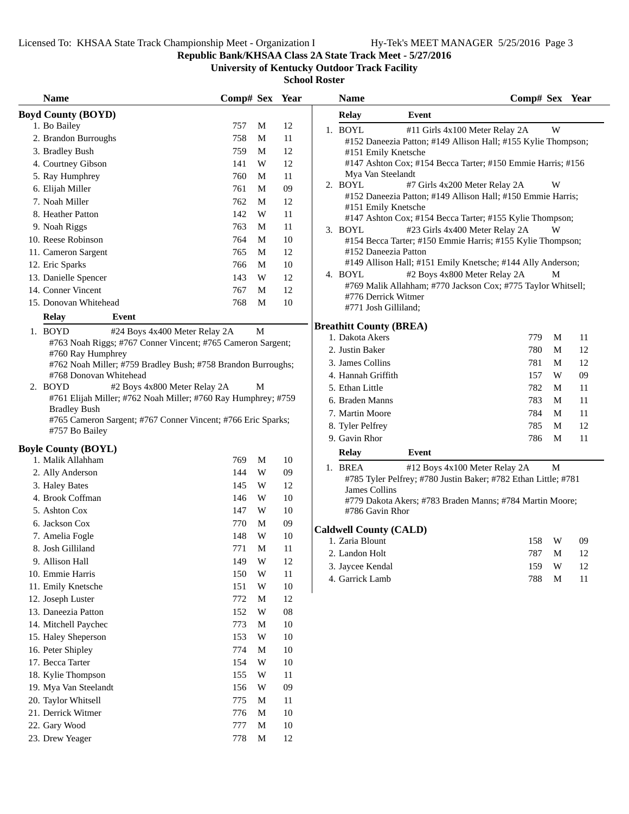### **Republic Bank/KHSAA Class 2A State Track Meet - 5/27/2016**

**University of Kentucky Outdoor Track Facility**

| <b>Name</b>                                                                    | Comp# Sex Year |                         |            | <b>Name</b>                    | Comp# Sex Year                                                 |             |    |
|--------------------------------------------------------------------------------|----------------|-------------------------|------------|--------------------------------|----------------------------------------------------------------|-------------|----|
| <b>Boyd County (BOYD)</b>                                                      |                |                         |            | <b>Relay</b>                   | Event                                                          |             |    |
| 1. Bo Bailey                                                                   | 757            | M                       | 12         | 1. BOYL                        | #11 Girls 4x100 Meter Relay 2A                                 | W           |    |
| 2. Brandon Burroughs                                                           | 758            | M                       | 11         |                                | #152 Daneezia Patton; #149 Allison Hall; #155 Kylie Thompson;  |             |    |
| 3. Bradley Bush                                                                | 759            | M                       | 12         | #151 Emily Knetsche            |                                                                |             |    |
| 4. Courtney Gibson                                                             | 141            | W                       | 12         |                                | #147 Ashton Cox; #154 Becca Tarter; #150 Emmie Harris; #156    |             |    |
| 5. Ray Humphrey                                                                | 760            | M                       | 11         | Mya Van Steelandt              |                                                                |             |    |
| 6. Elijah Miller                                                               | 761            | M                       | $09\,$     | 2. BOYL                        | #7 Girls 4x200 Meter Relay 2A                                  | W           |    |
| 7. Noah Miller                                                                 | 762            | M                       | 12         |                                | #152 Daneezia Patton; #149 Allison Hall; #150 Emmie Harris;    |             |    |
| 8. Heather Patton                                                              | 142            | W                       | 11         | #151 Emily Knetsche            | #147 Ashton Cox; #154 Becca Tarter; #155 Kylie Thompson;       |             |    |
| 9. Noah Riggs                                                                  | 763            | M                       | 11         | 3. BOYL                        | #23 Girls 4x400 Meter Relay 2A                                 | W           |    |
| 10. Reese Robinson                                                             | 764            | M                       | 10         |                                | #154 Becca Tarter; #150 Emmie Harris; #155 Kylie Thompson;     |             |    |
| 11. Cameron Sargent                                                            | 765            | M                       | 12         | #152 Daneezia Patton           |                                                                |             |    |
| 12. Eric Sparks                                                                | 766            | M                       | 10         |                                | #149 Allison Hall; #151 Emily Knetsche; #144 Ally Anderson;    |             |    |
| 13. Danielle Spencer                                                           | 143            | W                       | 12         | 4. BOYL                        | #2 Boys 4x800 Meter Relay 2A                                   | M           |    |
| 14. Conner Vincent                                                             | 767            | M                       | 12         |                                | #769 Malik Allahham; #770 Jackson Cox; #775 Taylor Whitsell;   |             |    |
| 15. Donovan Whitehead                                                          | 768            | M                       | $10\,$     | #776 Derrick Witmer            |                                                                |             |    |
| <b>Relay</b><br><b>Event</b>                                                   |                |                         |            | #771 Josh Gilliland;           |                                                                |             |    |
| 1. BOYD<br>#24 Boys 4x400 Meter Relay 2A                                       |                | $\mathbf M$             |            | <b>Breathitt County (BREA)</b> |                                                                |             |    |
| #763 Noah Riggs; #767 Conner Vincent; #765 Cameron Sargent;                    |                |                         |            | 1. Dakota Akers                | 779                                                            | M           | 11 |
| #760 Ray Humphrey                                                              |                |                         |            | 2. Justin Baker                | 780                                                            | M           | 12 |
| #762 Noah Miller; #759 Bradley Bush; #758 Brandon Burroughs;                   |                |                         |            | 3. James Collins               | 781                                                            | M           | 12 |
| #768 Donovan Whitehead                                                         |                |                         |            | 4. Hannah Griffith             | 157                                                            | W           | 09 |
| 2. BOYD<br>#2 Boys 4x800 Meter Relay 2A                                        |                | M                       |            | 5. Ethan Little                | 782                                                            | M           | 11 |
| #761 Elijah Miller; #762 Noah Miller; #760 Ray Humphrey; #759                  |                |                         |            | 6. Braden Manns                | 783                                                            | M           | 11 |
| <b>Bradley Bush</b>                                                            |                |                         |            | 7. Martin Moore                | 784                                                            | M           | 11 |
| #765 Cameron Sargent; #767 Conner Vincent; #766 Eric Sparks;<br>#757 Bo Bailey |                |                         |            | 8. Tyler Pelfrey               | 785                                                            | M           | 12 |
|                                                                                |                |                         |            | 9. Gavin Rhor                  | 786                                                            | M           | 11 |
| <b>Boyle County (BOYL)</b>                                                     |                |                         |            | Relay                          | Event                                                          |             |    |
| 1. Malik Allahham                                                              | 769            | M                       | 10         | 1. BREA                        | #12 Boys 4x100 Meter Relay 2A                                  | $\mathbf M$ |    |
| 2. Ally Anderson                                                               | 144            | W                       | 09         |                                | #785 Tyler Pelfrey; #780 Justin Baker; #782 Ethan Little; #781 |             |    |
| 3. Haley Bates                                                                 | 145            | W                       | 12         | James Collins                  |                                                                |             |    |
| 4. Brook Coffman                                                               | 146            | W                       | 10         |                                | #779 Dakota Akers; #783 Braden Manns; #784 Martin Moore;       |             |    |
| 5. Ashton Cox                                                                  | 147            | W                       | 10         | #786 Gavin Rhor                |                                                                |             |    |
| 6. Jackson Cox                                                                 | 770            | M                       | $09\,$     | <b>Caldwell County (CALD)</b>  |                                                                |             |    |
| 7. Amelia Fogle                                                                | 148            | $\ensuremath{\text{W}}$ | 10         | 1. Zaria Blount                | 158                                                            | W           | 09 |
| 8. Josh Gilliland                                                              | 771            | M                       | 11         | 2. Landon Holt                 | 787 M                                                          |             | 12 |
| 9. Allison Hall                                                                | 149            | W                       | 12         | 3. Jaycee Kendal               | 159                                                            | W           | 12 |
| 10. Emmie Harris                                                               | 150            | W                       | 11         | 4. Garrick Lamb                | 788                                                            | $\mathbf M$ | 11 |
| 11. Emily Knetsche                                                             | 151            | W                       | 10         |                                |                                                                |             |    |
| 12. Joseph Luster                                                              | 772            | M                       | 12         |                                |                                                                |             |    |
| 13. Daneezia Patton                                                            | 152            | W                       | ${\bf 08}$ |                                |                                                                |             |    |
| 14. Mitchell Paychec                                                           | 773            | M                       | 10         |                                |                                                                |             |    |
| 15. Haley Sheperson                                                            | 153            | W                       | 10         |                                |                                                                |             |    |
| 16. Peter Shipley                                                              | 774            | M                       | 10         |                                |                                                                |             |    |
| 17. Becca Tarter                                                               | 154            | W                       | 10         |                                |                                                                |             |    |
| 18. Kylie Thompson                                                             | 155            | W                       | 11         |                                |                                                                |             |    |
| 19. Mya Van Steelandt                                                          | 156            | W                       | 09         |                                |                                                                |             |    |
| 20. Taylor Whitsell                                                            | 775            | M                       | 11         |                                |                                                                |             |    |
| 21. Derrick Witmer                                                             | 776            | M                       | 10         |                                |                                                                |             |    |
| 22. Gary Wood                                                                  | 777            | $\mathbf M$             | $10\,$     |                                |                                                                |             |    |
| 23. Drew Yeager                                                                | 778            | M                       | 12         |                                |                                                                |             |    |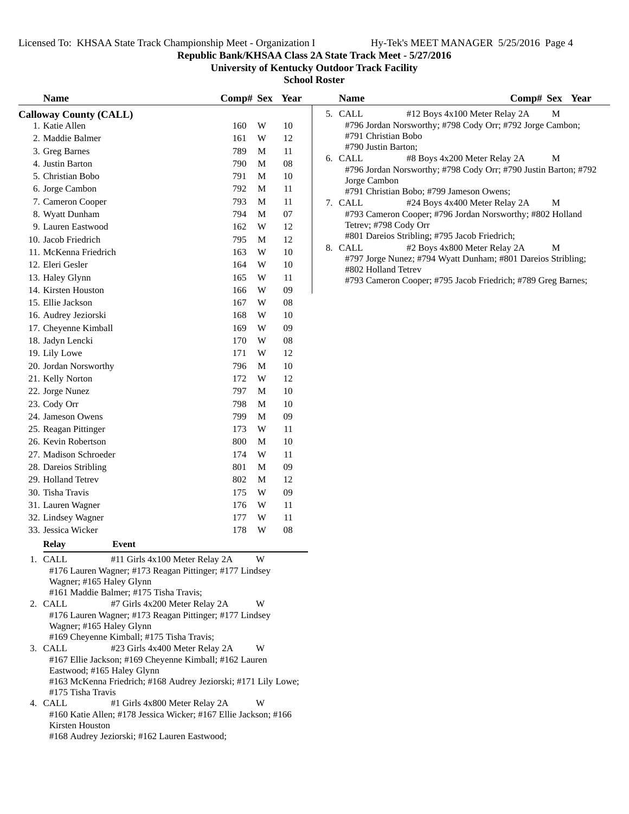**Republic Bank/KHSAA Class 2A State Track Meet - 5/27/2016**

**University of Kentucky Outdoor Track Facility**

| <b>Name</b>                                                                                                                                                                                                            | Comp# Sex Year |        |          | <b>Name</b>           | Comp# Sex Year                                                  |
|------------------------------------------------------------------------------------------------------------------------------------------------------------------------------------------------------------------------|----------------|--------|----------|-----------------------|-----------------------------------------------------------------|
| <b>Calloway County (CALL)</b>                                                                                                                                                                                          |                |        |          | 5. CALL               | #12 Boys 4x100 Meter Relay 2A<br>M                              |
| 1. Katie Allen                                                                                                                                                                                                         | 160            | W      | 10       |                       | #796 Jordan Norsworthy; #798 Cody Orr; #792 Jorge Cambon;       |
| 2. Maddie Balmer                                                                                                                                                                                                       | 161            | W      | 12       | #791 Christian Bobo   |                                                                 |
| 3. Greg Barnes                                                                                                                                                                                                         | 789            | M      | 11       | #790 Justin Barton;   |                                                                 |
| 4. Justin Barton                                                                                                                                                                                                       | 790            | M      | 08       | 6. CALL               | #8 Boys 4x200 Meter Relay 2A<br>M                               |
| 5. Christian Bobo                                                                                                                                                                                                      | 791            | M      | 10       |                       | #796 Jordan Norsworthy; #798 Cody Orr; #790 Justin Barton; #792 |
| 6. Jorge Cambon                                                                                                                                                                                                        | 792            | M      | 11       | Jorge Cambon          | #791 Christian Bobo; #799 Jameson Owens;                        |
| 7. Cameron Cooper                                                                                                                                                                                                      | 793            | M      | 11       | 7. CALL               | #24 Boys 4x400 Meter Relay 2A<br>M                              |
| 8. Wyatt Dunham                                                                                                                                                                                                        | 794            | M      | 07       |                       | #793 Cameron Cooper; #796 Jordan Norsworthy; #802 Holland       |
| 9. Lauren Eastwood                                                                                                                                                                                                     | 162            | W      | 12       | Tetrev; #798 Cody Orr |                                                                 |
| 10. Jacob Friedrich                                                                                                                                                                                                    | 795            | M      | 12       |                       | #801 Dareios Stribling; #795 Jacob Friedrich;                   |
| 11. McKenna Friedrich                                                                                                                                                                                                  | 163            | W      | 10       | 8. CALL               | #2 Boys 4x800 Meter Relay 2A<br>M                               |
| 12. Eleri Gesler                                                                                                                                                                                                       | 164            | W      | 10       |                       | #797 Jorge Nunez; #794 Wyatt Dunham; #801 Dareios Stribling;    |
| 13. Haley Glynn                                                                                                                                                                                                        | 165            | W      | 11       | #802 Holland Tetrev   |                                                                 |
| 14. Kirsten Houston                                                                                                                                                                                                    | 166            | W      | 09       |                       | #793 Cameron Cooper; #795 Jacob Friedrich; #789 Greg Barnes;    |
| 15. Ellie Jackson                                                                                                                                                                                                      | 167            | W      | 08       |                       |                                                                 |
| 16. Audrey Jeziorski                                                                                                                                                                                                   | 168            | W      | 10       |                       |                                                                 |
| 17. Cheyenne Kimball                                                                                                                                                                                                   | 169            | W      | 09       |                       |                                                                 |
| 18. Jadyn Lencki                                                                                                                                                                                                       | 170            | W      | 08       |                       |                                                                 |
| 19. Lily Lowe                                                                                                                                                                                                          | 171            | W      | 12       |                       |                                                                 |
| 20. Jordan Norsworthy                                                                                                                                                                                                  | 796            | M      |          |                       |                                                                 |
|                                                                                                                                                                                                                        | 172            | W      | 10<br>12 |                       |                                                                 |
| 21. Kelly Norton                                                                                                                                                                                                       |                |        |          |                       |                                                                 |
| 22. Jorge Nunez                                                                                                                                                                                                        | 797            | M      | 10       |                       |                                                                 |
| 23. Cody Orr                                                                                                                                                                                                           | 798            | M      | 10       |                       |                                                                 |
| 24. Jameson Owens                                                                                                                                                                                                      | 799            | M      | 09       |                       |                                                                 |
| 25. Reagan Pittinger                                                                                                                                                                                                   | 173            | W      | 11       |                       |                                                                 |
| 26. Kevin Robertson                                                                                                                                                                                                    | 800            | М      | 10       |                       |                                                                 |
| 27. Madison Schroeder                                                                                                                                                                                                  | 174            | W      | 11       |                       |                                                                 |
| 28. Dareios Stribling                                                                                                                                                                                                  | 801            | M      | 09       |                       |                                                                 |
| 29. Holland Tetrev                                                                                                                                                                                                     | 802            | M      | 12       |                       |                                                                 |
| 30. Tisha Travis                                                                                                                                                                                                       | 175            | W      | 09       |                       |                                                                 |
| 31. Lauren Wagner                                                                                                                                                                                                      | 176            | W      | 11       |                       |                                                                 |
| 32. Lindsey Wagner                                                                                                                                                                                                     | 177            | W      | 11       |                       |                                                                 |
| 33. Jessica Wicker                                                                                                                                                                                                     | 178            | W      | 08       |                       |                                                                 |
| Relay<br>Event                                                                                                                                                                                                         |                |        |          |                       |                                                                 |
| 1. CALL<br>#11 Girls 4x100 Meter Relay 2A<br>#176 Lauren Wagner; #173 Reagan Pittinger; #177 Lindsey<br>Wagner; #165 Haley Glynn<br>#161 Maddie Balmer; #175 Tisha Travis;<br>2. CALL<br>#7 Girls 4x200 Meter Relay 2A |                | W<br>W |          |                       |                                                                 |
| #176 Lauren Wagner; #173 Reagan Pittinger; #177 Lindsey<br>Wagner; #165 Haley Glynn<br>#169 Cheyenne Kimball; #175 Tisha Travis;                                                                                       |                |        |          |                       |                                                                 |
| 3. CALL<br>#23 Girls 4x400 Meter Relay 2A<br>#167 Ellie Jackson; #169 Cheyenne Kimball; #162 Lauren<br>Eastwood; #165 Haley Glynn<br>#163 McKenna Friedrich; #168 Audrey Jeziorski; #171 Lily Lowe;                    |                | W      |          |                       |                                                                 |
| #175 Tisha Travis<br>4. CALL<br>#1 Girls 4x800 Meter Relay 2A                                                                                                                                                          |                | W      |          |                       |                                                                 |
| #160 Katie Allen; #178 Jessica Wicker; #167 Ellie Jackson; #166<br>Kirsten Houston                                                                                                                                     |                |        |          |                       |                                                                 |
| #168 Audrey Jeziorski; #162 Lauren Eastwood;                                                                                                                                                                           |                |        |          |                       |                                                                 |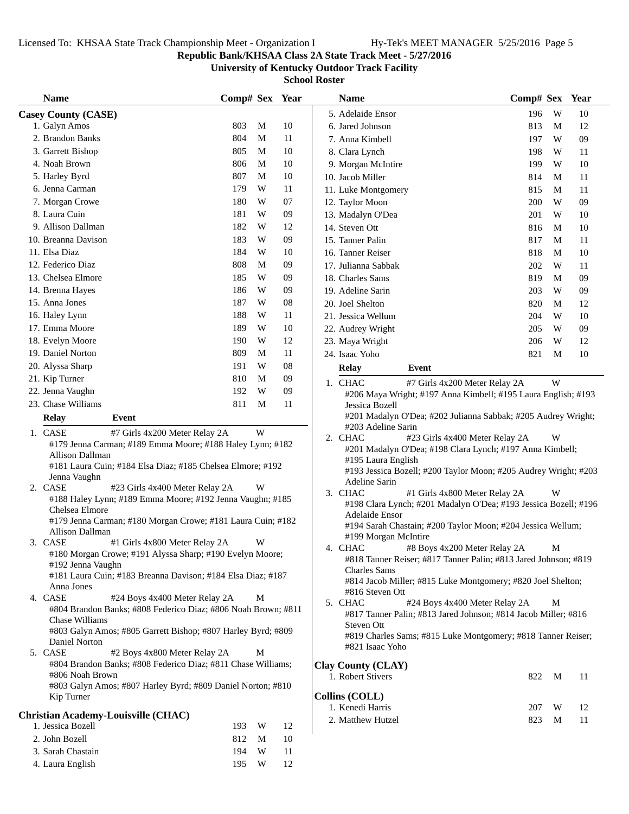4. Laura English 195 W 12

**Republic Bank/KHSAA Class 2A State Track Meet - 5/27/2016**

**University of Kentucky Outdoor Track Facility**

| <b>Name</b>                |                                                                                             | Comp# Sex Year |    | <b>Name</b>                                                                                           | Comp# Sex | Year |
|----------------------------|---------------------------------------------------------------------------------------------|----------------|----|-------------------------------------------------------------------------------------------------------|-----------|------|
| <b>Casey County (CASE)</b> |                                                                                             |                |    | 5. Adelaide Ensor                                                                                     | W<br>196  | 10   |
| 1. Galyn Amos              |                                                                                             | 803<br>M       | 10 | 6. Jared Johnson                                                                                      | 813<br>M  | 12   |
| 2. Brandon Banks           |                                                                                             | 804<br>M       | 11 | 7. Anna Kimbell                                                                                       | W<br>197  | 09   |
| 3. Garrett Bishop          |                                                                                             | M<br>805       | 10 | 8. Clara Lynch                                                                                        | 198<br>W  | 11   |
| 4. Noah Brown              |                                                                                             | 806<br>M       | 10 | 9. Morgan McIntire                                                                                    | 199<br>W  | 10   |
| 5. Harley Byrd             |                                                                                             | 807<br>М       | 10 | 10. Jacob Miller                                                                                      | 814<br>M  | 11   |
| 6. Jenna Carman            |                                                                                             | 179<br>W       | 11 | 11. Luke Montgomery                                                                                   | 815<br>M  | 11   |
| 7. Morgan Crowe            |                                                                                             | 180<br>W       | 07 | 12. Taylor Moon                                                                                       | W<br>200  | 09   |
| 8. Laura Cuin              |                                                                                             | 181<br>W       | 09 | 13. Madalyn O'Dea                                                                                     | 201<br>W  | 10   |
| 9. Allison Dallman         |                                                                                             | 182<br>W       | 12 | 14. Steven Ott                                                                                        | 816<br>M  | 10   |
| 10. Breanna Davison        |                                                                                             | 183<br>W       | 09 | 15. Tanner Palin                                                                                      | 817<br>M  | 11   |
| 11. Elsa Diaz              |                                                                                             | 184<br>W       | 10 | 16. Tanner Reiser                                                                                     | 818<br>M  | 10   |
| 12. Federico Diaz          |                                                                                             | 808<br>M       | 09 | 17. Julianna Sabbak                                                                                   | 202<br>W  | 11   |
| 13. Chelsea Elmore         |                                                                                             | 185<br>W       | 09 | 18. Charles Sams                                                                                      | 819<br>M  | 09   |
| 14. Brenna Hayes           |                                                                                             | 186<br>W       | 09 | 19. Adeline Sarin                                                                                     | 203<br>W  | 09   |
| 15. Anna Jones             |                                                                                             | 187<br>W       | 08 | 20. Joel Shelton                                                                                      | 820<br>M  | 12   |
| 16. Haley Lynn             |                                                                                             | 188<br>W       | 11 | 21. Jessica Wellum                                                                                    | W<br>204  | 10   |
| 17. Emma Moore             |                                                                                             | 189<br>W       | 10 | 22. Audrey Wright                                                                                     | W<br>205  | 09   |
| 18. Evelyn Moore           |                                                                                             | 190<br>W       | 12 | 23. Maya Wright                                                                                       | W<br>206  | 12   |
| 19. Daniel Norton          |                                                                                             | 809<br>M       | 11 | 24. Isaac Yoho                                                                                        | 821<br>M  | 10   |
| 20. Alyssa Sharp           |                                                                                             | 191<br>W       | 08 | Event<br>Relay                                                                                        |           |      |
| 21. Kip Turner             |                                                                                             | 810<br>M       | 09 | 1. CHAC<br>#7 Girls 4x200 Meter Relay 2A                                                              | W         |      |
| 22. Jenna Vaughn           |                                                                                             | W<br>192       | 09 | #206 Maya Wright; #197 Anna Kimbell; #195 Laura English; #193                                         |           |      |
| 23. Chase Williams         |                                                                                             | 811<br>M       | 11 | Jessica Bozell                                                                                        |           |      |
| <b>Relay</b>               | Event                                                                                       |                |    | #201 Madalyn O'Dea; #202 Julianna Sabbak; #205 Audrey Wright;                                         |           |      |
| 1. CASE                    | #7 Girls 4x200 Meter Relay 2A                                                               | W              |    | #203 Adeline Sarin                                                                                    |           |      |
|                            | #179 Jenna Carman; #189 Emma Moore; #188 Haley Lynn; #182                                   |                |    | 2. CHAC<br>#23 Girls 4x400 Meter Relay 2A<br>#201 Madalyn O'Dea; #198 Clara Lynch; #197 Anna Kimbell; | W         |      |
| <b>Allison Dallman</b>     |                                                                                             |                |    | #195 Laura English                                                                                    |           |      |
|                            | #181 Laura Cuin; #184 Elsa Diaz; #185 Chelsea Elmore; #192                                  |                |    | #193 Jessica Bozell; #200 Taylor Moon; #205 Audrey Wright; #203                                       |           |      |
| Jenna Vaughn<br>2. CASE    |                                                                                             | W              |    | Adeline Sarin                                                                                         |           |      |
|                            | #23 Girls 4x400 Meter Relay 2A<br>#188 Haley Lynn; #189 Emma Moore; #192 Jenna Vaughn; #185 |                |    | 3. CHAC<br>#1 Girls 4x800 Meter Relay 2A                                                              | W         |      |
| Chelsea Elmore             |                                                                                             |                |    | #198 Clara Lynch; #201 Madalyn O'Dea; #193 Jessica Bozell; #196                                       |           |      |
|                            | #179 Jenna Carman; #180 Morgan Crowe; #181 Laura Cuin; #182                                 |                |    | Adelaide Ensor                                                                                        |           |      |
| Allison Dallman            |                                                                                             |                |    | #194 Sarah Chastain; #200 Taylor Moon; #204 Jessica Wellum;<br>#199 Morgan McIntire                   |           |      |
| 3. CASE                    | #1 Girls 4x800 Meter Relay 2A                                                               | W              |    | 4. CHAC<br>#8 Boys 4x200 Meter Relay 2A                                                               | M         |      |
|                            | #180 Morgan Crowe; #191 Alyssa Sharp; #190 Evelyn Moore;                                    |                |    | #818 Tanner Reiser; #817 Tanner Palin; #813 Jared Johnson; #819                                       |           |      |
| #192 Jenna Vaughn          | #181 Laura Cuin; #183 Breanna Davison; #184 Elsa Diaz; #187                                 |                |    | <b>Charles Sams</b>                                                                                   |           |      |
| Anna Jones                 |                                                                                             |                |    | #814 Jacob Miller; #815 Luke Montgomery; #820 Joel Shelton;                                           |           |      |
| 4. CASE                    | #24 Boys 4x400 Meter Relay 2A                                                               | M              |    | #816 Steven Ott<br>5. CHAC<br>#24 Boys 4x400 Meter Relay 2A                                           |           |      |
|                            | #804 Brandon Banks; #808 Federico Diaz; #806 Noah Brown; #811                               |                |    | #817 Tanner Palin; #813 Jared Johnson; #814 Jacob Miller; #816                                        | М         |      |
| Chase Williams             |                                                                                             |                |    | Steven Ott                                                                                            |           |      |
|                            | #803 Galyn Amos; #805 Garrett Bishop; #807 Harley Byrd; #809                                |                |    | #819 Charles Sams; #815 Luke Montgomery; #818 Tanner Reiser;                                          |           |      |
| Daniel Norton<br>5. CASE   | #2 Boys 4x800 Meter Relay 2A                                                                | M              |    | #821 Isaac Yoho                                                                                       |           |      |
|                            | #804 Brandon Banks; #808 Federico Diaz; #811 Chase Williams;                                |                |    | <b>Clay County (CLAY)</b>                                                                             |           |      |
| #806 Noah Brown            |                                                                                             |                |    | 1. Robert Stivers                                                                                     | 822<br>M  | 11   |
|                            | #803 Galyn Amos; #807 Harley Byrd; #809 Daniel Norton; #810                                 |                |    |                                                                                                       |           |      |
| Kip Turner                 |                                                                                             |                |    | <b>Collins (COLL)</b>                                                                                 |           |      |
|                            | <b>Christian Academy-Louisville (CHAC)</b>                                                  |                |    | 1. Kenedi Harris                                                                                      | 207<br>W  | 12   |
| 1. Jessica Bozell          |                                                                                             | W<br>193       | 12 | 2. Matthew Hutzel                                                                                     | 823<br>M  | 11   |
| 2. John Bozell             |                                                                                             | 812<br>M       | 10 |                                                                                                       |           |      |
| 3. Sarah Chastain          |                                                                                             | 194<br>W       | 11 |                                                                                                       |           |      |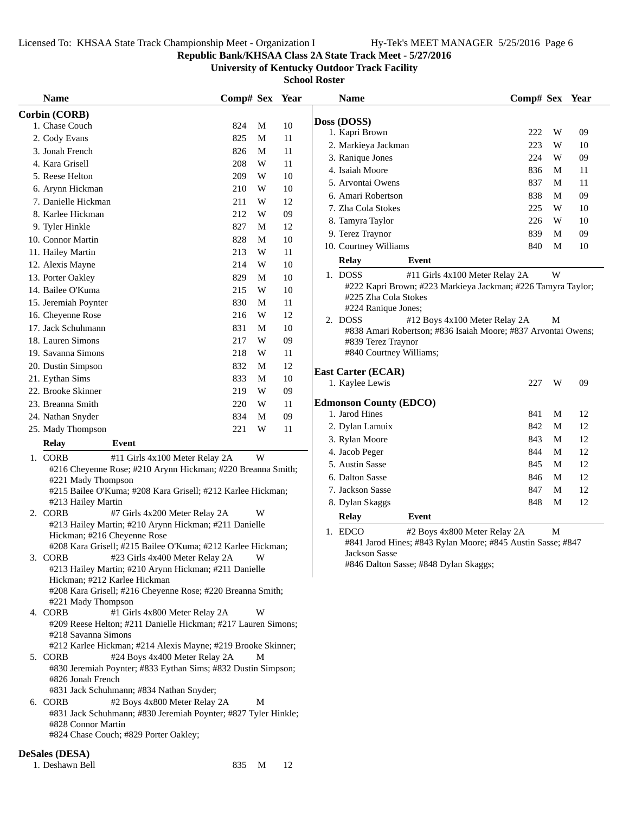### **Republic Bank/KHSAA Class 2A State Track Meet - 5/27/2016**

**University of Kentucky Outdoor Track Facility**

| <b>Name</b>                                                                                        | Comp# Sex Year |   |        | <b>Name</b>                                                                                    | Comp# Sex Year |   |    |
|----------------------------------------------------------------------------------------------------|----------------|---|--------|------------------------------------------------------------------------------------------------|----------------|---|----|
| Corbin (CORB)                                                                                      |                |   |        |                                                                                                |                |   |    |
| 1. Chase Couch                                                                                     | 824            | M | 10     | Doss (DOSS)                                                                                    |                |   |    |
| 2. Cody Evans                                                                                      | 825            | M | 11     | 1. Kapri Brown                                                                                 | 222            | W | 09 |
| 3. Jonah French                                                                                    | 826            | M | 11     | 2. Markieya Jackman                                                                            | 223            | W | 10 |
| 4. Kara Grisell                                                                                    | 208            | W | 11     | 3. Ranique Jones                                                                               | 224            | W | 09 |
| 5. Reese Helton                                                                                    | 209            | W | 10     | 4. Isaiah Moore                                                                                | 836            | M | 11 |
| 6. Arynn Hickman                                                                                   | 210            | W | 10     | 5. Arvontai Owens                                                                              | 837            | M | 11 |
| 7. Danielle Hickman                                                                                | 211            | W | 12     | 6. Amari Robertson                                                                             | 838            | M | 09 |
| 8. Karlee Hickman                                                                                  | 212            | W | 09     | 7. Zha Cola Stokes                                                                             | 225            | W | 10 |
| 9. Tyler Hinkle                                                                                    | 827            | M | 12     | 8. Tamyra Taylor                                                                               | 226            | W | 10 |
| 10. Connor Martin                                                                                  | 828            | M | 10     | 9. Terez Traynor                                                                               | 839            | M | 09 |
| 11. Hailey Martin                                                                                  | 213            | W | 11     | 10. Courtney Williams                                                                          | 840            | M | 10 |
| 12. Alexis Mayne                                                                                   | 214            | W | $10\,$ | <b>Relay</b><br>Event                                                                          |                |   |    |
| 13. Porter Oakley                                                                                  | 829            | M | $10\,$ | 1. DOSS<br>#11 Girls 4x100 Meter Relay 2A                                                      |                | W |    |
| 14. Bailee O'Kuma                                                                                  | 215            | W | 10     | #222 Kapri Brown; #223 Markieya Jackman; #226 Tamyra Taylor;                                   |                |   |    |
| 15. Jeremiah Poynter                                                                               | 830            | M | 11     | #225 Zha Cola Stokes                                                                           |                |   |    |
| 16. Cheyenne Rose                                                                                  | 216            | W | 12     | #224 Ranique Jones;<br>2. DOSS                                                                 |                | M |    |
| 17. Jack Schuhmann                                                                                 | 831            | M | 10     | #12 Boys 4x100 Meter Relay 2A<br>#838 Amari Robertson; #836 Isaiah Moore; #837 Arvontai Owens; |                |   |    |
| 18. Lauren Simons                                                                                  | 217            | W | 09     | #839 Terez Traynor                                                                             |                |   |    |
| 19. Savanna Simons                                                                                 | 218            | W | 11     | #840 Courtney Williams;                                                                        |                |   |    |
| 20. Dustin Simpson                                                                                 | 832            | M | 12     |                                                                                                |                |   |    |
| 21. Eythan Sims                                                                                    | 833            | M | $10\,$ | <b>East Carter (ECAR)</b>                                                                      |                |   |    |
| 22. Brooke Skinner                                                                                 | 219            | W | 09     | 1. Kaylee Lewis                                                                                | 227            | W | 09 |
| 23. Breanna Smith                                                                                  | 220            | W | 11     | <b>Edmonson County (EDCO)</b>                                                                  |                |   |    |
| 24. Nathan Snyder                                                                                  | 834            | M | 09     | 1. Jarod Hines                                                                                 | 841            | M | 12 |
| 25. Mady Thompson                                                                                  | 221            | W | 11     | 2. Dylan Lamuix                                                                                | 842            | M | 12 |
| <b>Relay</b><br>Event                                                                              |                |   |        | 3. Rylan Moore                                                                                 | 843            | М | 12 |
| 1. CORB                                                                                            |                | W |        | 4. Jacob Peger                                                                                 | 844            | M | 12 |
| #11 Girls 4x100 Meter Relay 2A<br>#216 Cheyenne Rose; #210 Arynn Hickman; #220 Breanna Smith;      |                |   |        | 5. Austin Sasse                                                                                | 845            | M | 12 |
| #221 Mady Thompson                                                                                 |                |   |        | 6. Dalton Sasse                                                                                | 846            | M | 12 |
| #215 Bailee O'Kuma; #208 Kara Grisell; #212 Karlee Hickman;                                        |                |   |        | 7. Jackson Sasse                                                                               | 847            | M | 12 |
| #213 Hailey Martin                                                                                 |                |   |        | 8. Dylan Skaggs                                                                                | 848            | M | 12 |
| 2. CORB<br>#7 Girls 4x200 Meter Relay 2A                                                           |                | W |        | Relay<br>Event                                                                                 |                |   |    |
| #213 Hailey Martin; #210 Arynn Hickman; #211 Danielle                                              |                |   |        | 1. EDCO<br>#2 Boys 4x800 Meter Relay 2A                                                        |                | M |    |
| Hickman; #216 Cheyenne Rose                                                                        |                |   |        | #841 Jarod Hines; #843 Rylan Moore; #845 Austin Sasse; #847                                    |                |   |    |
| #208 Kara Grisell; #215 Bailee O'Kuma; #212 Karlee Hickman;                                        |                |   |        | Jackson Sasse                                                                                  |                |   |    |
| 3. CORB<br>#23 Girls 4x400 Meter Relay 2A<br>#213 Hailey Martin; #210 Arynn Hickman; #211 Danielle |                | W |        | #846 Dalton Sasse; #848 Dylan Skaggs;                                                          |                |   |    |
| Hickman; #212 Karlee Hickman                                                                       |                |   |        |                                                                                                |                |   |    |
| #208 Kara Grisell; #216 Cheyenne Rose; #220 Breanna Smith;                                         |                |   |        |                                                                                                |                |   |    |
| #221 Mady Thompson                                                                                 |                |   |        |                                                                                                |                |   |    |
| 4. CORB<br>#1 Girls 4x800 Meter Relay 2A                                                           |                | W |        |                                                                                                |                |   |    |
| #209 Reese Helton; #211 Danielle Hickman; #217 Lauren Simons;                                      |                |   |        |                                                                                                |                |   |    |
| #218 Savanna Simons                                                                                |                |   |        |                                                                                                |                |   |    |
| #212 Karlee Hickman; #214 Alexis Mayne; #219 Brooke Skinner;                                       |                |   |        |                                                                                                |                |   |    |
| 5. CORB<br>#24 Boys 4x400 Meter Relay 2A                                                           |                | M |        |                                                                                                |                |   |    |
| #830 Jeremiah Poynter; #833 Eythan Sims; #832 Dustin Simpson;<br>#826 Jonah French                 |                |   |        |                                                                                                |                |   |    |
| #831 Jack Schuhmann; #834 Nathan Snyder;                                                           |                |   |        |                                                                                                |                |   |    |
| #2 Boys 4x800 Meter Relay 2A<br>6. CORB                                                            |                | M |        |                                                                                                |                |   |    |
| #831 Jack Schuhmann; #830 Jeremiah Poynter; #827 Tyler Hinkle;                                     |                |   |        |                                                                                                |                |   |    |
| #828 Connor Martin                                                                                 |                |   |        |                                                                                                |                |   |    |
| #824 Chase Couch; #829 Porter Oakley;                                                              |                |   |        |                                                                                                |                |   |    |
| <b>DeSales (DESA)</b>                                                                              |                |   |        |                                                                                                |                |   |    |
| 1. Deshawn Bell                                                                                    | 835 M          |   | 12     |                                                                                                |                |   |    |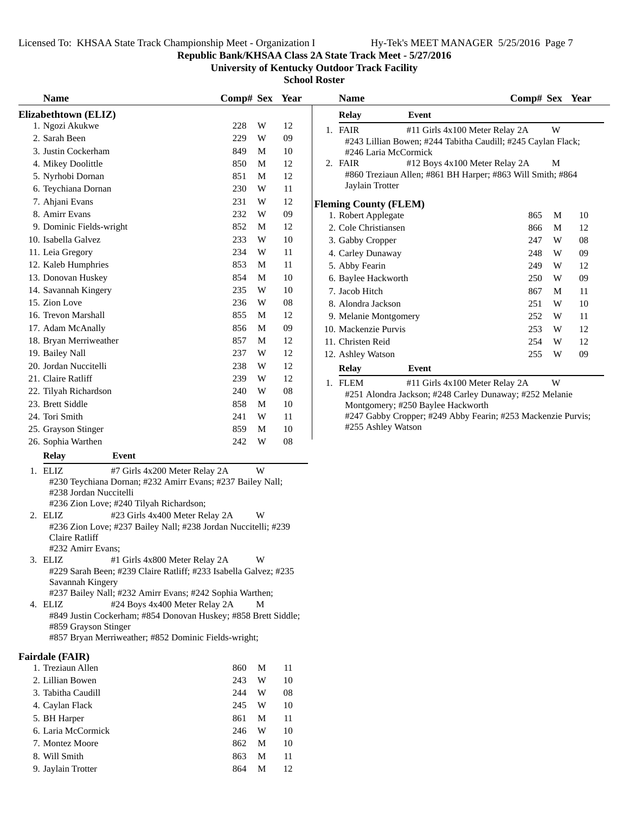**Name Comp# Sex** Year

**Republic Bank/KHSAA Class 2A State Track Meet - 5/27/2016**

**University of Kentucky Outdoor Track Facility**

**Relay Event**

**School Roster**

| <b>Name</b>              | Comp# Sex | Year |
|--------------------------|-----------|------|
| Elizabethtown (ELIZ)     |           |      |
| 1. Ngozi Akukwe          | W<br>228  | 12   |
| 2. Sarah Been            | W<br>229  | 09   |
| 3. Justin Cockerham      | 849<br>M  | 10   |
| 4. Mikey Doolittle       | M<br>850  | 12   |
| 5. Nyrhobi Dornan        | 851<br>M  | 12   |
| 6. Teychiana Dornan      | W<br>230  | 11   |
| 7. Ahjani Evans          | W<br>231  | 12   |
| 8. Amirr Evans           | 232<br>W  | 09   |
| 9. Dominic Fields-wright | 852<br>M  | 12   |
| 10. Isabella Galvez      | W<br>233  | 10   |
| 11. Leia Gregory         | W<br>234  | 11   |
| 12. Kaleb Humphries      | 853<br>M  | 11   |
| 13. Donovan Huskey       | 854<br>M  | 10   |
| 14. Savannah Kingery     | W<br>235  | 10   |
| 15. Zion Love            | W<br>236  | 08   |
| 16. Trevon Marshall      | 855<br>M  | 12   |
| 17. Adam McAnally        | M<br>856  | 09   |
| 18. Bryan Merriweather   | 857<br>M  | 12   |
| 19. Bailey Nall          | 237<br>W  | 12   |
| 20. Jordan Nuccitelli    | W<br>238  | 12   |
| 21. Claire Ratliff       | W<br>239  | 12   |
| 22. Tilyah Richardson    | W<br>240  | 08   |
| 23. Brett Siddle         | 858<br>M  | 10   |
| 24. Tori Smith           | 241<br>W  | 11   |
| 25. Grayson Stinger      | 859<br>M  | 10   |
| 26. Sophia Warthen       | 242<br>W  | 08   |
|                          |           |      |

#### **Relay Event**

| 1. ELIZ                | #7 Girls 4x200 Meter Relay 2A                              | W |
|------------------------|------------------------------------------------------------|---|
|                        | #230 Teychiana Dornan; #232 Amirr Evans; #237 Bailey Nall; |   |
| #238 Jordan Nuccitelli |                                                            |   |
|                        | $\#226$ $7.9$ $\mu$ Level $\#240$ Tilvek Dichardson.       |   |

#236 Zion Love; #240 Tilyah Richardson;

- 2. ELIZ #23 Girls 4x400 Meter Relay 2A W #236 Zion Love; #237 Bailey Nall; #238 Jordan Nuccitelli; #239 Claire Ratliff #232 Amirr Evans;
- 3. ELIZ #1 Girls 4x800 Meter Relay 2A W #229 Sarah Been; #239 Claire Ratliff; #233 Isabella Galvez; #235 Savannah Kingery

#237 Bailey Nall; #232 Amirr Evans; #242 Sophia Warthen;

4. ELIZ #24 Boys 4x400 Meter Relay 2A M #849 Justin Cockerham; #854 Donovan Huskey; #858 Brett Siddle; #859 Grayson Stinger

#857 Bryan Merriweather; #852 Dominic Fields-wright;

#### **Fairdale (FAIR)**

| 1. Treziaun Allen  | 860 | M | 11 |
|--------------------|-----|---|----|
| 2. Lillian Bowen   | 243 | W | 10 |
| 3. Tabitha Caudill | 244 | W | 08 |
| 4. Caylan Flack    | 245 | W | 10 |
| 5. BH Harper       | 861 | M | 11 |
| 6. Laria McCormick | 246 | W | 10 |
| 7. Montez Moore    | 862 | M | 10 |
| 8. Will Smith      | 863 | M | 11 |
| 9. Jaylain Trotter | 864 | М | 12 |
|                    |     |   |    |

|    | 1. FAIR                      | #11 Girls 4x100 Meter Relay 2A                               |     | W |    |
|----|------------------------------|--------------------------------------------------------------|-----|---|----|
|    |                              | #243 Lillian Bowen; #244 Tabitha Caudill; #245 Caylan Flack; |     |   |    |
|    | #246 Laria McCormick         |                                                              |     |   |    |
|    | 2. FAIR                      | #12 Boys 4x100 Meter Relay 2A                                |     | М |    |
|    |                              | #860 Treziaun Allen; #861 BH Harper; #863 Will Smith; #864   |     |   |    |
|    | Jaylain Trotter              |                                                              |     |   |    |
|    |                              |                                                              |     |   |    |
|    | <b>Fleming County (FLEM)</b> |                                                              |     |   |    |
|    | 1. Robert Applegate          |                                                              | 865 | M | 10 |
|    | 2. Cole Christiansen         |                                                              | 866 | M | 12 |
|    | 3. Gabby Cropper             |                                                              | 247 | W | 08 |
|    | 4. Carley Dunaway            |                                                              | 248 | W | 09 |
|    | 5. Abby Fearin               |                                                              | 249 | W | 12 |
|    | 6. Baylee Hackworth          |                                                              | 250 | W | 09 |
|    | 7. Jacob Hitch               |                                                              | 867 | M | 11 |
|    | 8. Alondra Jackson           |                                                              | 251 | W | 10 |
|    | 9. Melanie Montgomery        |                                                              | 252 | W | 11 |
|    | 10. Mackenzie Purvis         |                                                              | 253 | W | 12 |
|    | 11. Christen Reid            |                                                              | 254 | W | 12 |
|    | 12. Ashley Watson            |                                                              | 255 | W | 09 |
|    | <b>Relay</b>                 | Event                                                        |     |   |    |
| 1. | <b>FLEM</b>                  | #11 Girls 4x100 Meter Relay 2A                               |     | W |    |
|    |                              | #251 Alondra Jackson; #248 Carley Dunaway; #252 Melanie      |     |   |    |

Montgomery; #250 Baylee Hackworth #247 Gabby Cropper; #249 Abby Fearin; #253 Mackenzie Purvis; #255 Ashley Watson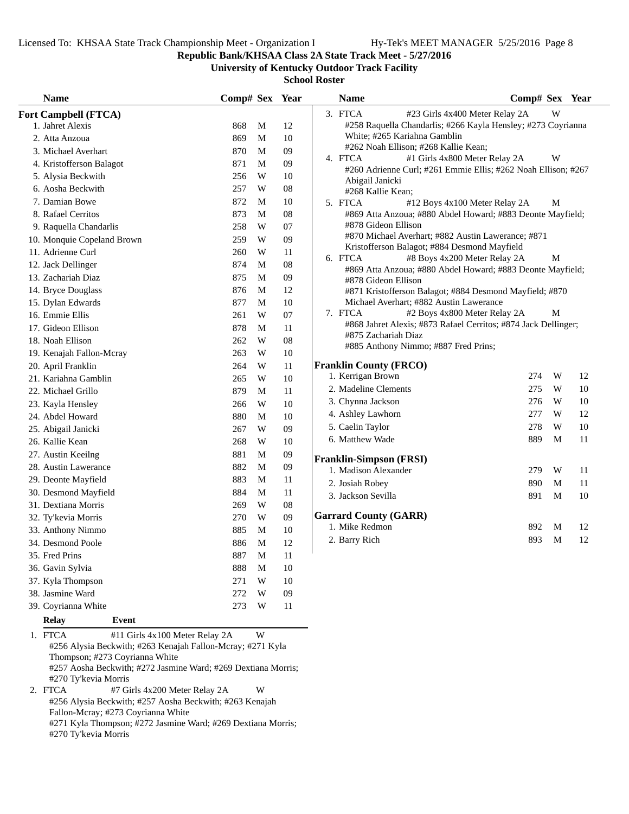**Republic Bank/KHSAA Class 2A State Track Meet - 5/27/2016**

**University of Kentucky Outdoor Track Facility**

**School Roster**

| <b>Name</b>                | Comp# Sex Year |   |            | <b>Name</b>                                                                                               | Comp# Sex Year |   |    |
|----------------------------|----------------|---|------------|-----------------------------------------------------------------------------------------------------------|----------------|---|----|
| Fort Campbell (FTCA)       |                |   |            | 3. FTCA<br>#23 Girls 4x400 Meter Relay 2A                                                                 |                | W |    |
| 1. Jahret Alexis           | 868            | M | 12         | #258 Raquella Chandarlis; #266 Kayla Hensley; #273 Coyrianna                                              |                |   |    |
| 2. Atta Anzoua             | 869            | M | 10         | White; #265 Kariahna Gamblin                                                                              |                |   |    |
| 3. Michael Averhart        | 870            | M | 09         | #262 Noah Ellison; #268 Kallie Kean;                                                                      |                |   |    |
| 4. Kristofferson Balagot   | 871            | M | 09         | 4. FTCA<br>#1 Girls 4x800 Meter Relay 2A<br>#260 Adrienne Curl; #261 Emmie Ellis; #262 Noah Ellison; #267 |                | W |    |
| 5. Alysia Beckwith         | 256            | W | 10         | Abigail Janicki                                                                                           |                |   |    |
| 6. Aosha Beckwith          | 257            | W | 08         | #268 Kallie Kean;                                                                                         |                |   |    |
| 7. Damian Bowe             | 872            | M | 10         | 5. FTCA<br>#12 Boys 4x100 Meter Relay 2A                                                                  |                | M |    |
| 8. Rafael Cerritos         | 873            | M | 08         | #869 Atta Anzoua; #880 Abdel Howard; #883 Deonte Mayfield;                                                |                |   |    |
| 9. Raquella Chandarlis     | 258            | W | 07         | #878 Gideon Ellison                                                                                       |                |   |    |
| 10. Monquie Copeland Brown | 259            | W | 09         | #870 Michael Averhart; #882 Austin Lawerance; #871                                                        |                |   |    |
| 11. Adrienne Curl          | 260            | W | 11         | Kristofferson Balagot; #884 Desmond Mayfield<br>6. FTCA                                                   |                |   |    |
| 12. Jack Dellinger         | 874            | M | 08         | #8 Boys 4x200 Meter Relay 2A<br>#869 Atta Anzoua; #880 Abdel Howard; #883 Deonte Mayfield;                |                | М |    |
| 13. Zachariah Diaz         | 875            | M | 09         | #878 Gideon Ellison                                                                                       |                |   |    |
| 14. Bryce Douglass         | 876            | M | 12         | #871 Kristofferson Balagot; #884 Desmond Mayfield; #870                                                   |                |   |    |
| 15. Dylan Edwards          | 877            | M | 10         | Michael Averhart; #882 Austin Lawerance                                                                   |                |   |    |
| 16. Emmie Ellis            | 261            | W | 07         | 7. FTCA<br>#2 Boys 4x800 Meter Relay 2A                                                                   |                | M |    |
| 17. Gideon Ellison         | 878            | M | 11         | #868 Jahret Alexis; #873 Rafael Cerritos; #874 Jack Dellinger;                                            |                |   |    |
| 18. Noah Ellison           | 262            | W | ${\bf 08}$ | #875 Zachariah Diaz<br>#885 Anthony Nimmo; #887 Fred Prins;                                               |                |   |    |
| 19. Kenajah Fallon-Mcray   | 263            | W | 10         |                                                                                                           |                |   |    |
| 20. April Franklin         | 264            | W | 11         | <b>Franklin County (FRCO)</b>                                                                             |                |   |    |
| 21. Kariahna Gamblin       | 265            | W | 10         | 1. Kerrigan Brown                                                                                         | 274            | W | 12 |
| 22. Michael Grillo         | 879            | M | 11         | 2. Madeline Clements                                                                                      | 275            | W | 10 |
| 23. Kayla Hensley          | 266            | W | 10         | 3. Chynna Jackson                                                                                         | 276            | W | 10 |
| 24. Abdel Howard           | 880            | M | 10         | 4. Ashley Lawhorn                                                                                         | 277            | W | 12 |
| 25. Abigail Janicki        | 267            | W | 09         | 5. Caelin Taylor                                                                                          | 278            | W | 10 |
| 26. Kallie Kean            | 268            | W | 10         | 6. Matthew Wade                                                                                           | 889            | M | 11 |
| 27. Austin Keeilng         | 881            | M | 09         | <b>Franklin-Simpson (FRSI)</b>                                                                            |                |   |    |
| 28. Austin Lawerance       | 882            | M | 09         | 1. Madison Alexander                                                                                      | 279            | W | 11 |
| 29. Deonte Mayfield        | 883            | M | 11         | 2. Josiah Robey                                                                                           | 890            | M | 11 |
| 30. Desmond Mayfield       | 884            | M | 11         | 3. Jackson Sevilla                                                                                        | 891            | M | 10 |
| 31. Dextiana Morris        | 269            | W | 08         |                                                                                                           |                |   |    |
| 32. Ty'kevia Morris        | 270            | W | 09         | <b>Garrard County (GARR)</b>                                                                              |                |   |    |
| 33. Anthony Nimmo          | 885            | M | 10         | 1. Mike Redmon                                                                                            | 892            | M | 12 |
| 34. Desmond Poole          | 886            | M | 12         | 2. Barry Rich                                                                                             | 893            | M | 12 |
| 35. Fred Prins             | 887            | M | 11         |                                                                                                           |                |   |    |
| 36. Gavin Sylvia           | 888            | M | 10         |                                                                                                           |                |   |    |
| 37. Kyla Thompson          | 271            | W | 10         |                                                                                                           |                |   |    |
| 38. Jasmine Ward           | 272            | W | 09         |                                                                                                           |                |   |    |
| 39. Coyrianna White        | 273            | W | 11         |                                                                                                           |                |   |    |
| Relay<br>Event             |                |   |            |                                                                                                           |                |   |    |

1. FTCA #11 Girls 4x100 Meter Relay 2A W #256 Alysia Beckwith; #263 Kenajah Fallon-Mcray; #271 Kyla Thompson; #273 Coyrianna White #257 Aosha Beckwith; #272 Jasmine Ward; #269 Dextiana Morris; #270 Ty'kevia Morris<br>2. FTCA #7 Gi #7 Girls 4x200 Meter Relay 2A W #256 Alysia Beckwith; #257 Aosha Beckwith; #263 Kenajah Fallon-Mcray; #273 Coyrianna White

#271 Kyla Thompson; #272 Jasmine Ward; #269 Dextiana Morris; #270 Ty'kevia Morris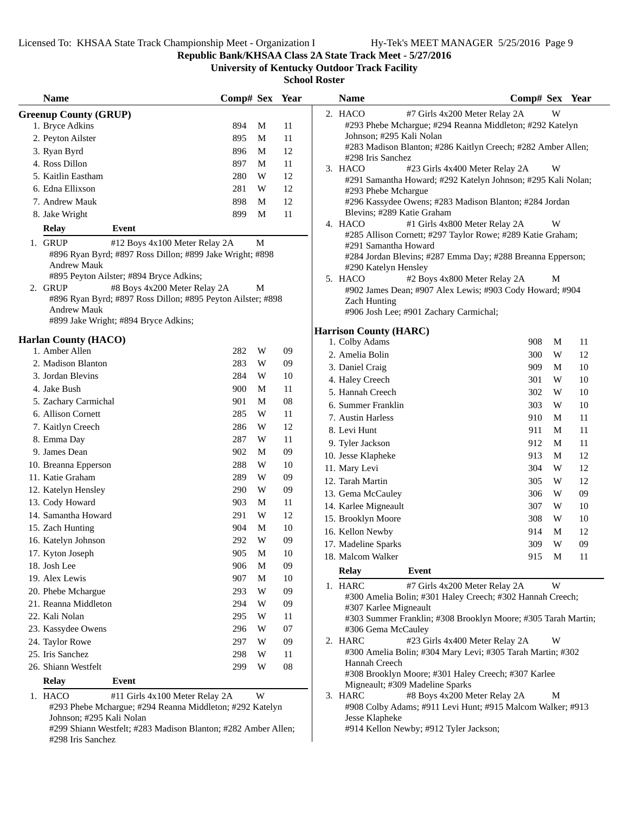#298 Iris Sanchez

**Republic Bank/KHSAA Class 2A State Track Meet - 5/27/2016**

**University of Kentucky Outdoor Track Facility**

| <b>Name</b>                                   |                                                               | Comp# Sex Year |             |        | <b>Name</b>                   | Comp# Sex Year                                                                           |       |    |
|-----------------------------------------------|---------------------------------------------------------------|----------------|-------------|--------|-------------------------------|------------------------------------------------------------------------------------------|-------|----|
| <b>Greenup County (GRUP)</b>                  |                                                               |                |             |        | 2. HACO                       | #7 Girls 4x200 Meter Relay 2A                                                            | W     |    |
| 1. Bryce Adkins                               |                                                               | 894            | M           | 11     |                               | #293 Phebe Mchargue; #294 Reanna Middleton; #292 Katelyn                                 |       |    |
| 2. Peyton Ailster                             |                                                               | 895            | M           | 11     | Johnson; #295 Kali Nolan      |                                                                                          |       |    |
| 3. Ryan Byrd                                  |                                                               | 896            | M           | 12     |                               | #283 Madison Blanton; #286 Kaitlyn Creech; #282 Amber Allen;                             |       |    |
| 4. Ross Dillon                                |                                                               | 897            | M           | 11     | #298 Iris Sanchez             |                                                                                          |       |    |
| 5. Kaitlin Eastham                            |                                                               | 280            | W           | 12     | 3. HACO                       | #23 Girls 4x400 Meter Relay 2A                                                           | W     |    |
| 6. Edna Ellixson                              |                                                               | 281            | W           | 12     | #293 Phebe Mchargue           | #291 Samantha Howard; #292 Katelyn Johnson; #295 Kali Nolan;                             |       |    |
| 7. Andrew Mauk                                |                                                               | 898            | M           | 12     |                               | #296 Kassydee Owens; #283 Madison Blanton; #284 Jordan                                   |       |    |
| 8. Jake Wright                                |                                                               | 899            | M           | $11\,$ |                               | Blevins; #289 Katie Graham                                                               |       |    |
| <b>Relay</b>                                  | Event                                                         |                |             |        | 4. HACO                       | #1 Girls 4x800 Meter Relay 2A                                                            | W     |    |
|                                               |                                                               |                |             |        |                               | #285 Allison Cornett; #297 Taylor Rowe; #289 Katie Graham;                               |       |    |
| 1. GRUP                                       | #12 Boys 4x100 Meter Relay 2A                                 |                | $\mathbf M$ |        | #291 Samantha Howard          |                                                                                          |       |    |
| <b>Andrew Mauk</b>                            | #896 Ryan Byrd; #897 Ross Dillon; #899 Jake Wright; #898      |                |             |        |                               | #284 Jordan Blevins; #287 Emma Day; #288 Breanna Epperson;                               |       |    |
|                                               | #895 Peyton Ailster; #894 Bryce Adkins;                       |                |             |        | #290 Katelyn Hensley          |                                                                                          |       |    |
| 2. GRUP                                       | #8 Boys 4x200 Meter Relay 2A                                  |                | M           |        | 5. HACO                       | #2 Boys 4x800 Meter Relay 2A<br>#902 James Dean; #907 Alex Lewis; #903 Cody Howard; #904 | M     |    |
|                                               | #896 Ryan Byrd; #897 Ross Dillon; #895 Peyton Ailster; #898   |                |             |        | Zach Hunting                  |                                                                                          |       |    |
| <b>Andrew Mauk</b>                            |                                                               |                |             |        |                               | #906 Josh Lee; #901 Zachary Carmichal;                                                   |       |    |
|                                               | #899 Jake Wright; #894 Bryce Adkins;                          |                |             |        |                               |                                                                                          |       |    |
|                                               |                                                               |                |             |        | <b>Harrison County (HARC)</b> |                                                                                          |       |    |
| <b>Harlan County (HACO)</b><br>1. Amber Allen |                                                               | 282            | W           | 09     | 1. Colby Adams                | 908                                                                                      | M     | 11 |
| 2. Madison Blanton                            |                                                               | 283            | W           | 09     | 2. Amelia Bolin               | 300                                                                                      | W     | 12 |
| 3. Jordan Blevins                             |                                                               | 284            | W           | 10     | 3. Daniel Craig               | 909                                                                                      | M     | 10 |
|                                               |                                                               | 900            |             |        | 4. Haley Creech               | 301                                                                                      | W     | 10 |
| 4. Jake Bush                                  |                                                               |                | M           | 11     | 5. Hannah Creech              | 302                                                                                      | W     | 10 |
| 5. Zachary Carmichal                          |                                                               | 901            | M           | 08     | 6. Summer Franklin            | 303                                                                                      | W     | 10 |
| 6. Allison Cornett                            |                                                               | 285            | W           | 11     | 7. Austin Harless             | 910                                                                                      | M     | 11 |
| 7. Kaitlyn Creech                             |                                                               | 286            | W           | 12     | 8. Levi Hunt                  | 911                                                                                      | M     | 11 |
| 8. Emma Day                                   |                                                               | 287            | W           | 11     | 9. Tyler Jackson              | 912                                                                                      | M     | 11 |
| 9. James Dean                                 |                                                               | 902            | M           | 09     | 10. Jesse Klapheke            | 913                                                                                      | M     | 12 |
| 10. Breanna Epperson                          |                                                               | 288            | W           | 10     | 11. Mary Levi                 | 304                                                                                      | W     | 12 |
| 11. Katie Graham                              |                                                               | 289            | W           | 09     | 12. Tarah Martin              | 305                                                                                      | W     | 12 |
| 12. Katelyn Hensley                           |                                                               | 290            | W           | 09     | 13. Gema McCauley             | 306                                                                                      | W     | 09 |
| 13. Cody Howard                               |                                                               | 903            | M           | 11     | 14. Karlee Migneault          | 307                                                                                      | W     | 10 |
| 14. Samantha Howard                           |                                                               | 291            | W           | 12     | 15. Brooklyn Moore            | 308                                                                                      | W     | 10 |
| 15. Zach Hunting                              |                                                               | 904            | M           | 10     | 16. Kellon Newby              | 914                                                                                      | M     | 12 |
| 16. Katelyn Johnson                           |                                                               | 292            | W           | 09     | 17. Madeline Sparks           | 309                                                                                      | W     | 09 |
| 17. Kyton Joseph                              |                                                               | 905            | M           | $10\,$ | 18. Malcom Walker             |                                                                                          | 915 M | 11 |
| 18. Josh Lee                                  |                                                               | 906            | M           | 09     | <b>Relay</b>                  | Event                                                                                    |       |    |
| 19. Alex Lewis                                |                                                               | 907            | М           | 10     |                               |                                                                                          |       |    |
| 20. Phebe Mchargue                            |                                                               | 293            | W           | 09     | 1. HARC                       | #7 Girls 4x200 Meter Relay 2A                                                            | W     |    |
| 21. Reanna Middleton                          |                                                               | 294            | W           | 09     | #307 Karlee Migneault         | #300 Amelia Bolin; #301 Haley Creech; #302 Hannah Creech;                                |       |    |
| 22. Kali Nolan                                |                                                               | 295            | W           | 11     |                               | #303 Summer Franklin; #308 Brooklyn Moore; #305 Tarah Martin;                            |       |    |
| 23. Kassydee Owens                            |                                                               | 296            | W           | 07     | #306 Gema McCauley            |                                                                                          |       |    |
| 24. Taylor Rowe                               |                                                               | 297            | W           | 09     | 2. HARC                       | #23 Girls 4x400 Meter Relay 2A                                                           | W     |    |
| 25. Iris Sanchez                              |                                                               | 298            | W           | 11     |                               | #300 Amelia Bolin; #304 Mary Levi; #305 Tarah Martin; #302                               |       |    |
| 26. Shiann Westfelt                           |                                                               | 299            | W           | 08     | Hannah Creech                 |                                                                                          |       |    |
| <b>Relay</b>                                  | Event                                                         |                |             |        |                               | #308 Brooklyn Moore; #301 Haley Creech; #307 Karlee                                      |       |    |
|                                               |                                                               |                |             |        |                               | Migneault; #309 Madeline Sparks                                                          |       |    |
| 1. HACO                                       | #11 Girls 4x100 Meter Relay 2A                                |                | W           |        | 3. HARC                       | #8 Boys 4x200 Meter Relay 2A                                                             | M     |    |
|                                               | #293 Phebe Mchargue; #294 Reanna Middleton; #292 Katelyn      |                |             |        |                               | #908 Colby Adams; #911 Levi Hunt; #915 Malcom Walker; #913                               |       |    |
| Johnson; #295 Kali Nolan                      | #299 Shiann Westfelt; #283 Madison Blanton; #282 Amber Allen; |                |             |        | Jesse Klapheke                | #914 Kellon Newby; #912 Tyler Jackson;                                                   |       |    |
| #298 Iris Sanchez                             |                                                               |                |             |        |                               |                                                                                          |       |    |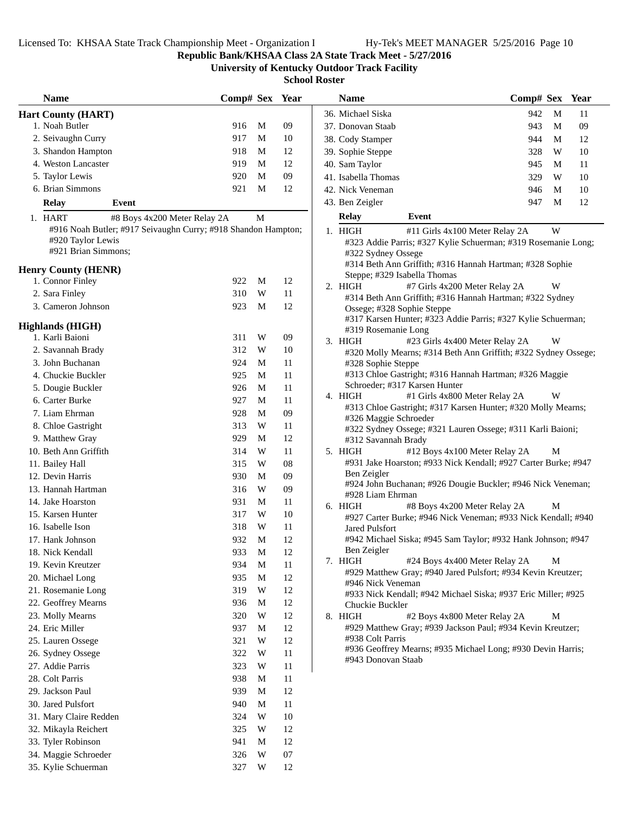**Republic Bank/KHSAA Class 2A State Track Meet - 5/27/2016**

**University of Kentucky Outdoor Track Facility**

| 36. Michael Siska<br>942<br>M<br>11<br><b>Hart County (HART)</b><br>1. Noah Butler<br>09<br>916<br>M<br>943<br>M<br>09<br>37. Donovan Staab<br>2. Seivaughn Curry<br>917<br>M<br>10<br>38. Cody Stamper<br>944<br>M<br>12<br>918<br>M<br>12<br>3. Shandon Hampton<br>W<br>39. Sophie Steppe<br>328<br>10<br>4. Weston Lancaster<br>919<br>M<br>12<br>40. Sam Taylor<br>945<br>M<br>11<br>09<br>5. Taylor Lewis<br>920<br>M<br>W<br>$10\,$<br>41. Isabella Thomas<br>329<br>6. Brian Simmons<br>921<br>M<br>12<br>42. Nick Veneman<br>$10\,$<br>946<br>M<br>12<br>43. Ben Zeigler<br>947<br>M<br><b>Relay</b><br>Event<br>Event<br><b>Relay</b><br>M<br>1. HART<br>#8 Boys 4x200 Meter Relay 2A<br>#916 Noah Butler; #917 Seivaughn Curry; #918 Shandon Hampton;<br>W<br>1. HIGH<br>#11 Girls 4x100 Meter Relay 2A<br>#920 Taylor Lewis<br>#323 Addie Parris; #327 Kylie Schuerman; #319 Rosemanie Long<br>#921 Brian Simmons;<br>#322 Sydney Ossege<br>#314 Beth Ann Griffith; #316 Hannah Hartman; #328 Sophie<br><b>Henry County (HENR)</b><br>Steppe; #329 Isabella Thomas<br>1. Connor Finley<br>922<br>M<br>12<br>2. HIGH<br>#7 Girls 4x200 Meter Relay 2A<br>W<br>2. Sara Finley<br>W<br>11<br>310<br>#314 Beth Ann Griffith; #316 Hannah Hartman; #322 Sydney<br>3. Cameron Johnson<br>12<br>923<br>M<br>Ossege; #328 Sophie Steppe<br>#317 Karsen Hunter; #323 Addie Parris; #327 Kylie Schuerman;<br><b>Highlands (HIGH)</b><br>#319 Rosemanie Long<br>1. Karli Baioni<br>311<br>W<br>$09$<br>3. HIGH<br>#23 Girls 4x400 Meter Relay 2A<br>W<br>10<br>2. Savannah Brady<br>312<br>W<br>#320 Molly Mearns; #314 Beth Ann Griffith; #322 Sydney Ossege<br>11<br>3. John Buchanan<br>924<br>M<br>#328 Sophie Steppe<br>#313 Chloe Gastright; #316 Hannah Hartman; #326 Maggie<br>11<br>4. Chuckie Buckler<br>925<br>M<br>Schroeder; #317 Karsen Hunter<br>11<br>5. Dougie Buckler<br>926<br>M<br>4. HIGH<br>#1 Girls 4x800 Meter Relay 2A<br>W<br>6. Carter Burke<br>$\mathbf M$<br>11<br>927<br>#313 Chloe Gastright; #317 Karsen Hunter; #320 Molly Mearns;<br>09<br>7. Liam Ehrman<br>928<br>M<br>#326 Maggie Schroeder<br>W<br>11<br>8. Chloe Gastright<br>313<br>#322 Sydney Ossege; #321 Lauren Ossege; #311 Karli Baioni;<br>12<br>9. Matthew Gray<br>929<br>M<br>#312 Savannah Brady<br>10. Beth Ann Griffith<br>314<br>W<br>11<br>5. HIGH<br>#12 Boys 4x100 Meter Relay 2A<br>М<br>#931 Jake Hoarston; #933 Nick Kendall; #927 Carter Burke; #947<br>08<br>315<br>W<br>11. Bailey Hall<br>Ben Zeigler<br>12. Devin Harris<br>930<br>M<br>09<br>#924 John Buchanan; #926 Dougie Buckler; #946 Nick Veneman;<br>13. Hannah Hartman<br>316<br>W<br>09<br>#928 Liam Ehrman<br>14. Jake Hoarston<br>931<br>M<br>11<br>6. HIGH<br>#8 Boys 4x200 Meter Relay 2A<br>М<br>W<br>10<br>15. Karsen Hunter<br>317<br>#927 Carter Burke; #946 Nick Veneman; #933 Nick Kendall; #940<br>16. Isabelle Ison<br>W<br>11<br>318<br><b>Jared Pulsfort</b><br>932<br>M<br>12<br>17. Hank Johnson<br>#942 Michael Siska; #945 Sam Taylor; #932 Hank Johnson; #947<br>Ben Zeigler<br>933<br>12<br>18. Nick Kendall<br>M<br>#24 Boys 4x400 Meter Relay 2A<br>M<br>7. HIGH<br>19. Kevin Kreutzer<br>934<br>M<br>11<br>#929 Matthew Gray; #940 Jared Pulsfort; #934 Kevin Kreutzer;<br>935<br>M<br>12<br>20. Michael Long<br>#946 Nick Veneman<br>W<br>12<br>21. Rosemanie Long<br>319<br>#933 Nick Kendall; #942 Michael Siska; #937 Eric Miller; #925<br>12<br>22. Geoffrey Mearns<br>936<br>M<br>Chuckie Buckler<br>23. Molly Mearns<br>12<br>320<br>W<br>#2 Boys 4x800 Meter Relay 2A<br>8. HIGH<br>М<br>#929 Matthew Gray; #939 Jackson Paul; #934 Kevin Kreutzer;<br>12<br>24. Eric Miller<br>937<br>M<br>#938 Colt Parris<br>12<br>25. Lauren Ossege<br>321<br>W<br>#936 Geoffrey Mearns; #935 Michael Long; #930 Devin Harris;<br>26. Sydney Ossege<br>322<br>W<br>11<br>#943 Donovan Staab<br>27. Addie Parris<br>323<br>11<br>W<br>28. Colt Parris<br>11<br>938<br>M<br>29. Jackson Paul<br>939<br>12<br>M<br>30. Jared Pulsfort<br>11<br>940<br>M<br>31. Mary Claire Redden<br>324<br>W<br>10<br>32. Mikayla Reichert<br>12<br>325<br>W<br>33. Tyler Robinson<br>12<br>941<br>M<br>34. Maggie Schroeder<br>W<br>07<br>326<br>35. Kylie Schuerman<br>327<br>W<br>12 | <b>Name</b> | Comp# Sex Year |  | <b>Name</b> | Comp# Sex Year |  |
|--------------------------------------------------------------------------------------------------------------------------------------------------------------------------------------------------------------------------------------------------------------------------------------------------------------------------------------------------------------------------------------------------------------------------------------------------------------------------------------------------------------------------------------------------------------------------------------------------------------------------------------------------------------------------------------------------------------------------------------------------------------------------------------------------------------------------------------------------------------------------------------------------------------------------------------------------------------------------------------------------------------------------------------------------------------------------------------------------------------------------------------------------------------------------------------------------------------------------------------------------------------------------------------------------------------------------------------------------------------------------------------------------------------------------------------------------------------------------------------------------------------------------------------------------------------------------------------------------------------------------------------------------------------------------------------------------------------------------------------------------------------------------------------------------------------------------------------------------------------------------------------------------------------------------------------------------------------------------------------------------------------------------------------------------------------------------------------------------------------------------------------------------------------------------------------------------------------------------------------------------------------------------------------------------------------------------------------------------------------------------------------------------------------------------------------------------------------------------------------------------------------------------------------------------------------------------------------------------------------------------------------------------------------------------------------------------------------------------------------------------------------------------------------------------------------------------------------------------------------------------------------------------------------------------------------------------------------------------------------------------------------------------------------------------------------------------------------------------------------------------------------------------------------------------------------------------------------------------------------------------------------------------------------------------------------------------------------------------------------------------------------------------------------------------------------------------------------------------------------------------------------------------------------------------------------------------------------------------------------------------------------------------------------------------------------------------------------------------------------------------------------------------------------------------------------------------------------------------------------------------------------------------------------------------------------------------------------------------------------------------------------------------------------------------------------------------------------------------------------------------------------------------------------------------------------------------------------------------------------------------------------------|-------------|----------------|--|-------------|----------------|--|
|                                                                                                                                                                                                                                                                                                                                                                                                                                                                                                                                                                                                                                                                                                                                                                                                                                                                                                                                                                                                                                                                                                                                                                                                                                                                                                                                                                                                                                                                                                                                                                                                                                                                                                                                                                                                                                                                                                                                                                                                                                                                                                                                                                                                                                                                                                                                                                                                                                                                                                                                                                                                                                                                                                                                                                                                                                                                                                                                                                                                                                                                                                                                                                                                                                                                                                                                                                                                                                                                                                                                                                                                                                                                                                                                                                                                                                                                                                                                                                                                                                                                                                                                                                                                                                                                    |             |                |  |             |                |  |
|                                                                                                                                                                                                                                                                                                                                                                                                                                                                                                                                                                                                                                                                                                                                                                                                                                                                                                                                                                                                                                                                                                                                                                                                                                                                                                                                                                                                                                                                                                                                                                                                                                                                                                                                                                                                                                                                                                                                                                                                                                                                                                                                                                                                                                                                                                                                                                                                                                                                                                                                                                                                                                                                                                                                                                                                                                                                                                                                                                                                                                                                                                                                                                                                                                                                                                                                                                                                                                                                                                                                                                                                                                                                                                                                                                                                                                                                                                                                                                                                                                                                                                                                                                                                                                                                    |             |                |  |             |                |  |
|                                                                                                                                                                                                                                                                                                                                                                                                                                                                                                                                                                                                                                                                                                                                                                                                                                                                                                                                                                                                                                                                                                                                                                                                                                                                                                                                                                                                                                                                                                                                                                                                                                                                                                                                                                                                                                                                                                                                                                                                                                                                                                                                                                                                                                                                                                                                                                                                                                                                                                                                                                                                                                                                                                                                                                                                                                                                                                                                                                                                                                                                                                                                                                                                                                                                                                                                                                                                                                                                                                                                                                                                                                                                                                                                                                                                                                                                                                                                                                                                                                                                                                                                                                                                                                                                    |             |                |  |             |                |  |
|                                                                                                                                                                                                                                                                                                                                                                                                                                                                                                                                                                                                                                                                                                                                                                                                                                                                                                                                                                                                                                                                                                                                                                                                                                                                                                                                                                                                                                                                                                                                                                                                                                                                                                                                                                                                                                                                                                                                                                                                                                                                                                                                                                                                                                                                                                                                                                                                                                                                                                                                                                                                                                                                                                                                                                                                                                                                                                                                                                                                                                                                                                                                                                                                                                                                                                                                                                                                                                                                                                                                                                                                                                                                                                                                                                                                                                                                                                                                                                                                                                                                                                                                                                                                                                                                    |             |                |  |             |                |  |
|                                                                                                                                                                                                                                                                                                                                                                                                                                                                                                                                                                                                                                                                                                                                                                                                                                                                                                                                                                                                                                                                                                                                                                                                                                                                                                                                                                                                                                                                                                                                                                                                                                                                                                                                                                                                                                                                                                                                                                                                                                                                                                                                                                                                                                                                                                                                                                                                                                                                                                                                                                                                                                                                                                                                                                                                                                                                                                                                                                                                                                                                                                                                                                                                                                                                                                                                                                                                                                                                                                                                                                                                                                                                                                                                                                                                                                                                                                                                                                                                                                                                                                                                                                                                                                                                    |             |                |  |             |                |  |
|                                                                                                                                                                                                                                                                                                                                                                                                                                                                                                                                                                                                                                                                                                                                                                                                                                                                                                                                                                                                                                                                                                                                                                                                                                                                                                                                                                                                                                                                                                                                                                                                                                                                                                                                                                                                                                                                                                                                                                                                                                                                                                                                                                                                                                                                                                                                                                                                                                                                                                                                                                                                                                                                                                                                                                                                                                                                                                                                                                                                                                                                                                                                                                                                                                                                                                                                                                                                                                                                                                                                                                                                                                                                                                                                                                                                                                                                                                                                                                                                                                                                                                                                                                                                                                                                    |             |                |  |             |                |  |
|                                                                                                                                                                                                                                                                                                                                                                                                                                                                                                                                                                                                                                                                                                                                                                                                                                                                                                                                                                                                                                                                                                                                                                                                                                                                                                                                                                                                                                                                                                                                                                                                                                                                                                                                                                                                                                                                                                                                                                                                                                                                                                                                                                                                                                                                                                                                                                                                                                                                                                                                                                                                                                                                                                                                                                                                                                                                                                                                                                                                                                                                                                                                                                                                                                                                                                                                                                                                                                                                                                                                                                                                                                                                                                                                                                                                                                                                                                                                                                                                                                                                                                                                                                                                                                                                    |             |                |  |             |                |  |
|                                                                                                                                                                                                                                                                                                                                                                                                                                                                                                                                                                                                                                                                                                                                                                                                                                                                                                                                                                                                                                                                                                                                                                                                                                                                                                                                                                                                                                                                                                                                                                                                                                                                                                                                                                                                                                                                                                                                                                                                                                                                                                                                                                                                                                                                                                                                                                                                                                                                                                                                                                                                                                                                                                                                                                                                                                                                                                                                                                                                                                                                                                                                                                                                                                                                                                                                                                                                                                                                                                                                                                                                                                                                                                                                                                                                                                                                                                                                                                                                                                                                                                                                                                                                                                                                    |             |                |  |             |                |  |
|                                                                                                                                                                                                                                                                                                                                                                                                                                                                                                                                                                                                                                                                                                                                                                                                                                                                                                                                                                                                                                                                                                                                                                                                                                                                                                                                                                                                                                                                                                                                                                                                                                                                                                                                                                                                                                                                                                                                                                                                                                                                                                                                                                                                                                                                                                                                                                                                                                                                                                                                                                                                                                                                                                                                                                                                                                                                                                                                                                                                                                                                                                                                                                                                                                                                                                                                                                                                                                                                                                                                                                                                                                                                                                                                                                                                                                                                                                                                                                                                                                                                                                                                                                                                                                                                    |             |                |  |             |                |  |
|                                                                                                                                                                                                                                                                                                                                                                                                                                                                                                                                                                                                                                                                                                                                                                                                                                                                                                                                                                                                                                                                                                                                                                                                                                                                                                                                                                                                                                                                                                                                                                                                                                                                                                                                                                                                                                                                                                                                                                                                                                                                                                                                                                                                                                                                                                                                                                                                                                                                                                                                                                                                                                                                                                                                                                                                                                                                                                                                                                                                                                                                                                                                                                                                                                                                                                                                                                                                                                                                                                                                                                                                                                                                                                                                                                                                                                                                                                                                                                                                                                                                                                                                                                                                                                                                    |             |                |  |             |                |  |
|                                                                                                                                                                                                                                                                                                                                                                                                                                                                                                                                                                                                                                                                                                                                                                                                                                                                                                                                                                                                                                                                                                                                                                                                                                                                                                                                                                                                                                                                                                                                                                                                                                                                                                                                                                                                                                                                                                                                                                                                                                                                                                                                                                                                                                                                                                                                                                                                                                                                                                                                                                                                                                                                                                                                                                                                                                                                                                                                                                                                                                                                                                                                                                                                                                                                                                                                                                                                                                                                                                                                                                                                                                                                                                                                                                                                                                                                                                                                                                                                                                                                                                                                                                                                                                                                    |             |                |  |             |                |  |
|                                                                                                                                                                                                                                                                                                                                                                                                                                                                                                                                                                                                                                                                                                                                                                                                                                                                                                                                                                                                                                                                                                                                                                                                                                                                                                                                                                                                                                                                                                                                                                                                                                                                                                                                                                                                                                                                                                                                                                                                                                                                                                                                                                                                                                                                                                                                                                                                                                                                                                                                                                                                                                                                                                                                                                                                                                                                                                                                                                                                                                                                                                                                                                                                                                                                                                                                                                                                                                                                                                                                                                                                                                                                                                                                                                                                                                                                                                                                                                                                                                                                                                                                                                                                                                                                    |             |                |  |             |                |  |
|                                                                                                                                                                                                                                                                                                                                                                                                                                                                                                                                                                                                                                                                                                                                                                                                                                                                                                                                                                                                                                                                                                                                                                                                                                                                                                                                                                                                                                                                                                                                                                                                                                                                                                                                                                                                                                                                                                                                                                                                                                                                                                                                                                                                                                                                                                                                                                                                                                                                                                                                                                                                                                                                                                                                                                                                                                                                                                                                                                                                                                                                                                                                                                                                                                                                                                                                                                                                                                                                                                                                                                                                                                                                                                                                                                                                                                                                                                                                                                                                                                                                                                                                                                                                                                                                    |             |                |  |             |                |  |
|                                                                                                                                                                                                                                                                                                                                                                                                                                                                                                                                                                                                                                                                                                                                                                                                                                                                                                                                                                                                                                                                                                                                                                                                                                                                                                                                                                                                                                                                                                                                                                                                                                                                                                                                                                                                                                                                                                                                                                                                                                                                                                                                                                                                                                                                                                                                                                                                                                                                                                                                                                                                                                                                                                                                                                                                                                                                                                                                                                                                                                                                                                                                                                                                                                                                                                                                                                                                                                                                                                                                                                                                                                                                                                                                                                                                                                                                                                                                                                                                                                                                                                                                                                                                                                                                    |             |                |  |             |                |  |
|                                                                                                                                                                                                                                                                                                                                                                                                                                                                                                                                                                                                                                                                                                                                                                                                                                                                                                                                                                                                                                                                                                                                                                                                                                                                                                                                                                                                                                                                                                                                                                                                                                                                                                                                                                                                                                                                                                                                                                                                                                                                                                                                                                                                                                                                                                                                                                                                                                                                                                                                                                                                                                                                                                                                                                                                                                                                                                                                                                                                                                                                                                                                                                                                                                                                                                                                                                                                                                                                                                                                                                                                                                                                                                                                                                                                                                                                                                                                                                                                                                                                                                                                                                                                                                                                    |             |                |  |             |                |  |
|                                                                                                                                                                                                                                                                                                                                                                                                                                                                                                                                                                                                                                                                                                                                                                                                                                                                                                                                                                                                                                                                                                                                                                                                                                                                                                                                                                                                                                                                                                                                                                                                                                                                                                                                                                                                                                                                                                                                                                                                                                                                                                                                                                                                                                                                                                                                                                                                                                                                                                                                                                                                                                                                                                                                                                                                                                                                                                                                                                                                                                                                                                                                                                                                                                                                                                                                                                                                                                                                                                                                                                                                                                                                                                                                                                                                                                                                                                                                                                                                                                                                                                                                                                                                                                                                    |             |                |  |             |                |  |
|                                                                                                                                                                                                                                                                                                                                                                                                                                                                                                                                                                                                                                                                                                                                                                                                                                                                                                                                                                                                                                                                                                                                                                                                                                                                                                                                                                                                                                                                                                                                                                                                                                                                                                                                                                                                                                                                                                                                                                                                                                                                                                                                                                                                                                                                                                                                                                                                                                                                                                                                                                                                                                                                                                                                                                                                                                                                                                                                                                                                                                                                                                                                                                                                                                                                                                                                                                                                                                                                                                                                                                                                                                                                                                                                                                                                                                                                                                                                                                                                                                                                                                                                                                                                                                                                    |             |                |  |             |                |  |
|                                                                                                                                                                                                                                                                                                                                                                                                                                                                                                                                                                                                                                                                                                                                                                                                                                                                                                                                                                                                                                                                                                                                                                                                                                                                                                                                                                                                                                                                                                                                                                                                                                                                                                                                                                                                                                                                                                                                                                                                                                                                                                                                                                                                                                                                                                                                                                                                                                                                                                                                                                                                                                                                                                                                                                                                                                                                                                                                                                                                                                                                                                                                                                                                                                                                                                                                                                                                                                                                                                                                                                                                                                                                                                                                                                                                                                                                                                                                                                                                                                                                                                                                                                                                                                                                    |             |                |  |             |                |  |
|                                                                                                                                                                                                                                                                                                                                                                                                                                                                                                                                                                                                                                                                                                                                                                                                                                                                                                                                                                                                                                                                                                                                                                                                                                                                                                                                                                                                                                                                                                                                                                                                                                                                                                                                                                                                                                                                                                                                                                                                                                                                                                                                                                                                                                                                                                                                                                                                                                                                                                                                                                                                                                                                                                                                                                                                                                                                                                                                                                                                                                                                                                                                                                                                                                                                                                                                                                                                                                                                                                                                                                                                                                                                                                                                                                                                                                                                                                                                                                                                                                                                                                                                                                                                                                                                    |             |                |  |             |                |  |
|                                                                                                                                                                                                                                                                                                                                                                                                                                                                                                                                                                                                                                                                                                                                                                                                                                                                                                                                                                                                                                                                                                                                                                                                                                                                                                                                                                                                                                                                                                                                                                                                                                                                                                                                                                                                                                                                                                                                                                                                                                                                                                                                                                                                                                                                                                                                                                                                                                                                                                                                                                                                                                                                                                                                                                                                                                                                                                                                                                                                                                                                                                                                                                                                                                                                                                                                                                                                                                                                                                                                                                                                                                                                                                                                                                                                                                                                                                                                                                                                                                                                                                                                                                                                                                                                    |             |                |  |             |                |  |
|                                                                                                                                                                                                                                                                                                                                                                                                                                                                                                                                                                                                                                                                                                                                                                                                                                                                                                                                                                                                                                                                                                                                                                                                                                                                                                                                                                                                                                                                                                                                                                                                                                                                                                                                                                                                                                                                                                                                                                                                                                                                                                                                                                                                                                                                                                                                                                                                                                                                                                                                                                                                                                                                                                                                                                                                                                                                                                                                                                                                                                                                                                                                                                                                                                                                                                                                                                                                                                                                                                                                                                                                                                                                                                                                                                                                                                                                                                                                                                                                                                                                                                                                                                                                                                                                    |             |                |  |             |                |  |
|                                                                                                                                                                                                                                                                                                                                                                                                                                                                                                                                                                                                                                                                                                                                                                                                                                                                                                                                                                                                                                                                                                                                                                                                                                                                                                                                                                                                                                                                                                                                                                                                                                                                                                                                                                                                                                                                                                                                                                                                                                                                                                                                                                                                                                                                                                                                                                                                                                                                                                                                                                                                                                                                                                                                                                                                                                                                                                                                                                                                                                                                                                                                                                                                                                                                                                                                                                                                                                                                                                                                                                                                                                                                                                                                                                                                                                                                                                                                                                                                                                                                                                                                                                                                                                                                    |             |                |  |             |                |  |
|                                                                                                                                                                                                                                                                                                                                                                                                                                                                                                                                                                                                                                                                                                                                                                                                                                                                                                                                                                                                                                                                                                                                                                                                                                                                                                                                                                                                                                                                                                                                                                                                                                                                                                                                                                                                                                                                                                                                                                                                                                                                                                                                                                                                                                                                                                                                                                                                                                                                                                                                                                                                                                                                                                                                                                                                                                                                                                                                                                                                                                                                                                                                                                                                                                                                                                                                                                                                                                                                                                                                                                                                                                                                                                                                                                                                                                                                                                                                                                                                                                                                                                                                                                                                                                                                    |             |                |  |             |                |  |
|                                                                                                                                                                                                                                                                                                                                                                                                                                                                                                                                                                                                                                                                                                                                                                                                                                                                                                                                                                                                                                                                                                                                                                                                                                                                                                                                                                                                                                                                                                                                                                                                                                                                                                                                                                                                                                                                                                                                                                                                                                                                                                                                                                                                                                                                                                                                                                                                                                                                                                                                                                                                                                                                                                                                                                                                                                                                                                                                                                                                                                                                                                                                                                                                                                                                                                                                                                                                                                                                                                                                                                                                                                                                                                                                                                                                                                                                                                                                                                                                                                                                                                                                                                                                                                                                    |             |                |  |             |                |  |
|                                                                                                                                                                                                                                                                                                                                                                                                                                                                                                                                                                                                                                                                                                                                                                                                                                                                                                                                                                                                                                                                                                                                                                                                                                                                                                                                                                                                                                                                                                                                                                                                                                                                                                                                                                                                                                                                                                                                                                                                                                                                                                                                                                                                                                                                                                                                                                                                                                                                                                                                                                                                                                                                                                                                                                                                                                                                                                                                                                                                                                                                                                                                                                                                                                                                                                                                                                                                                                                                                                                                                                                                                                                                                                                                                                                                                                                                                                                                                                                                                                                                                                                                                                                                                                                                    |             |                |  |             |                |  |
|                                                                                                                                                                                                                                                                                                                                                                                                                                                                                                                                                                                                                                                                                                                                                                                                                                                                                                                                                                                                                                                                                                                                                                                                                                                                                                                                                                                                                                                                                                                                                                                                                                                                                                                                                                                                                                                                                                                                                                                                                                                                                                                                                                                                                                                                                                                                                                                                                                                                                                                                                                                                                                                                                                                                                                                                                                                                                                                                                                                                                                                                                                                                                                                                                                                                                                                                                                                                                                                                                                                                                                                                                                                                                                                                                                                                                                                                                                                                                                                                                                                                                                                                                                                                                                                                    |             |                |  |             |                |  |
|                                                                                                                                                                                                                                                                                                                                                                                                                                                                                                                                                                                                                                                                                                                                                                                                                                                                                                                                                                                                                                                                                                                                                                                                                                                                                                                                                                                                                                                                                                                                                                                                                                                                                                                                                                                                                                                                                                                                                                                                                                                                                                                                                                                                                                                                                                                                                                                                                                                                                                                                                                                                                                                                                                                                                                                                                                                                                                                                                                                                                                                                                                                                                                                                                                                                                                                                                                                                                                                                                                                                                                                                                                                                                                                                                                                                                                                                                                                                                                                                                                                                                                                                                                                                                                                                    |             |                |  |             |                |  |
|                                                                                                                                                                                                                                                                                                                                                                                                                                                                                                                                                                                                                                                                                                                                                                                                                                                                                                                                                                                                                                                                                                                                                                                                                                                                                                                                                                                                                                                                                                                                                                                                                                                                                                                                                                                                                                                                                                                                                                                                                                                                                                                                                                                                                                                                                                                                                                                                                                                                                                                                                                                                                                                                                                                                                                                                                                                                                                                                                                                                                                                                                                                                                                                                                                                                                                                                                                                                                                                                                                                                                                                                                                                                                                                                                                                                                                                                                                                                                                                                                                                                                                                                                                                                                                                                    |             |                |  |             |                |  |
|                                                                                                                                                                                                                                                                                                                                                                                                                                                                                                                                                                                                                                                                                                                                                                                                                                                                                                                                                                                                                                                                                                                                                                                                                                                                                                                                                                                                                                                                                                                                                                                                                                                                                                                                                                                                                                                                                                                                                                                                                                                                                                                                                                                                                                                                                                                                                                                                                                                                                                                                                                                                                                                                                                                                                                                                                                                                                                                                                                                                                                                                                                                                                                                                                                                                                                                                                                                                                                                                                                                                                                                                                                                                                                                                                                                                                                                                                                                                                                                                                                                                                                                                                                                                                                                                    |             |                |  |             |                |  |
|                                                                                                                                                                                                                                                                                                                                                                                                                                                                                                                                                                                                                                                                                                                                                                                                                                                                                                                                                                                                                                                                                                                                                                                                                                                                                                                                                                                                                                                                                                                                                                                                                                                                                                                                                                                                                                                                                                                                                                                                                                                                                                                                                                                                                                                                                                                                                                                                                                                                                                                                                                                                                                                                                                                                                                                                                                                                                                                                                                                                                                                                                                                                                                                                                                                                                                                                                                                                                                                                                                                                                                                                                                                                                                                                                                                                                                                                                                                                                                                                                                                                                                                                                                                                                                                                    |             |                |  |             |                |  |
|                                                                                                                                                                                                                                                                                                                                                                                                                                                                                                                                                                                                                                                                                                                                                                                                                                                                                                                                                                                                                                                                                                                                                                                                                                                                                                                                                                                                                                                                                                                                                                                                                                                                                                                                                                                                                                                                                                                                                                                                                                                                                                                                                                                                                                                                                                                                                                                                                                                                                                                                                                                                                                                                                                                                                                                                                                                                                                                                                                                                                                                                                                                                                                                                                                                                                                                                                                                                                                                                                                                                                                                                                                                                                                                                                                                                                                                                                                                                                                                                                                                                                                                                                                                                                                                                    |             |                |  |             |                |  |
|                                                                                                                                                                                                                                                                                                                                                                                                                                                                                                                                                                                                                                                                                                                                                                                                                                                                                                                                                                                                                                                                                                                                                                                                                                                                                                                                                                                                                                                                                                                                                                                                                                                                                                                                                                                                                                                                                                                                                                                                                                                                                                                                                                                                                                                                                                                                                                                                                                                                                                                                                                                                                                                                                                                                                                                                                                                                                                                                                                                                                                                                                                                                                                                                                                                                                                                                                                                                                                                                                                                                                                                                                                                                                                                                                                                                                                                                                                                                                                                                                                                                                                                                                                                                                                                                    |             |                |  |             |                |  |
|                                                                                                                                                                                                                                                                                                                                                                                                                                                                                                                                                                                                                                                                                                                                                                                                                                                                                                                                                                                                                                                                                                                                                                                                                                                                                                                                                                                                                                                                                                                                                                                                                                                                                                                                                                                                                                                                                                                                                                                                                                                                                                                                                                                                                                                                                                                                                                                                                                                                                                                                                                                                                                                                                                                                                                                                                                                                                                                                                                                                                                                                                                                                                                                                                                                                                                                                                                                                                                                                                                                                                                                                                                                                                                                                                                                                                                                                                                                                                                                                                                                                                                                                                                                                                                                                    |             |                |  |             |                |  |
|                                                                                                                                                                                                                                                                                                                                                                                                                                                                                                                                                                                                                                                                                                                                                                                                                                                                                                                                                                                                                                                                                                                                                                                                                                                                                                                                                                                                                                                                                                                                                                                                                                                                                                                                                                                                                                                                                                                                                                                                                                                                                                                                                                                                                                                                                                                                                                                                                                                                                                                                                                                                                                                                                                                                                                                                                                                                                                                                                                                                                                                                                                                                                                                                                                                                                                                                                                                                                                                                                                                                                                                                                                                                                                                                                                                                                                                                                                                                                                                                                                                                                                                                                                                                                                                                    |             |                |  |             |                |  |
|                                                                                                                                                                                                                                                                                                                                                                                                                                                                                                                                                                                                                                                                                                                                                                                                                                                                                                                                                                                                                                                                                                                                                                                                                                                                                                                                                                                                                                                                                                                                                                                                                                                                                                                                                                                                                                                                                                                                                                                                                                                                                                                                                                                                                                                                                                                                                                                                                                                                                                                                                                                                                                                                                                                                                                                                                                                                                                                                                                                                                                                                                                                                                                                                                                                                                                                                                                                                                                                                                                                                                                                                                                                                                                                                                                                                                                                                                                                                                                                                                                                                                                                                                                                                                                                                    |             |                |  |             |                |  |
|                                                                                                                                                                                                                                                                                                                                                                                                                                                                                                                                                                                                                                                                                                                                                                                                                                                                                                                                                                                                                                                                                                                                                                                                                                                                                                                                                                                                                                                                                                                                                                                                                                                                                                                                                                                                                                                                                                                                                                                                                                                                                                                                                                                                                                                                                                                                                                                                                                                                                                                                                                                                                                                                                                                                                                                                                                                                                                                                                                                                                                                                                                                                                                                                                                                                                                                                                                                                                                                                                                                                                                                                                                                                                                                                                                                                                                                                                                                                                                                                                                                                                                                                                                                                                                                                    |             |                |  |             |                |  |
|                                                                                                                                                                                                                                                                                                                                                                                                                                                                                                                                                                                                                                                                                                                                                                                                                                                                                                                                                                                                                                                                                                                                                                                                                                                                                                                                                                                                                                                                                                                                                                                                                                                                                                                                                                                                                                                                                                                                                                                                                                                                                                                                                                                                                                                                                                                                                                                                                                                                                                                                                                                                                                                                                                                                                                                                                                                                                                                                                                                                                                                                                                                                                                                                                                                                                                                                                                                                                                                                                                                                                                                                                                                                                                                                                                                                                                                                                                                                                                                                                                                                                                                                                                                                                                                                    |             |                |  |             |                |  |
|                                                                                                                                                                                                                                                                                                                                                                                                                                                                                                                                                                                                                                                                                                                                                                                                                                                                                                                                                                                                                                                                                                                                                                                                                                                                                                                                                                                                                                                                                                                                                                                                                                                                                                                                                                                                                                                                                                                                                                                                                                                                                                                                                                                                                                                                                                                                                                                                                                                                                                                                                                                                                                                                                                                                                                                                                                                                                                                                                                                                                                                                                                                                                                                                                                                                                                                                                                                                                                                                                                                                                                                                                                                                                                                                                                                                                                                                                                                                                                                                                                                                                                                                                                                                                                                                    |             |                |  |             |                |  |
|                                                                                                                                                                                                                                                                                                                                                                                                                                                                                                                                                                                                                                                                                                                                                                                                                                                                                                                                                                                                                                                                                                                                                                                                                                                                                                                                                                                                                                                                                                                                                                                                                                                                                                                                                                                                                                                                                                                                                                                                                                                                                                                                                                                                                                                                                                                                                                                                                                                                                                                                                                                                                                                                                                                                                                                                                                                                                                                                                                                                                                                                                                                                                                                                                                                                                                                                                                                                                                                                                                                                                                                                                                                                                                                                                                                                                                                                                                                                                                                                                                                                                                                                                                                                                                                                    |             |                |  |             |                |  |
|                                                                                                                                                                                                                                                                                                                                                                                                                                                                                                                                                                                                                                                                                                                                                                                                                                                                                                                                                                                                                                                                                                                                                                                                                                                                                                                                                                                                                                                                                                                                                                                                                                                                                                                                                                                                                                                                                                                                                                                                                                                                                                                                                                                                                                                                                                                                                                                                                                                                                                                                                                                                                                                                                                                                                                                                                                                                                                                                                                                                                                                                                                                                                                                                                                                                                                                                                                                                                                                                                                                                                                                                                                                                                                                                                                                                                                                                                                                                                                                                                                                                                                                                                                                                                                                                    |             |                |  |             |                |  |
|                                                                                                                                                                                                                                                                                                                                                                                                                                                                                                                                                                                                                                                                                                                                                                                                                                                                                                                                                                                                                                                                                                                                                                                                                                                                                                                                                                                                                                                                                                                                                                                                                                                                                                                                                                                                                                                                                                                                                                                                                                                                                                                                                                                                                                                                                                                                                                                                                                                                                                                                                                                                                                                                                                                                                                                                                                                                                                                                                                                                                                                                                                                                                                                                                                                                                                                                                                                                                                                                                                                                                                                                                                                                                                                                                                                                                                                                                                                                                                                                                                                                                                                                                                                                                                                                    |             |                |  |             |                |  |
|                                                                                                                                                                                                                                                                                                                                                                                                                                                                                                                                                                                                                                                                                                                                                                                                                                                                                                                                                                                                                                                                                                                                                                                                                                                                                                                                                                                                                                                                                                                                                                                                                                                                                                                                                                                                                                                                                                                                                                                                                                                                                                                                                                                                                                                                                                                                                                                                                                                                                                                                                                                                                                                                                                                                                                                                                                                                                                                                                                                                                                                                                                                                                                                                                                                                                                                                                                                                                                                                                                                                                                                                                                                                                                                                                                                                                                                                                                                                                                                                                                                                                                                                                                                                                                                                    |             |                |  |             |                |  |
|                                                                                                                                                                                                                                                                                                                                                                                                                                                                                                                                                                                                                                                                                                                                                                                                                                                                                                                                                                                                                                                                                                                                                                                                                                                                                                                                                                                                                                                                                                                                                                                                                                                                                                                                                                                                                                                                                                                                                                                                                                                                                                                                                                                                                                                                                                                                                                                                                                                                                                                                                                                                                                                                                                                                                                                                                                                                                                                                                                                                                                                                                                                                                                                                                                                                                                                                                                                                                                                                                                                                                                                                                                                                                                                                                                                                                                                                                                                                                                                                                                                                                                                                                                                                                                                                    |             |                |  |             |                |  |
|                                                                                                                                                                                                                                                                                                                                                                                                                                                                                                                                                                                                                                                                                                                                                                                                                                                                                                                                                                                                                                                                                                                                                                                                                                                                                                                                                                                                                                                                                                                                                                                                                                                                                                                                                                                                                                                                                                                                                                                                                                                                                                                                                                                                                                                                                                                                                                                                                                                                                                                                                                                                                                                                                                                                                                                                                                                                                                                                                                                                                                                                                                                                                                                                                                                                                                                                                                                                                                                                                                                                                                                                                                                                                                                                                                                                                                                                                                                                                                                                                                                                                                                                                                                                                                                                    |             |                |  |             |                |  |
|                                                                                                                                                                                                                                                                                                                                                                                                                                                                                                                                                                                                                                                                                                                                                                                                                                                                                                                                                                                                                                                                                                                                                                                                                                                                                                                                                                                                                                                                                                                                                                                                                                                                                                                                                                                                                                                                                                                                                                                                                                                                                                                                                                                                                                                                                                                                                                                                                                                                                                                                                                                                                                                                                                                                                                                                                                                                                                                                                                                                                                                                                                                                                                                                                                                                                                                                                                                                                                                                                                                                                                                                                                                                                                                                                                                                                                                                                                                                                                                                                                                                                                                                                                                                                                                                    |             |                |  |             |                |  |
|                                                                                                                                                                                                                                                                                                                                                                                                                                                                                                                                                                                                                                                                                                                                                                                                                                                                                                                                                                                                                                                                                                                                                                                                                                                                                                                                                                                                                                                                                                                                                                                                                                                                                                                                                                                                                                                                                                                                                                                                                                                                                                                                                                                                                                                                                                                                                                                                                                                                                                                                                                                                                                                                                                                                                                                                                                                                                                                                                                                                                                                                                                                                                                                                                                                                                                                                                                                                                                                                                                                                                                                                                                                                                                                                                                                                                                                                                                                                                                                                                                                                                                                                                                                                                                                                    |             |                |  |             |                |  |
|                                                                                                                                                                                                                                                                                                                                                                                                                                                                                                                                                                                                                                                                                                                                                                                                                                                                                                                                                                                                                                                                                                                                                                                                                                                                                                                                                                                                                                                                                                                                                                                                                                                                                                                                                                                                                                                                                                                                                                                                                                                                                                                                                                                                                                                                                                                                                                                                                                                                                                                                                                                                                                                                                                                                                                                                                                                                                                                                                                                                                                                                                                                                                                                                                                                                                                                                                                                                                                                                                                                                                                                                                                                                                                                                                                                                                                                                                                                                                                                                                                                                                                                                                                                                                                                                    |             |                |  |             |                |  |
|                                                                                                                                                                                                                                                                                                                                                                                                                                                                                                                                                                                                                                                                                                                                                                                                                                                                                                                                                                                                                                                                                                                                                                                                                                                                                                                                                                                                                                                                                                                                                                                                                                                                                                                                                                                                                                                                                                                                                                                                                                                                                                                                                                                                                                                                                                                                                                                                                                                                                                                                                                                                                                                                                                                                                                                                                                                                                                                                                                                                                                                                                                                                                                                                                                                                                                                                                                                                                                                                                                                                                                                                                                                                                                                                                                                                                                                                                                                                                                                                                                                                                                                                                                                                                                                                    |             |                |  |             |                |  |
|                                                                                                                                                                                                                                                                                                                                                                                                                                                                                                                                                                                                                                                                                                                                                                                                                                                                                                                                                                                                                                                                                                                                                                                                                                                                                                                                                                                                                                                                                                                                                                                                                                                                                                                                                                                                                                                                                                                                                                                                                                                                                                                                                                                                                                                                                                                                                                                                                                                                                                                                                                                                                                                                                                                                                                                                                                                                                                                                                                                                                                                                                                                                                                                                                                                                                                                                                                                                                                                                                                                                                                                                                                                                                                                                                                                                                                                                                                                                                                                                                                                                                                                                                                                                                                                                    |             |                |  |             |                |  |
|                                                                                                                                                                                                                                                                                                                                                                                                                                                                                                                                                                                                                                                                                                                                                                                                                                                                                                                                                                                                                                                                                                                                                                                                                                                                                                                                                                                                                                                                                                                                                                                                                                                                                                                                                                                                                                                                                                                                                                                                                                                                                                                                                                                                                                                                                                                                                                                                                                                                                                                                                                                                                                                                                                                                                                                                                                                                                                                                                                                                                                                                                                                                                                                                                                                                                                                                                                                                                                                                                                                                                                                                                                                                                                                                                                                                                                                                                                                                                                                                                                                                                                                                                                                                                                                                    |             |                |  |             |                |  |
|                                                                                                                                                                                                                                                                                                                                                                                                                                                                                                                                                                                                                                                                                                                                                                                                                                                                                                                                                                                                                                                                                                                                                                                                                                                                                                                                                                                                                                                                                                                                                                                                                                                                                                                                                                                                                                                                                                                                                                                                                                                                                                                                                                                                                                                                                                                                                                                                                                                                                                                                                                                                                                                                                                                                                                                                                                                                                                                                                                                                                                                                                                                                                                                                                                                                                                                                                                                                                                                                                                                                                                                                                                                                                                                                                                                                                                                                                                                                                                                                                                                                                                                                                                                                                                                                    |             |                |  |             |                |  |
|                                                                                                                                                                                                                                                                                                                                                                                                                                                                                                                                                                                                                                                                                                                                                                                                                                                                                                                                                                                                                                                                                                                                                                                                                                                                                                                                                                                                                                                                                                                                                                                                                                                                                                                                                                                                                                                                                                                                                                                                                                                                                                                                                                                                                                                                                                                                                                                                                                                                                                                                                                                                                                                                                                                                                                                                                                                                                                                                                                                                                                                                                                                                                                                                                                                                                                                                                                                                                                                                                                                                                                                                                                                                                                                                                                                                                                                                                                                                                                                                                                                                                                                                                                                                                                                                    |             |                |  |             |                |  |
|                                                                                                                                                                                                                                                                                                                                                                                                                                                                                                                                                                                                                                                                                                                                                                                                                                                                                                                                                                                                                                                                                                                                                                                                                                                                                                                                                                                                                                                                                                                                                                                                                                                                                                                                                                                                                                                                                                                                                                                                                                                                                                                                                                                                                                                                                                                                                                                                                                                                                                                                                                                                                                                                                                                                                                                                                                                                                                                                                                                                                                                                                                                                                                                                                                                                                                                                                                                                                                                                                                                                                                                                                                                                                                                                                                                                                                                                                                                                                                                                                                                                                                                                                                                                                                                                    |             |                |  |             |                |  |

|    | Name                                                                                   | Comp# Sex |   | Year |
|----|----------------------------------------------------------------------------------------|-----------|---|------|
|    | 36. Michael Siska                                                                      | 942       | М | 11   |
|    | 37. Donovan Staab                                                                      | 943       | М | 09   |
|    | 38. Cody Stamper                                                                       | 944       | M | 12   |
|    | 39. Sophie Steppe                                                                      | 328       | W | 10   |
|    | 40. Sam Taylor                                                                         | 945       | М | 11   |
|    | 41. Isabella Thomas                                                                    | 329       | W | 10   |
|    | 42. Nick Veneman                                                                       | 946       | М | 10   |
|    | 43. Ben Zeigler                                                                        | 947       | М | 12   |
|    | <b>Relay</b><br>Event                                                                  |           |   |      |
|    | 1. HIGH<br>#11 Girls 4x100 Meter Relay 2A                                              |           | W |      |
|    | #323 Addie Parris; #327 Kylie Schuerman; #319 Rosemanie Long;                          |           |   |      |
|    | #322 Sydney Ossege                                                                     |           |   |      |
|    | #314 Beth Ann Griffith; #316 Hannah Hartman; #328 Sophie                               |           |   |      |
|    | Steppe; #329 Isabella Thomas                                                           |           |   |      |
|    | 2. HIGH<br>#7 Girls 4x200 Meter Relay 2A                                               |           | W |      |
|    | #314 Beth Ann Griffith; #316 Hannah Hartman; #322 Sydney                               |           |   |      |
|    | Ossege; #328 Sophie Steppe                                                             |           |   |      |
|    | #317 Karsen Hunter; #323 Addie Parris; #327 Kylie Schuerman;                           |           |   |      |
|    | #319 Rosemanie Long                                                                    |           |   |      |
|    | 3. HIGH<br>#23 Girls 4x400 Meter Relay 2A                                              |           | W |      |
|    | #320 Molly Mearns; #314 Beth Ann Griffith; #322 Sydney Ossege;                         |           |   |      |
|    | #328 Sophie Steppe<br>#313 Chloe Gastright; #316 Hannah Hartman; #326 Maggie           |           |   |      |
|    | Schroeder; #317 Karsen Hunter                                                          |           |   |      |
|    | #1 Girls 4x800 Meter Relay 2A<br>4. HIGH                                               |           | W |      |
|    | #313 Chloe Gastright; #317 Karsen Hunter; #320 Molly Mearns;                           |           |   |      |
|    | #326 Maggie Schroeder                                                                  |           |   |      |
|    | #322 Sydney Ossege; #321 Lauren Ossege; #311 Karli Baioni;                             |           |   |      |
|    | #312 Savannah Brady                                                                    |           |   |      |
| 5. | #12 Boys 4x100 Meter Relay 2A<br>HIGH                                                  |           | М |      |
|    | #931 Jake Hoarston; #933 Nick Kendall; #927 Carter Burke; #947                         |           |   |      |
|    | Ben Zeigler                                                                            |           |   |      |
|    | #924 John Buchanan; #926 Dougie Buckler; #946 Nick Veneman;                            |           |   |      |
|    | #928 Liam Ehrman                                                                       |           |   |      |
|    | 6. HIGH<br>#8 Boys 4x200 Meter Relay 2A                                                |           | М |      |
|    | #927 Carter Burke; #946 Nick Veneman; #933 Nick Kendall; #940<br><b>Jared Pulsfort</b> |           |   |      |
|    | #942 Michael Siska; #945 Sam Taylor; #932 Hank Johnson; #947                           |           |   |      |
|    | Ben Zeigler                                                                            |           |   |      |
|    | 7. HIGH<br>#24 Boys 4x400 Meter Relay 2A                                               |           | M |      |
|    | #929 Matthew Gray; #940 Jared Pulsfort; #934 Kevin Kreutzer;                           |           |   |      |
|    | #946 Nick Veneman                                                                      |           |   |      |
|    | #933 Nick Kendall; #942 Michael Siska; #937 Eric Miller; #925                          |           |   |      |
|    | Chuckie Buckler                                                                        |           |   |      |
|    | #2 Boys 4x800 Meter Relay 2A<br>8. HIGH                                                |           | М |      |
|    | #929 Matthew Gray; #939 Jackson Paul; #934 Kevin Kreutzer;                             |           |   |      |
|    | #938 Colt Parris                                                                       |           |   |      |
|    | #936 Geoffrey Mearns; #935 Michael Long; #930 Devin Harris;                            |           |   |      |
|    | #943 Donovan Staab                                                                     |           |   |      |
|    |                                                                                        |           |   |      |
|    |                                                                                        |           |   |      |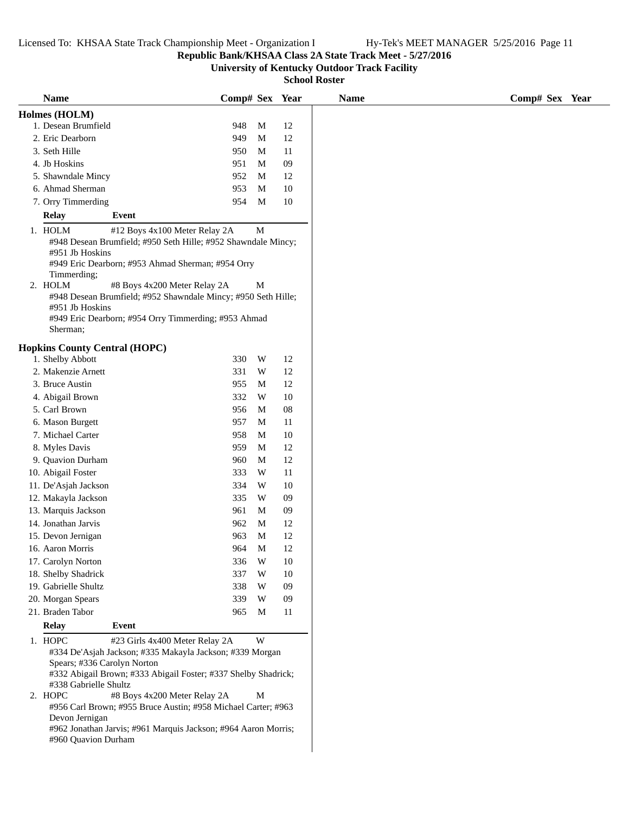**Republic Bank/KHSAA Class 2A State Track Meet - 5/27/2016**

**University of Kentucky Outdoor Track Facility**

| <b>Name</b>                                                                                                         |                                                                                                                                                                                                                                                                                                                                 | Comp# Sex Year |             |        | <b>Name</b> | Comp# Sex Year |
|---------------------------------------------------------------------------------------------------------------------|---------------------------------------------------------------------------------------------------------------------------------------------------------------------------------------------------------------------------------------------------------------------------------------------------------------------------------|----------------|-------------|--------|-------------|----------------|
| Holmes (HOLM)                                                                                                       |                                                                                                                                                                                                                                                                                                                                 |                |             |        |             |                |
| 1. Desean Brumfield                                                                                                 |                                                                                                                                                                                                                                                                                                                                 | 948            | M           | 12     |             |                |
| 2. Eric Dearborn                                                                                                    |                                                                                                                                                                                                                                                                                                                                 | 949            | M           | 12     |             |                |
| 3. Seth Hille                                                                                                       |                                                                                                                                                                                                                                                                                                                                 | 950            | M           | 11     |             |                |
| 4. Jb Hoskins                                                                                                       |                                                                                                                                                                                                                                                                                                                                 | 951            | M           | 09     |             |                |
| 5. Shawndale Mincy                                                                                                  |                                                                                                                                                                                                                                                                                                                                 | 952            | M           | 12     |             |                |
| 6. Ahmad Sherman                                                                                                    |                                                                                                                                                                                                                                                                                                                                 | 953            | M           | 10     |             |                |
| 7. Orry Timmerding                                                                                                  |                                                                                                                                                                                                                                                                                                                                 | 954            | M           | $10\,$ |             |                |
| <b>Relay</b>                                                                                                        | <b>Event</b>                                                                                                                                                                                                                                                                                                                    |                |             |        |             |                |
| 1. HOLM<br>#951 Jb Hoskins<br>Timmerding;                                                                           | #12 Boys 4x100 Meter Relay 2A<br>#948 Desean Brumfield; #950 Seth Hille; #952 Shawndale Mincy;<br>#949 Eric Dearborn; #953 Ahmad Sherman; #954 Orry                                                                                                                                                                             |                | M           |        |             |                |
| 2. HOLM<br>#951 Jb Hoskins<br>Sherman;                                                                              | #8 Boys 4x200 Meter Relay 2A<br>#948 Desean Brumfield; #952 Shawndale Mincy; #950 Seth Hille;<br>#949 Eric Dearborn; #954 Orry Timmerding; #953 Ahmad                                                                                                                                                                           |                | M           |        |             |                |
| <b>Hopkins County Central (HOPC)</b>                                                                                |                                                                                                                                                                                                                                                                                                                                 |                |             |        |             |                |
| 1. Shelby Abbott                                                                                                    |                                                                                                                                                                                                                                                                                                                                 | 330            | W           | 12     |             |                |
| 2. Makenzie Arnett                                                                                                  |                                                                                                                                                                                                                                                                                                                                 | 331            | W           | 12     |             |                |
| 3. Bruce Austin                                                                                                     |                                                                                                                                                                                                                                                                                                                                 | 955            | M           | 12     |             |                |
| 4. Abigail Brown                                                                                                    |                                                                                                                                                                                                                                                                                                                                 | 332            | W           | 10     |             |                |
| 5. Carl Brown                                                                                                       |                                                                                                                                                                                                                                                                                                                                 | 956            | M           | 08     |             |                |
| 6. Mason Burgett                                                                                                    |                                                                                                                                                                                                                                                                                                                                 | 957            | M           | 11     |             |                |
| 7. Michael Carter                                                                                                   |                                                                                                                                                                                                                                                                                                                                 | 958            | M           | 10     |             |                |
| 8. Myles Davis                                                                                                      |                                                                                                                                                                                                                                                                                                                                 | 959            | M           | 12     |             |                |
| 9. Quavion Durham                                                                                                   |                                                                                                                                                                                                                                                                                                                                 | 960            | M           | 12     |             |                |
| 10. Abigail Foster                                                                                                  |                                                                                                                                                                                                                                                                                                                                 | 333            | W           | 11     |             |                |
| 11. De'Asjah Jackson                                                                                                |                                                                                                                                                                                                                                                                                                                                 | 334            | W           | 10     |             |                |
| 12. Makayla Jackson                                                                                                 |                                                                                                                                                                                                                                                                                                                                 | 335            | W           | $09$   |             |                |
| 13. Marquis Jackson                                                                                                 |                                                                                                                                                                                                                                                                                                                                 | 961            | M           | 09     |             |                |
| 14. Jonathan Jarvis                                                                                                 |                                                                                                                                                                                                                                                                                                                                 | 962            | M           | 12     |             |                |
| 15. Devon Jernigan                                                                                                  |                                                                                                                                                                                                                                                                                                                                 | 963            | $\mathbf M$ | 12     |             |                |
| 16. Aaron Morris                                                                                                    |                                                                                                                                                                                                                                                                                                                                 | 964            | M           | 12     |             |                |
| 17. Carolyn Norton                                                                                                  |                                                                                                                                                                                                                                                                                                                                 | 336            | W           | 10     |             |                |
| 18. Shelby Shadrick                                                                                                 |                                                                                                                                                                                                                                                                                                                                 | 337            | W           | 10     |             |                |
| 19. Gabrielle Shultz                                                                                                |                                                                                                                                                                                                                                                                                                                                 | 338            | W           | 09     |             |                |
| 20. Morgan Spears                                                                                                   |                                                                                                                                                                                                                                                                                                                                 | 339            | W           | 09     |             |                |
| 21. Braden Tabor                                                                                                    |                                                                                                                                                                                                                                                                                                                                 | 965            | M           | 11     |             |                |
| <b>Relay</b>                                                                                                        | Event                                                                                                                                                                                                                                                                                                                           |                |             |        |             |                |
| 1. HOPC<br>Spears; #336 Carolyn Norton<br>#338 Gabrielle Shultz<br>2. HOPC<br>Devon Jernigan<br>#960 Quavion Durham | #23 Girls 4x400 Meter Relay 2A<br>#334 De'Asjah Jackson; #335 Makayla Jackson; #339 Morgan<br>#332 Abigail Brown; #333 Abigail Foster; #337 Shelby Shadrick;<br>#8 Boys 4x200 Meter Relay 2A<br>#956 Carl Brown; #955 Bruce Austin; #958 Michael Carter; #963<br>#962 Jonathan Jarvis; #961 Marquis Jackson; #964 Aaron Morris; |                | W<br>M      |        |             |                |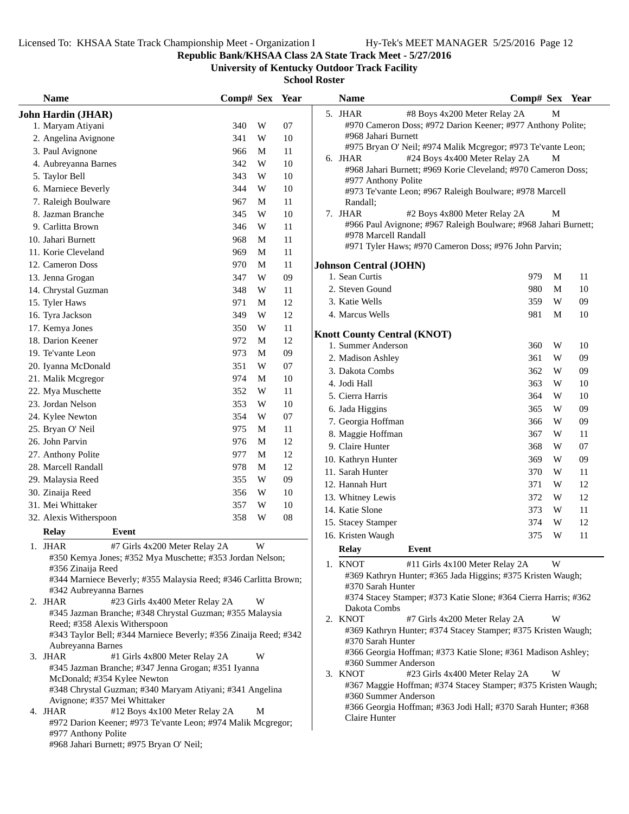**Republic Bank/KHSAA Class 2A State Track Meet - 5/27/2016**

**University of Kentucky Outdoor Track Facility**

| 5. JHAR<br>M<br>#8 Boys 4x200 Meter Relay 2A<br><b>John Hardin (JHAR)</b><br>#970 Cameron Doss; #972 Darion Keener; #977 Anthony Polite;<br>1. Maryam Atiyani<br>340<br>W<br>07<br>#968 Jahari Burnett<br>W<br>$10\,$<br>2. Angelina Avignone<br>341<br>#975 Bryan O' Neil; #974 Malik Mcgregor; #973 Te'vante Leon;<br>3. Paul Avignone<br>M<br>11<br>966<br>#24 Boys 4x400 Meter Relay 2A<br>6. JHAR<br>М<br>W<br>10<br>4. Aubreyanna Barnes<br>342<br>#968 Jahari Burnett; #969 Korie Cleveland; #970 Cameron Doss;<br>5. Taylor Bell<br>343<br>W<br>10<br>#977 Anthony Polite<br>6. Marniece Beverly<br>344<br>W<br>10<br>#973 Te'vante Leon; #967 Raleigh Boulware; #978 Marcell<br>7. Raleigh Boulware<br>967<br>11<br>M<br>Randall;<br>7. JHAR<br>8. Jazman Branche<br>10<br>#2 Boys 4x800 Meter Relay 2A<br>М<br>345<br>W<br>#966 Paul Avignone; #967 Raleigh Boulware; #968 Jahari Burnett;<br>9. Carlitta Brown<br>346<br>W<br>11<br>#978 Marcell Randall<br>10. Jahari Burnett<br>968<br>11<br>M<br>#971 Tyler Haws; #970 Cameron Doss; #976 John Parvin;<br>11. Korie Cleveland<br>969<br>M<br>11<br>12. Cameron Doss<br>970<br>M<br>11<br><b>Johnson Central (JOHN)</b><br>1. Sean Curtis<br>979<br>M<br>W<br>09<br>11<br>13. Jenna Grogan<br>347<br>2. Steven Gound<br>980<br>M<br>10<br>14. Chrystal Guzman<br>348<br>W<br>11<br>W<br>3. Katie Wells<br>359<br>09<br>12<br>15. Tyler Haws<br>971<br>M<br>4. Marcus Wells<br>981<br>M<br>10<br>12<br>349<br>W<br>16. Tyra Jackson<br>17. Kemya Jones<br>350<br>W<br>11<br><b>Knott County Central (KNOT)</b><br>12<br>18. Darion Keener<br>972<br>M<br>1. Summer Anderson<br>W<br>10<br>360<br>973<br>09<br>19. Te'vante Leon<br>M<br>2. Madison Ashley<br>361<br>W<br>09<br>20. Iyanna McDonald<br>351<br>W<br>07<br>3. Dakota Combs<br>362<br>W<br>09<br>974<br>M<br>10<br>21. Malik Mcgregor<br>4. Jodi Hall<br>363<br>W<br>10<br>W<br>22. Mya Muschette<br>352<br>11<br>W<br>5. Cierra Harris<br>364<br>10<br>W<br>10<br>23. Jordan Nelson<br>353<br>W<br>6. Jada Higgins<br>365<br>09<br>W<br>354<br>07<br>24. Kylee Newton<br>7. Georgia Hoffman<br>W<br>09<br>366<br>25. Bryan O' Neil<br>975<br>M<br>11<br>8. Maggie Hoffman<br>367<br>W<br>11<br>26. John Parvin<br>976<br>M<br>12<br>9. Claire Hunter<br>W<br>368<br>07<br>977<br>M<br>12<br>27. Anthony Polite<br>W<br>10. Kathryn Hunter<br>09<br>369<br>978<br>12<br>28. Marcell Randall<br>M<br>11. Sarah Hunter<br>370<br>W<br>11<br>355<br>W<br>09<br>29. Malaysia Reed<br>12. Hannah Hurt<br>371<br>W<br>12<br>30. Zinaija Reed<br>356<br>W<br>10<br>13. Whitney Lewis<br>372<br>W<br>12<br>31. Mei Whittaker<br>357<br>W<br>10<br>14. Katie Slone<br>373<br>W<br>11<br>${\bf 08}$<br>32. Alexis Witherspoon<br>358<br>W<br>15. Stacey Stamper<br>374<br>W<br>12<br><b>Relay</b><br>Event<br>16. Kristen Waugh<br>375<br>W<br>11<br>1. JHAR<br>W<br>#7 Girls 4x200 Meter Relay 2A<br><b>Relay</b><br>Event<br>#350 Kemya Jones; #352 Mya Muschette; #353 Jordan Nelson;<br>1. KNOT<br>#11 Girls 4x100 Meter Relay 2A<br>W<br>#356 Zinaija Reed<br>#369 Kathryn Hunter; #365 Jada Higgins; #375 Kristen Waugh;<br>#344 Marniece Beverly; #355 Malaysia Reed; #346 Carlitta Brown;<br>#370 Sarah Hunter<br>#342 Aubreyanna Barnes<br>#374 Stacey Stamper; #373 Katie Slone; #364 Cierra Harris; #362<br>2. JHAR<br>#23 Girls 4x400 Meter Relay 2A<br>W<br>Dakota Combs<br>#345 Jazman Branche; #348 Chrystal Guzman; #355 Malaysia<br>2. KNOT<br>#7 Girls 4x200 Meter Relay 2A<br>W<br>Reed; #358 Alexis Witherspoon<br>#369 Kathryn Hunter; #374 Stacey Stamper; #375 Kristen Waugh;<br>#343 Taylor Bell; #344 Marniece Beverly; #356 Zinaija Reed; #342<br>#370 Sarah Hunter<br>Aubreyanna Barnes<br>#366 Georgia Hoffman; #373 Katie Slone; #361 Madison Ashley;<br>#1 Girls 4x800 Meter Relay 2A<br>W<br>3. JHAR<br>#360 Summer Anderson<br>#345 Jazman Branche; #347 Jenna Grogan; #351 Iyanna<br>3. KNOT<br>W<br>#23 Girls 4x400 Meter Relay 2A<br>McDonald; #354 Kylee Newton<br>#367 Maggie Hoffman; #374 Stacey Stamper; #375 Kristen Waugh;<br>#348 Chrystal Guzman; #340 Maryam Atiyani; #341 Angelina<br>#360 Summer Anderson<br>Avignone; #357 Mei Whittaker<br>#366 Georgia Hoffman; #363 Jodi Hall; #370 Sarah Hunter; #368<br>4. JHAR<br>#12 Boys 4x100 Meter Relay 2A<br>M<br>Claire Hunter<br>#972 Darion Keener; #973 Te'vante Leon; #974 Malik Mcgregor;<br>#977 Anthony Polite<br>#968 Jahari Burnett; #975 Bryan O' Neil; | <b>Name</b> | Comp# Sex Year |  | <b>Name</b> | Comp# Sex Year |  |
|------------------------------------------------------------------------------------------------------------------------------------------------------------------------------------------------------------------------------------------------------------------------------------------------------------------------------------------------------------------------------------------------------------------------------------------------------------------------------------------------------------------------------------------------------------------------------------------------------------------------------------------------------------------------------------------------------------------------------------------------------------------------------------------------------------------------------------------------------------------------------------------------------------------------------------------------------------------------------------------------------------------------------------------------------------------------------------------------------------------------------------------------------------------------------------------------------------------------------------------------------------------------------------------------------------------------------------------------------------------------------------------------------------------------------------------------------------------------------------------------------------------------------------------------------------------------------------------------------------------------------------------------------------------------------------------------------------------------------------------------------------------------------------------------------------------------------------------------------------------------------------------------------------------------------------------------------------------------------------------------------------------------------------------------------------------------------------------------------------------------------------------------------------------------------------------------------------------------------------------------------------------------------------------------------------------------------------------------------------------------------------------------------------------------------------------------------------------------------------------------------------------------------------------------------------------------------------------------------------------------------------------------------------------------------------------------------------------------------------------------------------------------------------------------------------------------------------------------------------------------------------------------------------------------------------------------------------------------------------------------------------------------------------------------------------------------------------------------------------------------------------------------------------------------------------------------------------------------------------------------------------------------------------------------------------------------------------------------------------------------------------------------------------------------------------------------------------------------------------------------------------------------------------------------------------------------------------------------------------------------------------------------------------------------------------------------------------------------------------------------------------------------------------------------------------------------------------------------------------------------------------------------------------------------------------------------------------------------------------------------------------------------------------------------------------------------------------------------------------------------------------------------------------------------------------------------------------------------------------------------------------------------------------------------------------------------------------------------------------------------------------------------------------------------------------------------------------------------------|-------------|----------------|--|-------------|----------------|--|
|                                                                                                                                                                                                                                                                                                                                                                                                                                                                                                                                                                                                                                                                                                                                                                                                                                                                                                                                                                                                                                                                                                                                                                                                                                                                                                                                                                                                                                                                                                                                                                                                                                                                                                                                                                                                                                                                                                                                                                                                                                                                                                                                                                                                                                                                                                                                                                                                                                                                                                                                                                                                                                                                                                                                                                                                                                                                                                                                                                                                                                                                                                                                                                                                                                                                                                                                                                                                                                                                                                                                                                                                                                                                                                                                                                                                                                                                                                                                                                                                                                                                                                                                                                                                                                                                                                                                                                                                                                                                              |             |                |  |             |                |  |
|                                                                                                                                                                                                                                                                                                                                                                                                                                                                                                                                                                                                                                                                                                                                                                                                                                                                                                                                                                                                                                                                                                                                                                                                                                                                                                                                                                                                                                                                                                                                                                                                                                                                                                                                                                                                                                                                                                                                                                                                                                                                                                                                                                                                                                                                                                                                                                                                                                                                                                                                                                                                                                                                                                                                                                                                                                                                                                                                                                                                                                                                                                                                                                                                                                                                                                                                                                                                                                                                                                                                                                                                                                                                                                                                                                                                                                                                                                                                                                                                                                                                                                                                                                                                                                                                                                                                                                                                                                                                              |             |                |  |             |                |  |
|                                                                                                                                                                                                                                                                                                                                                                                                                                                                                                                                                                                                                                                                                                                                                                                                                                                                                                                                                                                                                                                                                                                                                                                                                                                                                                                                                                                                                                                                                                                                                                                                                                                                                                                                                                                                                                                                                                                                                                                                                                                                                                                                                                                                                                                                                                                                                                                                                                                                                                                                                                                                                                                                                                                                                                                                                                                                                                                                                                                                                                                                                                                                                                                                                                                                                                                                                                                                                                                                                                                                                                                                                                                                                                                                                                                                                                                                                                                                                                                                                                                                                                                                                                                                                                                                                                                                                                                                                                                                              |             |                |  |             |                |  |
|                                                                                                                                                                                                                                                                                                                                                                                                                                                                                                                                                                                                                                                                                                                                                                                                                                                                                                                                                                                                                                                                                                                                                                                                                                                                                                                                                                                                                                                                                                                                                                                                                                                                                                                                                                                                                                                                                                                                                                                                                                                                                                                                                                                                                                                                                                                                                                                                                                                                                                                                                                                                                                                                                                                                                                                                                                                                                                                                                                                                                                                                                                                                                                                                                                                                                                                                                                                                                                                                                                                                                                                                                                                                                                                                                                                                                                                                                                                                                                                                                                                                                                                                                                                                                                                                                                                                                                                                                                                                              |             |                |  |             |                |  |
|                                                                                                                                                                                                                                                                                                                                                                                                                                                                                                                                                                                                                                                                                                                                                                                                                                                                                                                                                                                                                                                                                                                                                                                                                                                                                                                                                                                                                                                                                                                                                                                                                                                                                                                                                                                                                                                                                                                                                                                                                                                                                                                                                                                                                                                                                                                                                                                                                                                                                                                                                                                                                                                                                                                                                                                                                                                                                                                                                                                                                                                                                                                                                                                                                                                                                                                                                                                                                                                                                                                                                                                                                                                                                                                                                                                                                                                                                                                                                                                                                                                                                                                                                                                                                                                                                                                                                                                                                                                                              |             |                |  |             |                |  |
|                                                                                                                                                                                                                                                                                                                                                                                                                                                                                                                                                                                                                                                                                                                                                                                                                                                                                                                                                                                                                                                                                                                                                                                                                                                                                                                                                                                                                                                                                                                                                                                                                                                                                                                                                                                                                                                                                                                                                                                                                                                                                                                                                                                                                                                                                                                                                                                                                                                                                                                                                                                                                                                                                                                                                                                                                                                                                                                                                                                                                                                                                                                                                                                                                                                                                                                                                                                                                                                                                                                                                                                                                                                                                                                                                                                                                                                                                                                                                                                                                                                                                                                                                                                                                                                                                                                                                                                                                                                                              |             |                |  |             |                |  |
|                                                                                                                                                                                                                                                                                                                                                                                                                                                                                                                                                                                                                                                                                                                                                                                                                                                                                                                                                                                                                                                                                                                                                                                                                                                                                                                                                                                                                                                                                                                                                                                                                                                                                                                                                                                                                                                                                                                                                                                                                                                                                                                                                                                                                                                                                                                                                                                                                                                                                                                                                                                                                                                                                                                                                                                                                                                                                                                                                                                                                                                                                                                                                                                                                                                                                                                                                                                                                                                                                                                                                                                                                                                                                                                                                                                                                                                                                                                                                                                                                                                                                                                                                                                                                                                                                                                                                                                                                                                                              |             |                |  |             |                |  |
|                                                                                                                                                                                                                                                                                                                                                                                                                                                                                                                                                                                                                                                                                                                                                                                                                                                                                                                                                                                                                                                                                                                                                                                                                                                                                                                                                                                                                                                                                                                                                                                                                                                                                                                                                                                                                                                                                                                                                                                                                                                                                                                                                                                                                                                                                                                                                                                                                                                                                                                                                                                                                                                                                                                                                                                                                                                                                                                                                                                                                                                                                                                                                                                                                                                                                                                                                                                                                                                                                                                                                                                                                                                                                                                                                                                                                                                                                                                                                                                                                                                                                                                                                                                                                                                                                                                                                                                                                                                                              |             |                |  |             |                |  |
|                                                                                                                                                                                                                                                                                                                                                                                                                                                                                                                                                                                                                                                                                                                                                                                                                                                                                                                                                                                                                                                                                                                                                                                                                                                                                                                                                                                                                                                                                                                                                                                                                                                                                                                                                                                                                                                                                                                                                                                                                                                                                                                                                                                                                                                                                                                                                                                                                                                                                                                                                                                                                                                                                                                                                                                                                                                                                                                                                                                                                                                                                                                                                                                                                                                                                                                                                                                                                                                                                                                                                                                                                                                                                                                                                                                                                                                                                                                                                                                                                                                                                                                                                                                                                                                                                                                                                                                                                                                                              |             |                |  |             |                |  |
|                                                                                                                                                                                                                                                                                                                                                                                                                                                                                                                                                                                                                                                                                                                                                                                                                                                                                                                                                                                                                                                                                                                                                                                                                                                                                                                                                                                                                                                                                                                                                                                                                                                                                                                                                                                                                                                                                                                                                                                                                                                                                                                                                                                                                                                                                                                                                                                                                                                                                                                                                                                                                                                                                                                                                                                                                                                                                                                                                                                                                                                                                                                                                                                                                                                                                                                                                                                                                                                                                                                                                                                                                                                                                                                                                                                                                                                                                                                                                                                                                                                                                                                                                                                                                                                                                                                                                                                                                                                                              |             |                |  |             |                |  |
|                                                                                                                                                                                                                                                                                                                                                                                                                                                                                                                                                                                                                                                                                                                                                                                                                                                                                                                                                                                                                                                                                                                                                                                                                                                                                                                                                                                                                                                                                                                                                                                                                                                                                                                                                                                                                                                                                                                                                                                                                                                                                                                                                                                                                                                                                                                                                                                                                                                                                                                                                                                                                                                                                                                                                                                                                                                                                                                                                                                                                                                                                                                                                                                                                                                                                                                                                                                                                                                                                                                                                                                                                                                                                                                                                                                                                                                                                                                                                                                                                                                                                                                                                                                                                                                                                                                                                                                                                                                                              |             |                |  |             |                |  |
|                                                                                                                                                                                                                                                                                                                                                                                                                                                                                                                                                                                                                                                                                                                                                                                                                                                                                                                                                                                                                                                                                                                                                                                                                                                                                                                                                                                                                                                                                                                                                                                                                                                                                                                                                                                                                                                                                                                                                                                                                                                                                                                                                                                                                                                                                                                                                                                                                                                                                                                                                                                                                                                                                                                                                                                                                                                                                                                                                                                                                                                                                                                                                                                                                                                                                                                                                                                                                                                                                                                                                                                                                                                                                                                                                                                                                                                                                                                                                                                                                                                                                                                                                                                                                                                                                                                                                                                                                                                                              |             |                |  |             |                |  |
|                                                                                                                                                                                                                                                                                                                                                                                                                                                                                                                                                                                                                                                                                                                                                                                                                                                                                                                                                                                                                                                                                                                                                                                                                                                                                                                                                                                                                                                                                                                                                                                                                                                                                                                                                                                                                                                                                                                                                                                                                                                                                                                                                                                                                                                                                                                                                                                                                                                                                                                                                                                                                                                                                                                                                                                                                                                                                                                                                                                                                                                                                                                                                                                                                                                                                                                                                                                                                                                                                                                                                                                                                                                                                                                                                                                                                                                                                                                                                                                                                                                                                                                                                                                                                                                                                                                                                                                                                                                                              |             |                |  |             |                |  |
|                                                                                                                                                                                                                                                                                                                                                                                                                                                                                                                                                                                                                                                                                                                                                                                                                                                                                                                                                                                                                                                                                                                                                                                                                                                                                                                                                                                                                                                                                                                                                                                                                                                                                                                                                                                                                                                                                                                                                                                                                                                                                                                                                                                                                                                                                                                                                                                                                                                                                                                                                                                                                                                                                                                                                                                                                                                                                                                                                                                                                                                                                                                                                                                                                                                                                                                                                                                                                                                                                                                                                                                                                                                                                                                                                                                                                                                                                                                                                                                                                                                                                                                                                                                                                                                                                                                                                                                                                                                                              |             |                |  |             |                |  |
|                                                                                                                                                                                                                                                                                                                                                                                                                                                                                                                                                                                                                                                                                                                                                                                                                                                                                                                                                                                                                                                                                                                                                                                                                                                                                                                                                                                                                                                                                                                                                                                                                                                                                                                                                                                                                                                                                                                                                                                                                                                                                                                                                                                                                                                                                                                                                                                                                                                                                                                                                                                                                                                                                                                                                                                                                                                                                                                                                                                                                                                                                                                                                                                                                                                                                                                                                                                                                                                                                                                                                                                                                                                                                                                                                                                                                                                                                                                                                                                                                                                                                                                                                                                                                                                                                                                                                                                                                                                                              |             |                |  |             |                |  |
|                                                                                                                                                                                                                                                                                                                                                                                                                                                                                                                                                                                                                                                                                                                                                                                                                                                                                                                                                                                                                                                                                                                                                                                                                                                                                                                                                                                                                                                                                                                                                                                                                                                                                                                                                                                                                                                                                                                                                                                                                                                                                                                                                                                                                                                                                                                                                                                                                                                                                                                                                                                                                                                                                                                                                                                                                                                                                                                                                                                                                                                                                                                                                                                                                                                                                                                                                                                                                                                                                                                                                                                                                                                                                                                                                                                                                                                                                                                                                                                                                                                                                                                                                                                                                                                                                                                                                                                                                                                                              |             |                |  |             |                |  |
|                                                                                                                                                                                                                                                                                                                                                                                                                                                                                                                                                                                                                                                                                                                                                                                                                                                                                                                                                                                                                                                                                                                                                                                                                                                                                                                                                                                                                                                                                                                                                                                                                                                                                                                                                                                                                                                                                                                                                                                                                                                                                                                                                                                                                                                                                                                                                                                                                                                                                                                                                                                                                                                                                                                                                                                                                                                                                                                                                                                                                                                                                                                                                                                                                                                                                                                                                                                                                                                                                                                                                                                                                                                                                                                                                                                                                                                                                                                                                                                                                                                                                                                                                                                                                                                                                                                                                                                                                                                                              |             |                |  |             |                |  |
|                                                                                                                                                                                                                                                                                                                                                                                                                                                                                                                                                                                                                                                                                                                                                                                                                                                                                                                                                                                                                                                                                                                                                                                                                                                                                                                                                                                                                                                                                                                                                                                                                                                                                                                                                                                                                                                                                                                                                                                                                                                                                                                                                                                                                                                                                                                                                                                                                                                                                                                                                                                                                                                                                                                                                                                                                                                                                                                                                                                                                                                                                                                                                                                                                                                                                                                                                                                                                                                                                                                                                                                                                                                                                                                                                                                                                                                                                                                                                                                                                                                                                                                                                                                                                                                                                                                                                                                                                                                                              |             |                |  |             |                |  |
|                                                                                                                                                                                                                                                                                                                                                                                                                                                                                                                                                                                                                                                                                                                                                                                                                                                                                                                                                                                                                                                                                                                                                                                                                                                                                                                                                                                                                                                                                                                                                                                                                                                                                                                                                                                                                                                                                                                                                                                                                                                                                                                                                                                                                                                                                                                                                                                                                                                                                                                                                                                                                                                                                                                                                                                                                                                                                                                                                                                                                                                                                                                                                                                                                                                                                                                                                                                                                                                                                                                                                                                                                                                                                                                                                                                                                                                                                                                                                                                                                                                                                                                                                                                                                                                                                                                                                                                                                                                                              |             |                |  |             |                |  |
|                                                                                                                                                                                                                                                                                                                                                                                                                                                                                                                                                                                                                                                                                                                                                                                                                                                                                                                                                                                                                                                                                                                                                                                                                                                                                                                                                                                                                                                                                                                                                                                                                                                                                                                                                                                                                                                                                                                                                                                                                                                                                                                                                                                                                                                                                                                                                                                                                                                                                                                                                                                                                                                                                                                                                                                                                                                                                                                                                                                                                                                                                                                                                                                                                                                                                                                                                                                                                                                                                                                                                                                                                                                                                                                                                                                                                                                                                                                                                                                                                                                                                                                                                                                                                                                                                                                                                                                                                                                                              |             |                |  |             |                |  |
|                                                                                                                                                                                                                                                                                                                                                                                                                                                                                                                                                                                                                                                                                                                                                                                                                                                                                                                                                                                                                                                                                                                                                                                                                                                                                                                                                                                                                                                                                                                                                                                                                                                                                                                                                                                                                                                                                                                                                                                                                                                                                                                                                                                                                                                                                                                                                                                                                                                                                                                                                                                                                                                                                                                                                                                                                                                                                                                                                                                                                                                                                                                                                                                                                                                                                                                                                                                                                                                                                                                                                                                                                                                                                                                                                                                                                                                                                                                                                                                                                                                                                                                                                                                                                                                                                                                                                                                                                                                                              |             |                |  |             |                |  |
|                                                                                                                                                                                                                                                                                                                                                                                                                                                                                                                                                                                                                                                                                                                                                                                                                                                                                                                                                                                                                                                                                                                                                                                                                                                                                                                                                                                                                                                                                                                                                                                                                                                                                                                                                                                                                                                                                                                                                                                                                                                                                                                                                                                                                                                                                                                                                                                                                                                                                                                                                                                                                                                                                                                                                                                                                                                                                                                                                                                                                                                                                                                                                                                                                                                                                                                                                                                                                                                                                                                                                                                                                                                                                                                                                                                                                                                                                                                                                                                                                                                                                                                                                                                                                                                                                                                                                                                                                                                                              |             |                |  |             |                |  |
|                                                                                                                                                                                                                                                                                                                                                                                                                                                                                                                                                                                                                                                                                                                                                                                                                                                                                                                                                                                                                                                                                                                                                                                                                                                                                                                                                                                                                                                                                                                                                                                                                                                                                                                                                                                                                                                                                                                                                                                                                                                                                                                                                                                                                                                                                                                                                                                                                                                                                                                                                                                                                                                                                                                                                                                                                                                                                                                                                                                                                                                                                                                                                                                                                                                                                                                                                                                                                                                                                                                                                                                                                                                                                                                                                                                                                                                                                                                                                                                                                                                                                                                                                                                                                                                                                                                                                                                                                                                                              |             |                |  |             |                |  |
|                                                                                                                                                                                                                                                                                                                                                                                                                                                                                                                                                                                                                                                                                                                                                                                                                                                                                                                                                                                                                                                                                                                                                                                                                                                                                                                                                                                                                                                                                                                                                                                                                                                                                                                                                                                                                                                                                                                                                                                                                                                                                                                                                                                                                                                                                                                                                                                                                                                                                                                                                                                                                                                                                                                                                                                                                                                                                                                                                                                                                                                                                                                                                                                                                                                                                                                                                                                                                                                                                                                                                                                                                                                                                                                                                                                                                                                                                                                                                                                                                                                                                                                                                                                                                                                                                                                                                                                                                                                                              |             |                |  |             |                |  |
|                                                                                                                                                                                                                                                                                                                                                                                                                                                                                                                                                                                                                                                                                                                                                                                                                                                                                                                                                                                                                                                                                                                                                                                                                                                                                                                                                                                                                                                                                                                                                                                                                                                                                                                                                                                                                                                                                                                                                                                                                                                                                                                                                                                                                                                                                                                                                                                                                                                                                                                                                                                                                                                                                                                                                                                                                                                                                                                                                                                                                                                                                                                                                                                                                                                                                                                                                                                                                                                                                                                                                                                                                                                                                                                                                                                                                                                                                                                                                                                                                                                                                                                                                                                                                                                                                                                                                                                                                                                                              |             |                |  |             |                |  |
|                                                                                                                                                                                                                                                                                                                                                                                                                                                                                                                                                                                                                                                                                                                                                                                                                                                                                                                                                                                                                                                                                                                                                                                                                                                                                                                                                                                                                                                                                                                                                                                                                                                                                                                                                                                                                                                                                                                                                                                                                                                                                                                                                                                                                                                                                                                                                                                                                                                                                                                                                                                                                                                                                                                                                                                                                                                                                                                                                                                                                                                                                                                                                                                                                                                                                                                                                                                                                                                                                                                                                                                                                                                                                                                                                                                                                                                                                                                                                                                                                                                                                                                                                                                                                                                                                                                                                                                                                                                                              |             |                |  |             |                |  |
|                                                                                                                                                                                                                                                                                                                                                                                                                                                                                                                                                                                                                                                                                                                                                                                                                                                                                                                                                                                                                                                                                                                                                                                                                                                                                                                                                                                                                                                                                                                                                                                                                                                                                                                                                                                                                                                                                                                                                                                                                                                                                                                                                                                                                                                                                                                                                                                                                                                                                                                                                                                                                                                                                                                                                                                                                                                                                                                                                                                                                                                                                                                                                                                                                                                                                                                                                                                                                                                                                                                                                                                                                                                                                                                                                                                                                                                                                                                                                                                                                                                                                                                                                                                                                                                                                                                                                                                                                                                                              |             |                |  |             |                |  |
|                                                                                                                                                                                                                                                                                                                                                                                                                                                                                                                                                                                                                                                                                                                                                                                                                                                                                                                                                                                                                                                                                                                                                                                                                                                                                                                                                                                                                                                                                                                                                                                                                                                                                                                                                                                                                                                                                                                                                                                                                                                                                                                                                                                                                                                                                                                                                                                                                                                                                                                                                                                                                                                                                                                                                                                                                                                                                                                                                                                                                                                                                                                                                                                                                                                                                                                                                                                                                                                                                                                                                                                                                                                                                                                                                                                                                                                                                                                                                                                                                                                                                                                                                                                                                                                                                                                                                                                                                                                                              |             |                |  |             |                |  |
|                                                                                                                                                                                                                                                                                                                                                                                                                                                                                                                                                                                                                                                                                                                                                                                                                                                                                                                                                                                                                                                                                                                                                                                                                                                                                                                                                                                                                                                                                                                                                                                                                                                                                                                                                                                                                                                                                                                                                                                                                                                                                                                                                                                                                                                                                                                                                                                                                                                                                                                                                                                                                                                                                                                                                                                                                                                                                                                                                                                                                                                                                                                                                                                                                                                                                                                                                                                                                                                                                                                                                                                                                                                                                                                                                                                                                                                                                                                                                                                                                                                                                                                                                                                                                                                                                                                                                                                                                                                                              |             |                |  |             |                |  |
|                                                                                                                                                                                                                                                                                                                                                                                                                                                                                                                                                                                                                                                                                                                                                                                                                                                                                                                                                                                                                                                                                                                                                                                                                                                                                                                                                                                                                                                                                                                                                                                                                                                                                                                                                                                                                                                                                                                                                                                                                                                                                                                                                                                                                                                                                                                                                                                                                                                                                                                                                                                                                                                                                                                                                                                                                                                                                                                                                                                                                                                                                                                                                                                                                                                                                                                                                                                                                                                                                                                                                                                                                                                                                                                                                                                                                                                                                                                                                                                                                                                                                                                                                                                                                                                                                                                                                                                                                                                                              |             |                |  |             |                |  |
|                                                                                                                                                                                                                                                                                                                                                                                                                                                                                                                                                                                                                                                                                                                                                                                                                                                                                                                                                                                                                                                                                                                                                                                                                                                                                                                                                                                                                                                                                                                                                                                                                                                                                                                                                                                                                                                                                                                                                                                                                                                                                                                                                                                                                                                                                                                                                                                                                                                                                                                                                                                                                                                                                                                                                                                                                                                                                                                                                                                                                                                                                                                                                                                                                                                                                                                                                                                                                                                                                                                                                                                                                                                                                                                                                                                                                                                                                                                                                                                                                                                                                                                                                                                                                                                                                                                                                                                                                                                                              |             |                |  |             |                |  |
|                                                                                                                                                                                                                                                                                                                                                                                                                                                                                                                                                                                                                                                                                                                                                                                                                                                                                                                                                                                                                                                                                                                                                                                                                                                                                                                                                                                                                                                                                                                                                                                                                                                                                                                                                                                                                                                                                                                                                                                                                                                                                                                                                                                                                                                                                                                                                                                                                                                                                                                                                                                                                                                                                                                                                                                                                                                                                                                                                                                                                                                                                                                                                                                                                                                                                                                                                                                                                                                                                                                                                                                                                                                                                                                                                                                                                                                                                                                                                                                                                                                                                                                                                                                                                                                                                                                                                                                                                                                                              |             |                |  |             |                |  |
|                                                                                                                                                                                                                                                                                                                                                                                                                                                                                                                                                                                                                                                                                                                                                                                                                                                                                                                                                                                                                                                                                                                                                                                                                                                                                                                                                                                                                                                                                                                                                                                                                                                                                                                                                                                                                                                                                                                                                                                                                                                                                                                                                                                                                                                                                                                                                                                                                                                                                                                                                                                                                                                                                                                                                                                                                                                                                                                                                                                                                                                                                                                                                                                                                                                                                                                                                                                                                                                                                                                                                                                                                                                                                                                                                                                                                                                                                                                                                                                                                                                                                                                                                                                                                                                                                                                                                                                                                                                                              |             |                |  |             |                |  |
|                                                                                                                                                                                                                                                                                                                                                                                                                                                                                                                                                                                                                                                                                                                                                                                                                                                                                                                                                                                                                                                                                                                                                                                                                                                                                                                                                                                                                                                                                                                                                                                                                                                                                                                                                                                                                                                                                                                                                                                                                                                                                                                                                                                                                                                                                                                                                                                                                                                                                                                                                                                                                                                                                                                                                                                                                                                                                                                                                                                                                                                                                                                                                                                                                                                                                                                                                                                                                                                                                                                                                                                                                                                                                                                                                                                                                                                                                                                                                                                                                                                                                                                                                                                                                                                                                                                                                                                                                                                                              |             |                |  |             |                |  |
|                                                                                                                                                                                                                                                                                                                                                                                                                                                                                                                                                                                                                                                                                                                                                                                                                                                                                                                                                                                                                                                                                                                                                                                                                                                                                                                                                                                                                                                                                                                                                                                                                                                                                                                                                                                                                                                                                                                                                                                                                                                                                                                                                                                                                                                                                                                                                                                                                                                                                                                                                                                                                                                                                                                                                                                                                                                                                                                                                                                                                                                                                                                                                                                                                                                                                                                                                                                                                                                                                                                                                                                                                                                                                                                                                                                                                                                                                                                                                                                                                                                                                                                                                                                                                                                                                                                                                                                                                                                                              |             |                |  |             |                |  |
|                                                                                                                                                                                                                                                                                                                                                                                                                                                                                                                                                                                                                                                                                                                                                                                                                                                                                                                                                                                                                                                                                                                                                                                                                                                                                                                                                                                                                                                                                                                                                                                                                                                                                                                                                                                                                                                                                                                                                                                                                                                                                                                                                                                                                                                                                                                                                                                                                                                                                                                                                                                                                                                                                                                                                                                                                                                                                                                                                                                                                                                                                                                                                                                                                                                                                                                                                                                                                                                                                                                                                                                                                                                                                                                                                                                                                                                                                                                                                                                                                                                                                                                                                                                                                                                                                                                                                                                                                                                                              |             |                |  |             |                |  |
|                                                                                                                                                                                                                                                                                                                                                                                                                                                                                                                                                                                                                                                                                                                                                                                                                                                                                                                                                                                                                                                                                                                                                                                                                                                                                                                                                                                                                                                                                                                                                                                                                                                                                                                                                                                                                                                                                                                                                                                                                                                                                                                                                                                                                                                                                                                                                                                                                                                                                                                                                                                                                                                                                                                                                                                                                                                                                                                                                                                                                                                                                                                                                                                                                                                                                                                                                                                                                                                                                                                                                                                                                                                                                                                                                                                                                                                                                                                                                                                                                                                                                                                                                                                                                                                                                                                                                                                                                                                                              |             |                |  |             |                |  |
|                                                                                                                                                                                                                                                                                                                                                                                                                                                                                                                                                                                                                                                                                                                                                                                                                                                                                                                                                                                                                                                                                                                                                                                                                                                                                                                                                                                                                                                                                                                                                                                                                                                                                                                                                                                                                                                                                                                                                                                                                                                                                                                                                                                                                                                                                                                                                                                                                                                                                                                                                                                                                                                                                                                                                                                                                                                                                                                                                                                                                                                                                                                                                                                                                                                                                                                                                                                                                                                                                                                                                                                                                                                                                                                                                                                                                                                                                                                                                                                                                                                                                                                                                                                                                                                                                                                                                                                                                                                                              |             |                |  |             |                |  |
|                                                                                                                                                                                                                                                                                                                                                                                                                                                                                                                                                                                                                                                                                                                                                                                                                                                                                                                                                                                                                                                                                                                                                                                                                                                                                                                                                                                                                                                                                                                                                                                                                                                                                                                                                                                                                                                                                                                                                                                                                                                                                                                                                                                                                                                                                                                                                                                                                                                                                                                                                                                                                                                                                                                                                                                                                                                                                                                                                                                                                                                                                                                                                                                                                                                                                                                                                                                                                                                                                                                                                                                                                                                                                                                                                                                                                                                                                                                                                                                                                                                                                                                                                                                                                                                                                                                                                                                                                                                                              |             |                |  |             |                |  |
|                                                                                                                                                                                                                                                                                                                                                                                                                                                                                                                                                                                                                                                                                                                                                                                                                                                                                                                                                                                                                                                                                                                                                                                                                                                                                                                                                                                                                                                                                                                                                                                                                                                                                                                                                                                                                                                                                                                                                                                                                                                                                                                                                                                                                                                                                                                                                                                                                                                                                                                                                                                                                                                                                                                                                                                                                                                                                                                                                                                                                                                                                                                                                                                                                                                                                                                                                                                                                                                                                                                                                                                                                                                                                                                                                                                                                                                                                                                                                                                                                                                                                                                                                                                                                                                                                                                                                                                                                                                                              |             |                |  |             |                |  |
|                                                                                                                                                                                                                                                                                                                                                                                                                                                                                                                                                                                                                                                                                                                                                                                                                                                                                                                                                                                                                                                                                                                                                                                                                                                                                                                                                                                                                                                                                                                                                                                                                                                                                                                                                                                                                                                                                                                                                                                                                                                                                                                                                                                                                                                                                                                                                                                                                                                                                                                                                                                                                                                                                                                                                                                                                                                                                                                                                                                                                                                                                                                                                                                                                                                                                                                                                                                                                                                                                                                                                                                                                                                                                                                                                                                                                                                                                                                                                                                                                                                                                                                                                                                                                                                                                                                                                                                                                                                                              |             |                |  |             |                |  |
|                                                                                                                                                                                                                                                                                                                                                                                                                                                                                                                                                                                                                                                                                                                                                                                                                                                                                                                                                                                                                                                                                                                                                                                                                                                                                                                                                                                                                                                                                                                                                                                                                                                                                                                                                                                                                                                                                                                                                                                                                                                                                                                                                                                                                                                                                                                                                                                                                                                                                                                                                                                                                                                                                                                                                                                                                                                                                                                                                                                                                                                                                                                                                                                                                                                                                                                                                                                                                                                                                                                                                                                                                                                                                                                                                                                                                                                                                                                                                                                                                                                                                                                                                                                                                                                                                                                                                                                                                                                                              |             |                |  |             |                |  |
|                                                                                                                                                                                                                                                                                                                                                                                                                                                                                                                                                                                                                                                                                                                                                                                                                                                                                                                                                                                                                                                                                                                                                                                                                                                                                                                                                                                                                                                                                                                                                                                                                                                                                                                                                                                                                                                                                                                                                                                                                                                                                                                                                                                                                                                                                                                                                                                                                                                                                                                                                                                                                                                                                                                                                                                                                                                                                                                                                                                                                                                                                                                                                                                                                                                                                                                                                                                                                                                                                                                                                                                                                                                                                                                                                                                                                                                                                                                                                                                                                                                                                                                                                                                                                                                                                                                                                                                                                                                                              |             |                |  |             |                |  |
|                                                                                                                                                                                                                                                                                                                                                                                                                                                                                                                                                                                                                                                                                                                                                                                                                                                                                                                                                                                                                                                                                                                                                                                                                                                                                                                                                                                                                                                                                                                                                                                                                                                                                                                                                                                                                                                                                                                                                                                                                                                                                                                                                                                                                                                                                                                                                                                                                                                                                                                                                                                                                                                                                                                                                                                                                                                                                                                                                                                                                                                                                                                                                                                                                                                                                                                                                                                                                                                                                                                                                                                                                                                                                                                                                                                                                                                                                                                                                                                                                                                                                                                                                                                                                                                                                                                                                                                                                                                                              |             |                |  |             |                |  |
|                                                                                                                                                                                                                                                                                                                                                                                                                                                                                                                                                                                                                                                                                                                                                                                                                                                                                                                                                                                                                                                                                                                                                                                                                                                                                                                                                                                                                                                                                                                                                                                                                                                                                                                                                                                                                                                                                                                                                                                                                                                                                                                                                                                                                                                                                                                                                                                                                                                                                                                                                                                                                                                                                                                                                                                                                                                                                                                                                                                                                                                                                                                                                                                                                                                                                                                                                                                                                                                                                                                                                                                                                                                                                                                                                                                                                                                                                                                                                                                                                                                                                                                                                                                                                                                                                                                                                                                                                                                                              |             |                |  |             |                |  |
|                                                                                                                                                                                                                                                                                                                                                                                                                                                                                                                                                                                                                                                                                                                                                                                                                                                                                                                                                                                                                                                                                                                                                                                                                                                                                                                                                                                                                                                                                                                                                                                                                                                                                                                                                                                                                                                                                                                                                                                                                                                                                                                                                                                                                                                                                                                                                                                                                                                                                                                                                                                                                                                                                                                                                                                                                                                                                                                                                                                                                                                                                                                                                                                                                                                                                                                                                                                                                                                                                                                                                                                                                                                                                                                                                                                                                                                                                                                                                                                                                                                                                                                                                                                                                                                                                                                                                                                                                                                                              |             |                |  |             |                |  |
|                                                                                                                                                                                                                                                                                                                                                                                                                                                                                                                                                                                                                                                                                                                                                                                                                                                                                                                                                                                                                                                                                                                                                                                                                                                                                                                                                                                                                                                                                                                                                                                                                                                                                                                                                                                                                                                                                                                                                                                                                                                                                                                                                                                                                                                                                                                                                                                                                                                                                                                                                                                                                                                                                                                                                                                                                                                                                                                                                                                                                                                                                                                                                                                                                                                                                                                                                                                                                                                                                                                                                                                                                                                                                                                                                                                                                                                                                                                                                                                                                                                                                                                                                                                                                                                                                                                                                                                                                                                                              |             |                |  |             |                |  |
|                                                                                                                                                                                                                                                                                                                                                                                                                                                                                                                                                                                                                                                                                                                                                                                                                                                                                                                                                                                                                                                                                                                                                                                                                                                                                                                                                                                                                                                                                                                                                                                                                                                                                                                                                                                                                                                                                                                                                                                                                                                                                                                                                                                                                                                                                                                                                                                                                                                                                                                                                                                                                                                                                                                                                                                                                                                                                                                                                                                                                                                                                                                                                                                                                                                                                                                                                                                                                                                                                                                                                                                                                                                                                                                                                                                                                                                                                                                                                                                                                                                                                                                                                                                                                                                                                                                                                                                                                                                                              |             |                |  |             |                |  |
|                                                                                                                                                                                                                                                                                                                                                                                                                                                                                                                                                                                                                                                                                                                                                                                                                                                                                                                                                                                                                                                                                                                                                                                                                                                                                                                                                                                                                                                                                                                                                                                                                                                                                                                                                                                                                                                                                                                                                                                                                                                                                                                                                                                                                                                                                                                                                                                                                                                                                                                                                                                                                                                                                                                                                                                                                                                                                                                                                                                                                                                                                                                                                                                                                                                                                                                                                                                                                                                                                                                                                                                                                                                                                                                                                                                                                                                                                                                                                                                                                                                                                                                                                                                                                                                                                                                                                                                                                                                                              |             |                |  |             |                |  |
|                                                                                                                                                                                                                                                                                                                                                                                                                                                                                                                                                                                                                                                                                                                                                                                                                                                                                                                                                                                                                                                                                                                                                                                                                                                                                                                                                                                                                                                                                                                                                                                                                                                                                                                                                                                                                                                                                                                                                                                                                                                                                                                                                                                                                                                                                                                                                                                                                                                                                                                                                                                                                                                                                                                                                                                                                                                                                                                                                                                                                                                                                                                                                                                                                                                                                                                                                                                                                                                                                                                                                                                                                                                                                                                                                                                                                                                                                                                                                                                                                                                                                                                                                                                                                                                                                                                                                                                                                                                                              |             |                |  |             |                |  |
|                                                                                                                                                                                                                                                                                                                                                                                                                                                                                                                                                                                                                                                                                                                                                                                                                                                                                                                                                                                                                                                                                                                                                                                                                                                                                                                                                                                                                                                                                                                                                                                                                                                                                                                                                                                                                                                                                                                                                                                                                                                                                                                                                                                                                                                                                                                                                                                                                                                                                                                                                                                                                                                                                                                                                                                                                                                                                                                                                                                                                                                                                                                                                                                                                                                                                                                                                                                                                                                                                                                                                                                                                                                                                                                                                                                                                                                                                                                                                                                                                                                                                                                                                                                                                                                                                                                                                                                                                                                                              |             |                |  |             |                |  |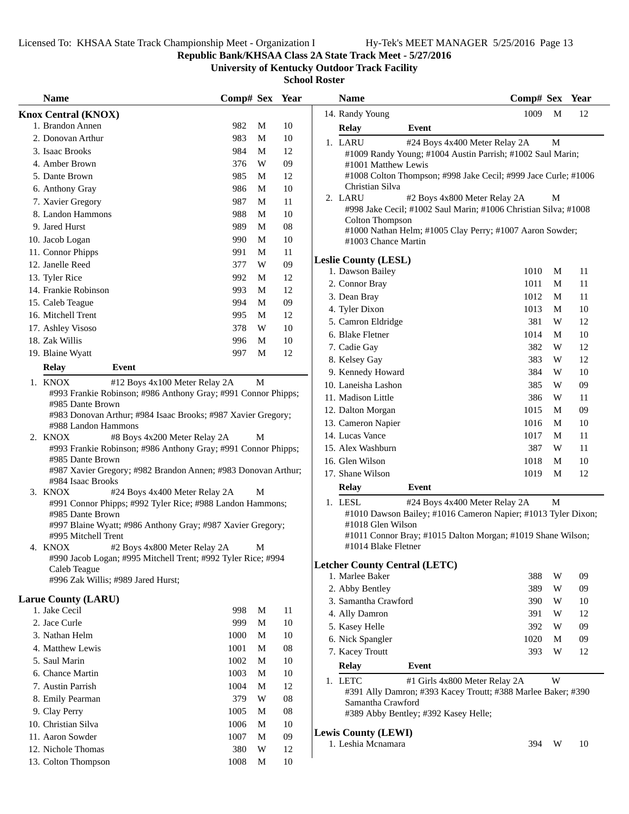# **Republic Bank/KHSAA Class 2A State Track Meet - 5/27/2016**

**University of Kentucky Outdoor Track Facility**

| <b>Name</b>                                                                                               | Comp# Sex Year |              |            | <b>Name</b>                                                                        | Comp# Sex Year |        |    |
|-----------------------------------------------------------------------------------------------------------|----------------|--------------|------------|------------------------------------------------------------------------------------|----------------|--------|----|
| <b>Knox Central (KNOX)</b>                                                                                |                |              |            | 14. Randy Young                                                                    | 1009           | M      | 12 |
| 1. Brandon Annen                                                                                          | 982            | M            | 10         | <b>Relay</b><br>Event                                                              |                |        |    |
| 2. Donovan Arthur                                                                                         | 983            | M            | 10         | 1. LARU<br>#24 Boys 4x400 Meter Relay 2A                                           |                | M      |    |
| 3. Isaac Brooks                                                                                           | 984            | M            | 12         | #1009 Randy Young; #1004 Austin Parrish; #1002 Saul Marin;                         |                |        |    |
| 4. Amber Brown                                                                                            | 376            | W            | 09         | #1001 Matthew Lewis                                                                |                |        |    |
| 5. Dante Brown                                                                                            | 985            | M            | 12         | #1008 Colton Thompson; #998 Jake Cecil; #999 Jace Curle; #1006                     |                |        |    |
| 6. Anthony Gray                                                                                           | 986            | M            | 10         | Christian Silva                                                                    |                |        |    |
| 7. Xavier Gregory                                                                                         | 987            | M            | 11         | 2. LARU<br>#2 Boys 4x800 Meter Relay 2A                                            |                | M      |    |
| 8. Landon Hammons                                                                                         | 988            | M            | 10         | #998 Jake Cecil; #1002 Saul Marin; #1006 Christian Silva; #1008<br>Colton Thompson |                |        |    |
| 9. Jared Hurst                                                                                            | 989            | M            | 08         | #1000 Nathan Helm; #1005 Clay Perry; #1007 Aaron Sowder;                           |                |        |    |
| 10. Jacob Logan                                                                                           | 990            | M            | 10         | #1003 Chance Martin                                                                |                |        |    |
| 11. Connor Phipps                                                                                         | 991            | M            | 11         |                                                                                    |                |        |    |
| 12. Janelle Reed                                                                                          | 377            | W            | 09         | <b>Leslie County (LESL)</b>                                                        |                |        |    |
| 13. Tyler Rice                                                                                            | 992            | M            | 12         | 1. Dawson Bailey                                                                   | 1010           | M<br>M | 11 |
| 14. Frankie Robinson                                                                                      | 993            | M            | 12         | 2. Connor Bray                                                                     | 1011           | M      | 11 |
| 15. Caleb Teague                                                                                          | 994            | M            | 09         | 3. Dean Bray                                                                       | 1012           |        | 11 |
| 16. Mitchell Trent                                                                                        | 995            | M            | 12         | 4. Tyler Dixon                                                                     | 1013           | M      | 10 |
| 17. Ashley Visoso                                                                                         | 378            | W            | 10         | 5. Camron Eldridge                                                                 | 381            | W      | 12 |
| 18. Zak Willis                                                                                            | 996            | M            | $10\,$     | 6. Blake Fletner                                                                   | 1014           | M      | 10 |
| 19. Blaine Wyatt                                                                                          | 997            | M            | 12         | 7. Cadie Gay                                                                       | 382            | W      | 12 |
| <b>Relay</b><br>Event                                                                                     |                |              |            | 8. Kelsey Gay                                                                      | 383            | W      | 12 |
|                                                                                                           |                |              |            | 9. Kennedy Howard                                                                  | 384            | W      | 10 |
| 1. KNOX<br>#12 Boys 4x100 Meter Relay 2A<br>#993 Frankie Robinson; #986 Anthony Gray; #991 Connor Phipps; |                | $\mathbf{M}$ |            | 10. Laneisha Lashon                                                                | 385            | W      | 09 |
| #985 Dante Brown                                                                                          |                |              |            | 11. Madison Little                                                                 | 386            | W      | 11 |
| #983 Donovan Arthur; #984 Isaac Brooks; #987 Xavier Gregory;                                              |                |              |            | 12. Dalton Morgan                                                                  | 1015           | M      | 09 |
| #988 Landon Hammons                                                                                       |                |              |            | 13. Cameron Napier                                                                 | 1016           | M      | 10 |
| 2. KNOX<br>#8 Boys 4x200 Meter Relay 2A                                                                   |                | M            |            | 14. Lucas Vance                                                                    | 1017           | M      | 11 |
| #993 Frankie Robinson; #986 Anthony Gray; #991 Connor Phipps;                                             |                |              |            | 15. Alex Washburn                                                                  | 387            | W      | 11 |
| #985 Dante Brown                                                                                          |                |              |            | 16. Glen Wilson                                                                    | 1018           | M      | 10 |
| #987 Xavier Gregory; #982 Brandon Annen; #983 Donovan Arthur;                                             |                |              |            | 17. Shane Wilson                                                                   | 1019           | M      | 12 |
| #984 Isaac Brooks<br>3. KNOX<br>#24 Boys 4x400 Meter Relay 2A                                             |                | M            |            | <b>Relay</b><br>Event                                                              |                |        |    |
| #991 Connor Phipps; #992 Tyler Rice; #988 Landon Hammons;                                                 |                |              |            | 1. LESL<br>#24 Boys 4x400 Meter Relay 2A                                           |                | M      |    |
| #985 Dante Brown                                                                                          |                |              |            | #1010 Dawson Bailey; #1016 Cameron Napier; #1013 Tyler Dixon;                      |                |        |    |
| #997 Blaine Wyatt; #986 Anthony Gray; #987 Xavier Gregory;                                                |                |              |            | #1018 Glen Wilson                                                                  |                |        |    |
| #995 Mitchell Trent                                                                                       |                |              |            | #1011 Connor Bray; #1015 Dalton Morgan; #1019 Shane Wilson;                        |                |        |    |
| 4. KNOX<br>#2 Boys 4x800 Meter Relay 2A                                                                   |                | М            |            | #1014 Blake Fletner                                                                |                |        |    |
| #990 Jacob Logan; #995 Mitchell Trent; #992 Tyler Rice; #994                                              |                |              |            | <b>Letcher County Central (LETC)</b>                                               |                |        |    |
| Caleb Teague                                                                                              |                |              |            | 1. Marlee Baker                                                                    | 388            | W      | 09 |
| #996 Zak Willis; #989 Jared Hurst;                                                                        |                |              |            | 2. Abby Bentley                                                                    | 389            | W      | 09 |
| <b>Larue County (LARU)</b>                                                                                |                |              |            | 3. Samantha Crawford                                                               | 390            | W      | 10 |
| 1. Jake Cecil                                                                                             | 998            | M            | 11         | 4. Ally Damron                                                                     | 391            | W      | 12 |
| 2. Jace Curle                                                                                             | 999            | M            | 10         | 5. Kasey Helle                                                                     | 392            | W      | 09 |
| 3. Nathan Helm                                                                                            | 1000           | M            | 10         | 6. Nick Spangler                                                                   | 1020           | M      | 09 |
| 4. Matthew Lewis                                                                                          | 1001           | M            | 08         | 7. Kacey Troutt                                                                    | 393            | W      | 12 |
| 5. Saul Marin                                                                                             | 1002           | M            | 10         |                                                                                    |                |        |    |
| 6. Chance Martin                                                                                          | 1003           | M            | 10         | <b>Relay</b><br>Event                                                              |                |        |    |
| 7. Austin Parrish                                                                                         | 1004           | M            | 12         | 1. LETC<br>#1 Girls 4x800 Meter Relay 2A                                           |                | W      |    |
| 8. Emily Pearman                                                                                          | 379            | W            | ${\bf 08}$ | #391 Ally Damron; #393 Kacey Troutt; #388 Marlee Baker; #390                       |                |        |    |
| 9. Clay Perry                                                                                             | 1005           | M            | 08         | Samantha Crawford<br>#389 Abby Bentley; #392 Kasey Helle;                          |                |        |    |
| 10. Christian Silva                                                                                       | 1006           | M            | $10\,$     |                                                                                    |                |        |    |
| 11. Aaron Sowder                                                                                          | 1007           | M            | 09         | <b>Lewis County (LEWI)</b>                                                         |                |        |    |
| 12. Nichole Thomas                                                                                        | 380            | W            | 12         | 1. Leshia Mcnamara                                                                 | 394            | W      | 10 |
| 13. Colton Thompson                                                                                       | 1008           | M            | 10         |                                                                                    |                |        |    |
|                                                                                                           |                |              |            |                                                                                    |                |        |    |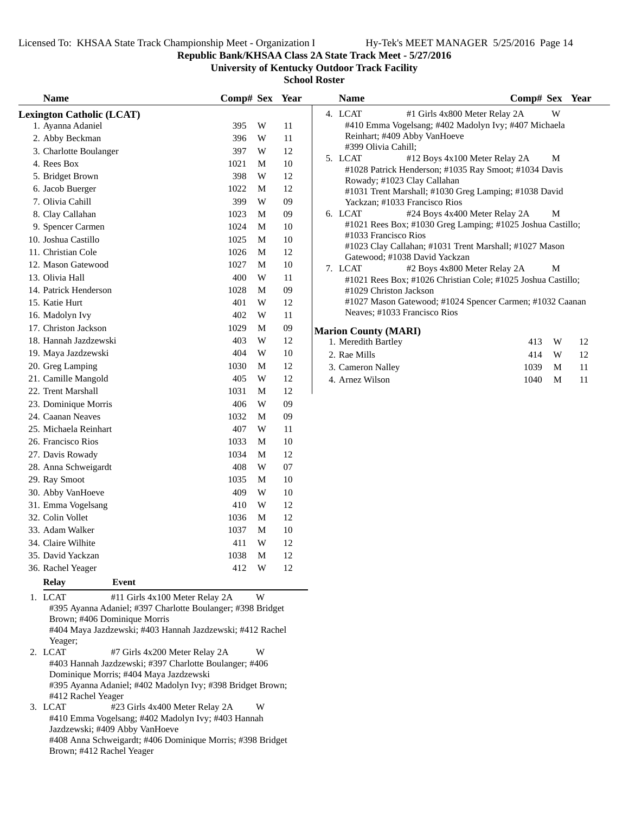**Republic Bank/KHSAA Class 2A State Track Meet - 5/27/2016**

**University of Kentucky Outdoor Track Facility**

**School Roster**

| <b>Name</b>                                                                                 | Comp# Sex |        | Year | Na            |
|---------------------------------------------------------------------------------------------|-----------|--------|------|---------------|
| <b>Lexington Catholic (LCAT)</b>                                                            |           |        |      | 4. LC         |
| 1. Ayanna Adaniel                                                                           | 395       | W      | 11   | #             |
| 2. Abby Beckman                                                                             | 396       | W      | 11   | R             |
| 3. Charlotte Boulanger                                                                      | 397       | W      | 12   | #.            |
| 4. Rees Box                                                                                 | 1021      | М      | 10   | 5. LC         |
| 5. Bridget Brown                                                                            | 398       | W      | 12   | #             |
| 6. Jacob Buerger                                                                            | 1022      | М      | 12   | R<br>#        |
| 7. Olivia Cahill                                                                            | 399       | W      | 09   | Y             |
| 8. Clay Callahan                                                                            | 1023      | М      | 09   | LC<br>6.      |
| 9. Spencer Carmen                                                                           | 1024      | М      | 10   | #             |
| 10. Joshua Castillo                                                                         | 1025      | М      | 10   | #             |
| 11. Christian Cole                                                                          | 1026      | М      | 12   | #             |
| 12. Mason Gatewood                                                                          | 1027      | M      | 10   | G             |
| 13. Olivia Hall                                                                             | 400       | W      | 11   | 7. LC<br>#    |
| 14. Patrick Henderson                                                                       | 1028      | М      | 09   | #             |
| 15. Katie Hurt                                                                              | 401       | W      | 12   | #             |
| 16. Madolyn Ivy                                                                             | 402       | W      | 11   | N             |
| 17. Christon Jackson                                                                        | 1029      | М      | 09   | <b>Marion</b> |
| 18. Hannah Jazdzewski                                                                       | 403       | W      | 12   | 1. Me         |
| 19. Maya Jazdzewski                                                                         | 404       | W      | 10   | 2. Rae        |
| 20. Greg Lamping                                                                            | 1030      | М      | 12   | 3. Caı        |
| 21. Camille Mangold                                                                         | 405       | W      | 12   | 4. Arı        |
| 22. Trent Marshall                                                                          | 1031      | М      | 12   |               |
| 23. Dominique Morris                                                                        | 406       | W      | 09   |               |
| 24. Caanan Neaves                                                                           | 1032      | М      | 09   |               |
| 25. Michaela Reinhart                                                                       | 407       | W      | 11   |               |
| 26. Francisco Rios                                                                          | 1033      | М      | 10   |               |
| 27. Davis Rowady                                                                            | 1034      | M      | 12   |               |
| 28. Anna Schweigardt                                                                        | 408       | W      | 07   |               |
| 29. Ray Smoot                                                                               | 1035      | М      | 10   |               |
| 30. Abby VanHoeve                                                                           | 409       | W      | 10   |               |
| 31. Emma Vogelsang                                                                          | 410       | W      | 12   |               |
| 32. Colin Vollet                                                                            | 1036      | М      | 12   |               |
| 33. Adam Walker                                                                             | 1037      | М      | 10   |               |
| 34. Claire Wilhite                                                                          | 411       | W      | 12   |               |
| 35. David Yackzan                                                                           | 1038      |        | 12   |               |
| 36. Rachel Yeager                                                                           | 412       | M<br>W | 12   |               |
| <b>Event</b>                                                                                |           |        |      |               |
| Relay                                                                                       |           |        |      |               |
| 1. LCAT<br>#11 Girls 4x100 Meter Relay 2A                                                   |           | W      |      |               |
| #395 Ayanna Adaniel; #397 Charlotte Boulanger; #398 Bridget<br>Brown; #406 Dominique Morris |           |        |      |               |
| #404 Maya Jazdzewski; #403 Hannah Jazdzewski; #412 Rachel                                   |           |        |      |               |
| Yeager;                                                                                     |           |        |      |               |
| 2. LCAT<br>#7 Girls 4x200 Meter Relay 2A                                                    |           | W      |      |               |
| #403 Hannah Jazdzewski; #397 Charlotte Boulanger; #406                                      |           |        |      |               |
| Dominique Morris; #404 Maya Jazdzewski                                                      |           |        |      |               |
| #395 Ayanna Adaniel; #402 Madolyn Ivy; #398 Bridget Brown;                                  |           |        |      |               |
| #412 Rachel Yeager<br>3. LCAT<br>#23 Girls 4x400 Meter Relay 2A                             |           | W      |      |               |
| #410 Emma Vogelsang; #402 Madolyn Ivy; #403 Hannah                                          |           |        |      |               |

Jazdzewski; #409 Abby VanHoeve

Brown; #412 Rachel Yeager

#408 Anna Schweigardt; #406 Dominique Morris; #398 Bridget

| <b>Name</b>                 |                                                              | Comp# Sex Year |          |    |
|-----------------------------|--------------------------------------------------------------|----------------|----------|----|
| 4. LCAT                     | #1 Girls 4x800 Meter Relay 2A                                |                | W        |    |
|                             | #410 Emma Vogelsang; #402 Madolyn Ivy; #407 Michaela         |                |          |    |
|                             | Reinhart; #409 Abby VanHoeve                                 |                |          |    |
| #399 Olivia Cahill;         |                                                              |                |          |    |
| 5. LCAT                     | #12 Boys 4x100 Meter Relay 2A                                |                | М        |    |
|                             | #1028 Patrick Henderson; #1035 Ray Smoot; #1034 Davis        |                |          |    |
|                             | Rowady; #1023 Clay Callahan                                  |                |          |    |
|                             | #1031 Trent Marshall; #1030 Greg Lamping; #1038 David        |                |          |    |
|                             | Yackzan; #1033 Francisco Rios                                |                |          |    |
| 6. LCAT                     | #24 Boys 4x400 Meter Relay 2A                                |                | М        |    |
|                             | #1021 Rees Box; #1030 Greg Lamping; #1025 Joshua Castillo;   |                |          |    |
| #1033 Francisco Rios        |                                                              |                |          |    |
|                             | #1023 Clay Callahan; #1031 Trent Marshall; #1027 Mason       |                |          |    |
|                             | Gatewood; #1038 David Yackzan                                |                |          |    |
| 7. LCAT                     | #2 Boys 4x800 Meter Relay 2A                                 |                | M        |    |
|                             | #1021 Rees Box; #1026 Christian Cole; #1025 Joshua Castillo; |                |          |    |
|                             | #1029 Christon Jackson                                       |                |          |    |
|                             | #1027 Mason Gatewood; #1024 Spencer Carmen; #1032 Caanan     |                |          |    |
|                             | Neaves; #1033 Francisco Rios                                 |                |          |    |
| <b>Marion County (MARI)</b> |                                                              |                |          |    |
| 1. Meredith Bartley         |                                                              | 413            | <b>W</b> | 12 |
| $2$ Rae Mills               |                                                              | 414            | W        | 12 |

| 1. Meredith Bartley |           | 413 W 12 |  |
|---------------------|-----------|----------|--|
| 2. Rae Mills        |           | 414 W 12 |  |
| 3. Cameron Nalley   | 1039 M 11 |          |  |
| 4. Arnez Wilson     | 1040 M 11 |          |  |
|                     |           |          |  |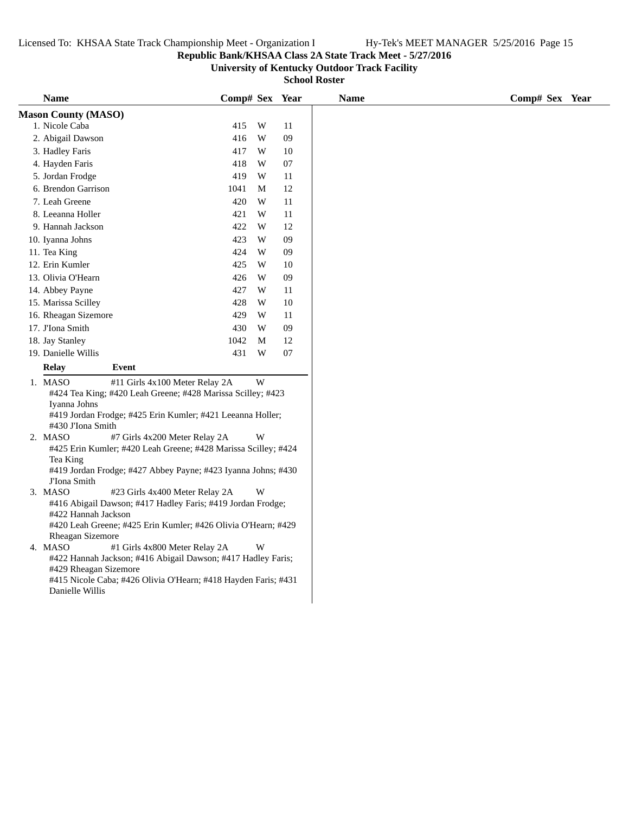### **Republic Bank/KHSAA Class 2A State Track Meet - 5/27/2016**

**University of Kentucky Outdoor Track Facility**

| <b>Name</b>                |                                                                                                                                                                                                                                                                     | Comp# Sex Year                                                            |                                                                                                                                                                          |                                                                                                                                                                                                                                                                                                                                                                                         |
|----------------------------|---------------------------------------------------------------------------------------------------------------------------------------------------------------------------------------------------------------------------------------------------------------------|---------------------------------------------------------------------------|--------------------------------------------------------------------------------------------------------------------------------------------------------------------------|-----------------------------------------------------------------------------------------------------------------------------------------------------------------------------------------------------------------------------------------------------------------------------------------------------------------------------------------------------------------------------------------|
| <b>Mason County (MASO)</b> |                                                                                                                                                                                                                                                                     |                                                                           |                                                                                                                                                                          |                                                                                                                                                                                                                                                                                                                                                                                         |
| 1. Nicole Caba             |                                                                                                                                                                                                                                                                     | 415                                                                       | W                                                                                                                                                                        | 11                                                                                                                                                                                                                                                                                                                                                                                      |
| 2. Abigail Dawson          |                                                                                                                                                                                                                                                                     | 416                                                                       | W                                                                                                                                                                        | 09                                                                                                                                                                                                                                                                                                                                                                                      |
| 3. Hadley Faris            |                                                                                                                                                                                                                                                                     | 417                                                                       | W                                                                                                                                                                        | 10                                                                                                                                                                                                                                                                                                                                                                                      |
| 4. Hayden Faris            |                                                                                                                                                                                                                                                                     | 418                                                                       | W                                                                                                                                                                        | $07\,$                                                                                                                                                                                                                                                                                                                                                                                  |
| 5. Jordan Frodge           |                                                                                                                                                                                                                                                                     | 419                                                                       | W                                                                                                                                                                        | $11\,$                                                                                                                                                                                                                                                                                                                                                                                  |
| 6. Brendon Garrison        |                                                                                                                                                                                                                                                                     | 1041                                                                      | M                                                                                                                                                                        | 12                                                                                                                                                                                                                                                                                                                                                                                      |
| 7. Leah Greene             |                                                                                                                                                                                                                                                                     | 420                                                                       | W                                                                                                                                                                        | $11\,$                                                                                                                                                                                                                                                                                                                                                                                  |
| 8. Leeanna Holler          |                                                                                                                                                                                                                                                                     | 421                                                                       | W                                                                                                                                                                        | $11\,$                                                                                                                                                                                                                                                                                                                                                                                  |
| 9. Hannah Jackson          |                                                                                                                                                                                                                                                                     | 422                                                                       | W                                                                                                                                                                        | 12                                                                                                                                                                                                                                                                                                                                                                                      |
|                            |                                                                                                                                                                                                                                                                     |                                                                           |                                                                                                                                                                          | 09                                                                                                                                                                                                                                                                                                                                                                                      |
|                            |                                                                                                                                                                                                                                                                     |                                                                           |                                                                                                                                                                          | 09                                                                                                                                                                                                                                                                                                                                                                                      |
|                            |                                                                                                                                                                                                                                                                     |                                                                           |                                                                                                                                                                          | 10                                                                                                                                                                                                                                                                                                                                                                                      |
|                            |                                                                                                                                                                                                                                                                     |                                                                           |                                                                                                                                                                          | 09                                                                                                                                                                                                                                                                                                                                                                                      |
|                            |                                                                                                                                                                                                                                                                     |                                                                           |                                                                                                                                                                          | 11                                                                                                                                                                                                                                                                                                                                                                                      |
|                            |                                                                                                                                                                                                                                                                     |                                                                           |                                                                                                                                                                          | $10\,$                                                                                                                                                                                                                                                                                                                                                                                  |
|                            |                                                                                                                                                                                                                                                                     |                                                                           |                                                                                                                                                                          | 11                                                                                                                                                                                                                                                                                                                                                                                      |
|                            |                                                                                                                                                                                                                                                                     |                                                                           |                                                                                                                                                                          | 09                                                                                                                                                                                                                                                                                                                                                                                      |
|                            |                                                                                                                                                                                                                                                                     |                                                                           |                                                                                                                                                                          | 12                                                                                                                                                                                                                                                                                                                                                                                      |
|                            |                                                                                                                                                                                                                                                                     |                                                                           |                                                                                                                                                                          | 07                                                                                                                                                                                                                                                                                                                                                                                      |
|                            |                                                                                                                                                                                                                                                                     |                                                                           |                                                                                                                                                                          |                                                                                                                                                                                                                                                                                                                                                                                         |
|                            |                                                                                                                                                                                                                                                                     |                                                                           |                                                                                                                                                                          |                                                                                                                                                                                                                                                                                                                                                                                         |
|                            |                                                                                                                                                                                                                                                                     |                                                                           |                                                                                                                                                                          |                                                                                                                                                                                                                                                                                                                                                                                         |
|                            |                                                                                                                                                                                                                                                                     |                                                                           |                                                                                                                                                                          |                                                                                                                                                                                                                                                                                                                                                                                         |
|                            |                                                                                                                                                                                                                                                                     |                                                                           |                                                                                                                                                                          |                                                                                                                                                                                                                                                                                                                                                                                         |
|                            |                                                                                                                                                                                                                                                                     |                                                                           |                                                                                                                                                                          |                                                                                                                                                                                                                                                                                                                                                                                         |
| 2. MASO                    |                                                                                                                                                                                                                                                                     |                                                                           | W                                                                                                                                                                        |                                                                                                                                                                                                                                                                                                                                                                                         |
|                            |                                                                                                                                                                                                                                                                     |                                                                           |                                                                                                                                                                          |                                                                                                                                                                                                                                                                                                                                                                                         |
|                            |                                                                                                                                                                                                                                                                     |                                                                           |                                                                                                                                                                          |                                                                                                                                                                                                                                                                                                                                                                                         |
|                            |                                                                                                                                                                                                                                                                     |                                                                           |                                                                                                                                                                          |                                                                                                                                                                                                                                                                                                                                                                                         |
|                            |                                                                                                                                                                                                                                                                     |                                                                           |                                                                                                                                                                          |                                                                                                                                                                                                                                                                                                                                                                                         |
|                            |                                                                                                                                                                                                                                                                     |                                                                           |                                                                                                                                                                          |                                                                                                                                                                                                                                                                                                                                                                                         |
|                            |                                                                                                                                                                                                                                                                     |                                                                           |                                                                                                                                                                          |                                                                                                                                                                                                                                                                                                                                                                                         |
|                            | #420 Leah Greene; #425 Erin Kumler; #426 Olivia O'Hearn; #429                                                                                                                                                                                                       |                                                                           |                                                                                                                                                                          |                                                                                                                                                                                                                                                                                                                                                                                         |
| Rheagan Sizemore           |                                                                                                                                                                                                                                                                     |                                                                           |                                                                                                                                                                          |                                                                                                                                                                                                                                                                                                                                                                                         |
|                            | #1 Girls 4x800 Meter Relay 2A                                                                                                                                                                                                                                       |                                                                           | W                                                                                                                                                                        |                                                                                                                                                                                                                                                                                                                                                                                         |
| 4. MASO                    |                                                                                                                                                                                                                                                                     |                                                                           |                                                                                                                                                                          |                                                                                                                                                                                                                                                                                                                                                                                         |
|                            | #422 Hannah Jackson; #416 Abigail Dawson; #417 Hadley Faris;                                                                                                                                                                                                        |                                                                           |                                                                                                                                                                          |                                                                                                                                                                                                                                                                                                                                                                                         |
| #429 Rheagan Sizemore      |                                                                                                                                                                                                                                                                     |                                                                           |                                                                                                                                                                          |                                                                                                                                                                                                                                                                                                                                                                                         |
|                            | #415 Nicole Caba; #426 Olivia O'Hearn; #418 Hayden Faris; #431                                                                                                                                                                                                      |                                                                           |                                                                                                                                                                          |                                                                                                                                                                                                                                                                                                                                                                                         |
| Danielle Willis            |                                                                                                                                                                                                                                                                     |                                                                           |                                                                                                                                                                          |                                                                                                                                                                                                                                                                                                                                                                                         |
|                            | 10. Iyanna Johns<br>11. Tea King<br>12. Erin Kumler<br>13. Olivia O'Hearn<br>14. Abbey Payne<br>15. Marissa Scilley<br>17. J'Iona Smith<br>18. Jay Stanley<br>19. Danielle Willis<br><b>Relay</b><br>1. MASO<br>Iyanna Johns<br>Tea King<br>J'Iona Smith<br>3. MASO | 16. Rheagan Sizemore<br>Event<br>#430 J'Iona Smith<br>#422 Hannah Jackson | 423<br>424<br>425<br>426<br>427<br>428<br>429<br>430<br>1042<br>431<br>#11 Girls 4x100 Meter Relay 2A<br>#7 Girls 4x200 Meter Relay 2A<br>#23 Girls 4x400 Meter Relay 2A | W<br>W<br>W<br>W<br>W<br>W<br>W<br>W<br>M<br>W<br>W<br>#424 Tea King; #420 Leah Greene; #428 Marissa Scilley; #423<br>#419 Jordan Frodge; #425 Erin Kumler; #421 Leeanna Holler;<br>#425 Erin Kumler; #420 Leah Greene; #428 Marissa Scilley; #424<br>#419 Jordan Frodge; #427 Abbey Payne; #423 Iyanna Johns; #430<br>W<br>#416 Abigail Dawson; #417 Hadley Faris; #419 Jordan Frodge; |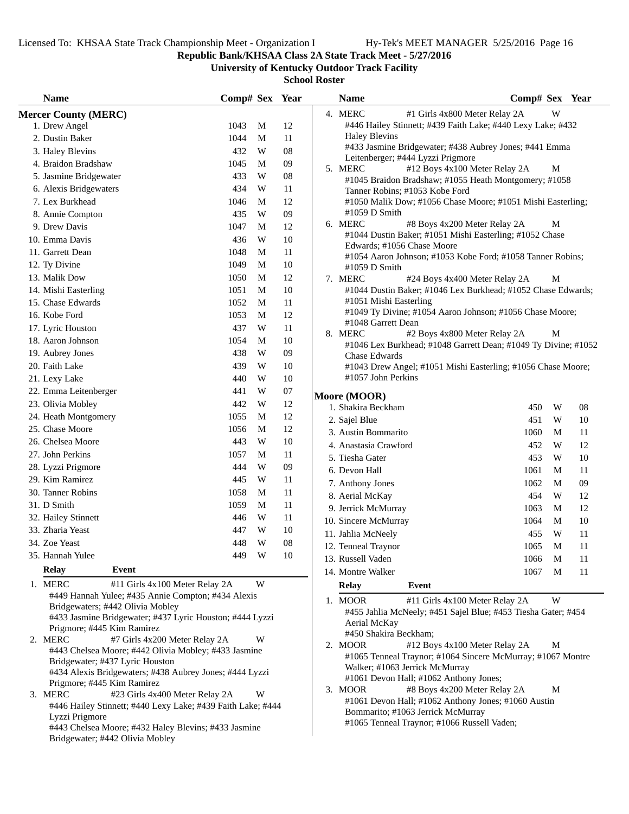**Republic Bank/KHSAA Class 2A State Track Meet - 5/27/2016**

**University of Kentucky Outdoor Track Facility**

| <b>Name</b>                                                                           | Comp# Sex Year |   |            | <b>Name</b>                                  | Comp# Sex Year                                                 |  |
|---------------------------------------------------------------------------------------|----------------|---|------------|----------------------------------------------|----------------------------------------------------------------|--|
| <b>Mercer County (MERC)</b>                                                           |                |   |            | 4. MERC                                      | W<br>#1 Girls 4x800 Meter Relay 2A                             |  |
| 1. Drew Angel                                                                         | 1043           | M | 12         |                                              | #446 Hailey Stinnett; #439 Faith Lake; #440 Lexy Lake; #432    |  |
| 2. Dustin Baker                                                                       | 1044           | M | 11         | <b>Haley Blevins</b>                         |                                                                |  |
| 3. Haley Blevins                                                                      | 432            | W | 08         |                                              | #433 Jasmine Bridgewater; #438 Aubrey Jones; #441 Emma         |  |
| 4. Braidon Bradshaw                                                                   | 1045           | M | 09         | Leitenberger; #444 Lyzzi Prigmore<br>5. MERC | #12 Boys 4x100 Meter Relay 2A<br>M                             |  |
| 5. Jasmine Bridgewater                                                                | 433            | W | ${\bf 08}$ |                                              | #1045 Braidon Bradshaw; #1055 Heath Montgomery; #1058          |  |
| 6. Alexis Bridgewaters                                                                | 434            | W | $11\,$     | Tanner Robins; #1053 Kobe Ford               |                                                                |  |
| 7. Lex Burkhead                                                                       | 1046           | M | 12         |                                              | #1050 Malik Dow; #1056 Chase Moore; #1051 Mishi Easterling;    |  |
| 8. Annie Compton                                                                      | 435            | W | 09         | $#1059$ D Smith                              |                                                                |  |
| 9. Drew Davis                                                                         | 1047           | M | 12         | 6. MERC                                      | #8 Boys 4x200 Meter Relay 2A<br>M                              |  |
| 10. Emma Davis                                                                        | 436            | W | $10\,$     |                                              | #1044 Dustin Baker; #1051 Mishi Easterling; #1052 Chase        |  |
| 11. Garrett Dean                                                                      | 1048           | M | $11\,$     | Edwards; #1056 Chase Moore                   | #1054 Aaron Johnson; #1053 Kobe Ford; #1058 Tanner Robins;     |  |
| 12. Ty Divine                                                                         | 1049           | M | 10         | #1059 D Smith                                |                                                                |  |
| 13. Malik Dow                                                                         | 1050           | M | 12         | 7. MERC                                      | #24 Boys 4x400 Meter Relay 2A<br>M                             |  |
| 14. Mishi Easterling                                                                  | 1051           | M | 10         |                                              | #1044 Dustin Baker; #1046 Lex Burkhead; #1052 Chase Edwards;   |  |
| 15. Chase Edwards                                                                     | 1052           | M | 11         | #1051 Mishi Easterling                       |                                                                |  |
| 16. Kobe Ford                                                                         | 1053           | M | 12         |                                              | #1049 Ty Divine; #1054 Aaron Johnson; #1056 Chase Moore;       |  |
| 17. Lyric Houston                                                                     | 437            | W | 11         | #1048 Garrett Dean                           |                                                                |  |
| 18. Aaron Johnson                                                                     | 1054           | M | 10         | 8. MERC                                      | #2 Boys 4x800 Meter Relay 2A<br>M                              |  |
| 19. Aubrey Jones                                                                      | 438            | W | $09\,$     | <b>Chase Edwards</b>                         | #1046 Lex Burkhead; #1048 Garrett Dean; #1049 Ty Divine; #1052 |  |
| 20. Faith Lake                                                                        | 439            | W | 10         |                                              | #1043 Drew Angel; #1051 Mishi Easterling; #1056 Chase Moore;   |  |
| 21. Lexy Lake                                                                         | 440            | W | 10         | #1057 John Perkins                           |                                                                |  |
| 22. Emma Leitenberger                                                                 | 441            | W | $07\,$     |                                              |                                                                |  |
| 23. Olivia Mobley                                                                     | 442            | W | 12         | Moore (MOOR)<br>1. Shakira Beckham           | W<br>08                                                        |  |
| 24. Heath Montgomery                                                                  | 1055           | M | 12         |                                              | 450<br>451<br>W<br>10                                          |  |
| 25. Chase Moore                                                                       | 1056           | M | 12         | 2. Sajel Blue<br>3. Austin Bommarito         | 11<br>1060<br>M                                                |  |
| 26. Chelsea Moore                                                                     | 443            | W | 10         | 4. Anastasia Crawford                        | 12<br>452<br>W                                                 |  |
| 27. John Perkins                                                                      | 1057           | M | $11\,$     | 5. Tiesha Gater                              | 10<br>453<br>W                                                 |  |
| 28. Lyzzi Prigmore                                                                    | 444            | W | 09         | 6. Devon Hall                                | 1061<br>11<br>M                                                |  |
| 29. Kim Ramirez                                                                       | 445            | W | 11         |                                              | 09<br>1062<br>M                                                |  |
| 30. Tanner Robins                                                                     | 1058           | M | 11         | 7. Anthony Jones<br>8. Aerial McKay          | 454<br>W<br>12                                                 |  |
| 31. D Smith                                                                           | 1059           | M | 11         | 9. Jerrick McMurray                          | 12<br>1063<br>M                                                |  |
| 32. Hailey Stinnett                                                                   | 446            | W | 11         |                                              | M<br>10                                                        |  |
| 33. Zharia Yeast                                                                      | 447            | W | 10         | 10. Sincere McMurray                         | 1064                                                           |  |
| 34. Zoe Yeast                                                                         | 448            | W | ${\bf 08}$ | 11. Jahlia McNeely                           | W<br>11<br>455                                                 |  |
| 35. Hannah Yulee                                                                      | 449            | W | 10         | 12. Tenneal Traynor<br>13. Russell Vaden     | 1065<br>M<br>11                                                |  |
| <b>Relay</b><br>Event                                                                 |                |   |            | 14. Montre Walker                            | 11<br>1066<br>M<br>M<br>11                                     |  |
| #11 Girls 4x100 Meter Relay 2A                                                        |                | W |            |                                              | 1067                                                           |  |
| 1. MERC<br>#449 Hannah Yulee; #435 Annie Compton; #434 Alexis                         |                |   |            | Event<br><b>Relay</b>                        |                                                                |  |
| Bridgewaters; #442 Olivia Mobley                                                      |                |   |            | 1. MOOR                                      | #11 Girls 4x100 Meter Relay 2A<br>W                            |  |
| #433 Jasmine Bridgewater; #437 Lyric Houston; #444 Lyzzi                              |                |   |            |                                              | #455 Jahlia McNeely; #451 Sajel Blue; #453 Tiesha Gater; #454  |  |
| Prigmore; #445 Kim Ramirez                                                            |                |   |            | Aerial McKay<br>#450 Shakira Beckham;        |                                                                |  |
| 2. MERC<br>#7 Girls 4x200 Meter Relay 2A                                              |                | W |            | 2. MOOR                                      | #12 Boys 4x100 Meter Relay 2A<br>M                             |  |
| #443 Chelsea Moore; #442 Olivia Mobley; #433 Jasmine                                  |                |   |            |                                              | #1065 Tenneal Traynor; #1064 Sincere McMurray; #1067 Montre    |  |
| Bridgewater; #437 Lyric Houston                                                       |                |   |            | Walker; #1063 Jerrick McMurray               |                                                                |  |
| #434 Alexis Bridgewaters; #438 Aubrey Jones; #444 Lyzzi<br>Prigmore; #445 Kim Ramirez |                |   |            | #1061 Devon Hall; #1062 Anthony Jones;       |                                                                |  |
| 3. MERC<br>#23 Girls 4x400 Meter Relay 2A                                             |                | W |            | 3. MOOR                                      | #8 Boys 4x200 Meter Relay 2A<br>M                              |  |
| #446 Hailey Stinnett; #440 Lexy Lake; #439 Faith Lake; #444                           |                |   |            |                                              | #1061 Devon Hall; #1062 Anthony Jones; #1060 Austin            |  |
| Lyzzi Prigmore                                                                        |                |   |            | Bommarito; #1063 Jerrick McMurray            |                                                                |  |
| #443 Chelsea Moore; #432 Haley Blevins; #433 Jasmine                                  |                |   |            | #1065 Tenneal Traynor; #1066 Russell Vaden;  |                                                                |  |
| Bridgewater; #442 Olivia Mobley                                                       |                |   |            |                                              |                                                                |  |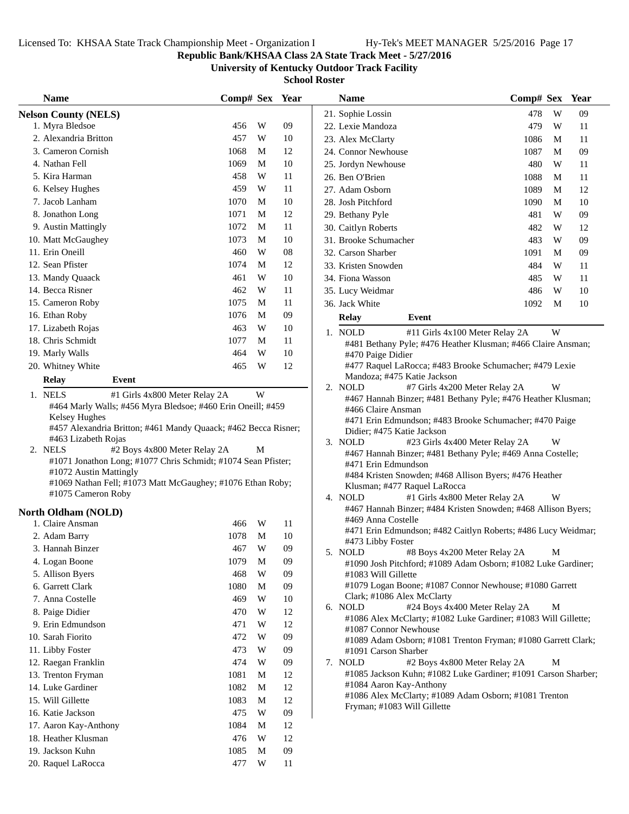**Republic Bank/KHSAA Class 2A State Track Meet - 5/27/2016**

**University of Kentucky Outdoor Track Facility**

| <b>Name</b>                                                                                                                                                                                                                                   | Comp# Sex Year |             |          | <b>Name</b>                                                                                                                                                                                                                                            | Comp# Sex Year |    |
|-----------------------------------------------------------------------------------------------------------------------------------------------------------------------------------------------------------------------------------------------|----------------|-------------|----------|--------------------------------------------------------------------------------------------------------------------------------------------------------------------------------------------------------------------------------------------------------|----------------|----|
| <b>Nelson County (NELS)</b>                                                                                                                                                                                                                   |                |             |          | 21. Sophie Lossin                                                                                                                                                                                                                                      | 478<br>W       | 09 |
| 1. Myra Bledsoe                                                                                                                                                                                                                               | 456            | W           | 09       | 22. Lexie Mandoza                                                                                                                                                                                                                                      | 479<br>W       | 11 |
| 2. Alexandria Britton                                                                                                                                                                                                                         | 457            | W           | 10       | 23. Alex McClarty                                                                                                                                                                                                                                      | 1086<br>M      | 11 |
| 3. Cameron Cornish                                                                                                                                                                                                                            | 1068           | M           | 12       | 24. Connor Newhouse                                                                                                                                                                                                                                    | 1087<br>M      | 09 |
| 4. Nathan Fell                                                                                                                                                                                                                                | 1069           | M           | 10       | 25. Jordyn Newhouse                                                                                                                                                                                                                                    | 480<br>W       | 11 |
| 5. Kira Harman                                                                                                                                                                                                                                | 458            | W           | 11       | 26. Ben O'Brien                                                                                                                                                                                                                                        | 1088<br>M      | 11 |
| 6. Kelsey Hughes                                                                                                                                                                                                                              | 459            | W           | 11       | 27. Adam Osborn                                                                                                                                                                                                                                        | 1089<br>M      | 12 |
| 7. Jacob Lanham                                                                                                                                                                                                                               | 1070           | M           | 10       | 28. Josh Pitchford                                                                                                                                                                                                                                     | 1090<br>M      | 10 |
| 8. Jonathon Long                                                                                                                                                                                                                              | 1071           | M           | 12       | 29. Bethany Pyle                                                                                                                                                                                                                                       | W<br>481       | 09 |
| 9. Austin Mattingly                                                                                                                                                                                                                           | 1072           | M           | 11       | 30. Caitlyn Roberts                                                                                                                                                                                                                                    | 482<br>W       | 12 |
| 10. Matt McGaughey                                                                                                                                                                                                                            | 1073           | M           | 10       | 31. Brooke Schumacher                                                                                                                                                                                                                                  | 483<br>W       | 09 |
| 11. Erin Oneill                                                                                                                                                                                                                               | 460            | W           | 08       | 32. Carson Sharber                                                                                                                                                                                                                                     | 1091<br>M      | 09 |
| 12. Sean Pfister                                                                                                                                                                                                                              | 1074           | M           | 12       | 33. Kristen Snowden                                                                                                                                                                                                                                    | 484<br>W       | 11 |
| 13. Mandy Quaack                                                                                                                                                                                                                              | 461            | W           | 10       | 34. Fiona Wasson                                                                                                                                                                                                                                       | 485<br>W       | 11 |
| 14. Becca Risner                                                                                                                                                                                                                              | 462            | W           | 11       | 35. Lucy Weidmar                                                                                                                                                                                                                                       | W<br>486       | 10 |
| 15. Cameron Roby                                                                                                                                                                                                                              | 1075           | M           | 11       | 36. Jack White                                                                                                                                                                                                                                         | 1092<br>M      | 10 |
| 16. Ethan Roby                                                                                                                                                                                                                                | 1076           | M           | 09       | Event<br>Relay                                                                                                                                                                                                                                         |                |    |
| 17. Lizabeth Rojas                                                                                                                                                                                                                            | 463            | W           | 10       |                                                                                                                                                                                                                                                        |                |    |
| 18. Chris Schmidt                                                                                                                                                                                                                             | 1077           | M           | 11       | 1. NOLD<br>#11 Girls 4x100 Meter Relay 2A<br>#481 Bethany Pyle; #476 Heather Klusman; #466 Claire Ansman;                                                                                                                                              | W              |    |
| 19. Marly Walls                                                                                                                                                                                                                               | 464            | W           | 10       | #470 Paige Didier                                                                                                                                                                                                                                      |                |    |
| 20. Whitney White                                                                                                                                                                                                                             | 465            | W           | 12       | #477 Raquel LaRocca; #483 Brooke Schumacher; #479 Lexie                                                                                                                                                                                                |                |    |
| Relay<br>Event                                                                                                                                                                                                                                |                |             |          | Mandoza; #475 Katie Jackson                                                                                                                                                                                                                            |                |    |
| 1. NELS<br>#1 Girls 4x800 Meter Relay 2A                                                                                                                                                                                                      |                | W           |          | 2. NOLD<br>#7 Girls 4x200 Meter Relay 2A                                                                                                                                                                                                               | W              |    |
| #463 Lizabeth Rojas<br>2. NELS<br>#2 Boys 4x800 Meter Relay 2A<br>#1071 Jonathon Long; #1077 Chris Schmidt; #1074 Sean Pfister;<br>#1072 Austin Mattingly<br>#1069 Nathan Fell; #1073 Matt McGaughey; #1076 Ethan Roby;<br>#1075 Cameron Roby |                | M           |          | Didier; #475 Katie Jackson<br>3. NOLD<br>#23 Girls 4x400 Meter Relay 2A<br>#467 Hannah Binzer; #481 Bethany Pyle; #469 Anna Costelle;<br>#471 Erin Edmundson<br>#484 Kristen Snowden; #468 Allison Byers; #476 Heather<br>Klusman; #477 Raquel LaRocca | W              |    |
|                                                                                                                                                                                                                                               |                |             |          | 4. NOLD<br>#1 Girls 4x800 Meter Relay 2A<br>#467 Hannah Binzer; #484 Kristen Snowden; #468 Allison Byers;                                                                                                                                              | W              |    |
| North Oldham (NOLD)<br>1. Claire Ansman                                                                                                                                                                                                       | 466            | W           | 11       | #469 Anna Costelle                                                                                                                                                                                                                                     |                |    |
|                                                                                                                                                                                                                                               | 1078           | $\mathbf M$ | 10       | #471 Erin Edmundson; #482 Caitlyn Roberts; #486 Lucy Weidmar;                                                                                                                                                                                          |                |    |
| 2. Adam Barry<br>3. Hannah Binzer                                                                                                                                                                                                             |                |             | 09       | #473 Libby Foster                                                                                                                                                                                                                                      |                |    |
| 4. Logan Boone                                                                                                                                                                                                                                | 467<br>1079    | W<br>M      | 09       | #8 Boys 4x200 Meter Relay 2A<br>5. NOLD                                                                                                                                                                                                                | M              |    |
| 5. Allison Byers                                                                                                                                                                                                                              | 468            | W           | 09       | #1090 Josh Pitchford; #1089 Adam Osborn; #1082 Luke Gardiner;                                                                                                                                                                                          |                |    |
| 6. Garrett Clark                                                                                                                                                                                                                              | 1080           | M           | 09       | #1083 Will Gillette<br>#1079 Logan Boone; #1087 Connor Newhouse; #1080 Garrett                                                                                                                                                                         |                |    |
| 7. Anna Costelle                                                                                                                                                                                                                              | 469            | W           | 10       | Clark; #1086 Alex McClarty                                                                                                                                                                                                                             |                |    |
| 8. Paige Didier                                                                                                                                                                                                                               | 470            | W           |          | 6. NOLD<br>#24 Boys 4x400 Meter Relay 2A                                                                                                                                                                                                               | M              |    |
| 9. Erin Edmundson                                                                                                                                                                                                                             | 471            | W           | 12<br>12 | #1086 Alex McClarty; #1082 Luke Gardiner; #1083 Will Gillette;                                                                                                                                                                                         |                |    |
| 10. Sarah Fiorito                                                                                                                                                                                                                             | 472            | W           | 09       | #1087 Connor Newhouse                                                                                                                                                                                                                                  |                |    |
| 11. Libby Foster                                                                                                                                                                                                                              | 473            | W           | 09       | #1089 Adam Osborn; #1081 Trenton Fryman; #1080 Garrett Clark;                                                                                                                                                                                          |                |    |
| 12. Raegan Franklin                                                                                                                                                                                                                           | 474            | W           | 09       | #1091 Carson Sharber<br>7. NOLD<br>#2 Boys 4x800 Meter Relay 2A                                                                                                                                                                                        | М              |    |
|                                                                                                                                                                                                                                               |                |             |          | #1085 Jackson Kuhn; #1082 Luke Gardiner; #1091 Carson Sharber;                                                                                                                                                                                         |                |    |
| 13. Trenton Fryman<br>14. Luke Gardiner                                                                                                                                                                                                       | 1081<br>1082   | M<br>M      | 12<br>12 | #1084 Aaron Kay-Anthony                                                                                                                                                                                                                                |                |    |
| 15. Will Gillette                                                                                                                                                                                                                             | 1083           | M           | 12       | #1086 Alex McClarty; #1089 Adam Osborn; #1081 Trenton                                                                                                                                                                                                  |                |    |
| 16. Katie Jackson                                                                                                                                                                                                                             | 475            | W           | 09       | Fryman; #1083 Will Gillette                                                                                                                                                                                                                            |                |    |
|                                                                                                                                                                                                                                               |                |             |          |                                                                                                                                                                                                                                                        |                |    |
| 17. Aaron Kay-Anthony<br>18. Heather Klusman                                                                                                                                                                                                  | 1084<br>476    | M<br>W      | 12<br>12 |                                                                                                                                                                                                                                                        |                |    |
| 19. Jackson Kuhn                                                                                                                                                                                                                              | 1085           | M           | 09       |                                                                                                                                                                                                                                                        |                |    |
| 20. Raquel LaRocca                                                                                                                                                                                                                            | 477            | W           | 11       |                                                                                                                                                                                                                                                        |                |    |
|                                                                                                                                                                                                                                               |                |             |          |                                                                                                                                                                                                                                                        |                |    |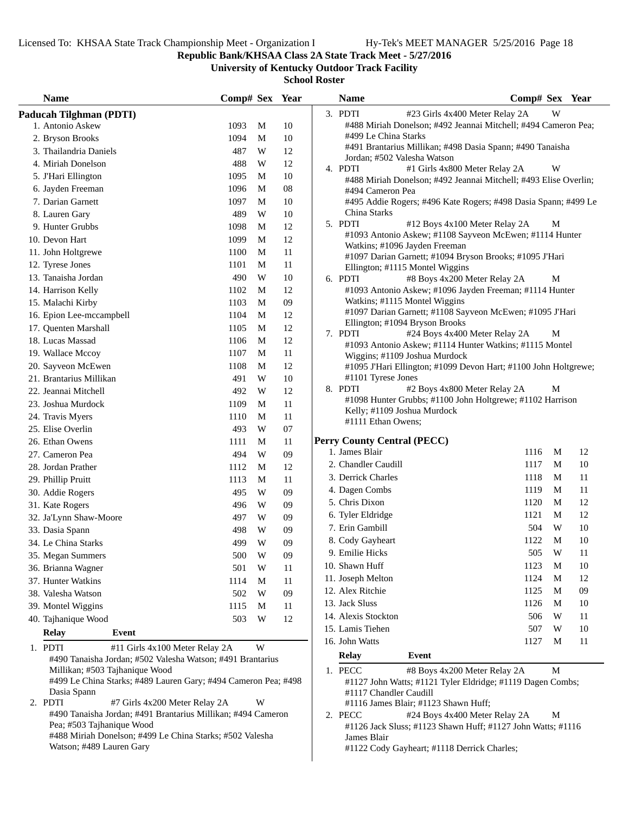Pea; #503 Tajhanique Wood

Watson; #489 Lauren Gary

#488 Miriah Donelson; #499 Le China Starks; #502 Valesha

**Republic Bank/KHSAA Class 2A State Track Meet - 5/27/2016**

**University of Kentucky Outdoor Track Facility**

**School Roster**

| <b>Name</b>                    |                                                                | Comp# Sex Year |   |        | <b>Name</b>         |                                                                                                   | Comp# Sex Year |   |    |
|--------------------------------|----------------------------------------------------------------|----------------|---|--------|---------------------|---------------------------------------------------------------------------------------------------|----------------|---|----|
| Paducah Tilghman (PDTI)        |                                                                |                |   |        | 3. PDTI             | #23 Girls 4x400 Meter Relay 2A                                                                    |                | W |    |
| 1. Antonio Askew               |                                                                | 1093           | M | 10     |                     | #488 Miriah Donelson; #492 Jeannai Mitchell; #494 Cameron Pea;                                    |                |   |    |
| 2. Bryson Brooks               |                                                                | 1094           | M | 10     |                     | #499 Le China Starks                                                                              |                |   |    |
| 3. Thailandria Daniels         |                                                                | 487            | W | 12     |                     | #491 Brantarius Millikan; #498 Dasia Spann; #490 Tanaisha                                         |                |   |    |
| 4. Miriah Donelson             |                                                                | 488            | W | 12     |                     | Jordan; #502 Valesha Watson                                                                       |                | W |    |
| 5. J'Hari Ellington            |                                                                | 1095           | M | 10     | 4. PDTI             | #1 Girls 4x800 Meter Relay 2A<br>#488 Miriah Donelson; #492 Jeannai Mitchell; #493 Elise Overlin; |                |   |    |
| 6. Jayden Freeman              |                                                                | 1096           | M | 08     |                     | #494 Cameron Pea                                                                                  |                |   |    |
| 7. Darian Garnett              |                                                                | 1097           | M | 10     |                     | #495 Addie Rogers; #496 Kate Rogers; #498 Dasia Spann; #499 Le                                    |                |   |    |
| 8. Lauren Gary                 |                                                                | 489            | W | 10     |                     | China Starks                                                                                      |                |   |    |
| 9. Hunter Grubbs               |                                                                | 1098           | M | 12     | 5. PDTI             | #12 Boys 4x100 Meter Relay 2A                                                                     |                | M |    |
| 10. Devon Hart                 |                                                                | 1099           | M | 12     |                     | #1093 Antonio Askew; #1108 Sayveon McEwen; #1114 Hunter                                           |                |   |    |
| 11. John Holtgrewe             |                                                                | 1100           | M | 11     |                     | Watkins; #1096 Jayden Freeman<br>#1097 Darian Garnett; #1094 Bryson Brooks; #1095 J'Hari          |                |   |    |
| 12. Tyrese Jones               |                                                                | 1101           | M | 11     |                     | Ellington; #1115 Montel Wiggins                                                                   |                |   |    |
| 13. Tanaisha Jordan            |                                                                | 490            | W | 10     | 6. PDTI             | #8 Boys 4x200 Meter Relay 2A                                                                      |                | M |    |
| 14. Harrison Kelly             |                                                                | 1102           | M | 12     |                     | #1093 Antonio Askew; #1096 Jayden Freeman; #1114 Hunter                                           |                |   |    |
| 15. Malachi Kirby              |                                                                | 1103           | M | $09\,$ |                     | Watkins; #1115 Montel Wiggins                                                                     |                |   |    |
| 16. Epion Lee-mccampbell       |                                                                | 1104           | M | 12     |                     | #1097 Darian Garnett; #1108 Sayveon McEwen; #1095 J'Hari                                          |                |   |    |
| 17. Quenten Marshall           |                                                                | 1105           | M | 12     |                     | Ellington; #1094 Bryson Brooks                                                                    |                |   |    |
| 18. Lucas Massad               |                                                                | 1106           | M | 12     | 7. PDTI             | #24 Boys 4x400 Meter Relay 2A                                                                     |                | M |    |
| 19. Wallace Mccoy              |                                                                | 1107           | M | 11     |                     | #1093 Antonio Askew; #1114 Hunter Watkins; #1115 Montel<br>Wiggins; #1109 Joshua Murdock          |                |   |    |
| 20. Sayveon McEwen             |                                                                | 1108           | M | 12     |                     | #1095 J'Hari Ellington; #1099 Devon Hart; #1100 John Holtgrewe;                                   |                |   |    |
| 21. Brantarius Millikan        |                                                                | 491            | W | 10     |                     | #1101 Tyrese Jones                                                                                |                |   |    |
| 22. Jeannai Mitchell           |                                                                | 492            | W | 12     | 8. PDTI             | #2 Boys 4x800 Meter Relay 2A                                                                      |                | M |    |
| 23. Joshua Murdock             |                                                                | 1109           | M | 11     |                     | #1098 Hunter Grubbs; #1100 John Holtgrewe; #1102 Harrison                                         |                |   |    |
| 24. Travis Myers               |                                                                | 1110           | M | 11     |                     | Kelly; #1109 Joshua Murdock                                                                       |                |   |    |
| 25. Elise Overlin              |                                                                | 493            | W | 07     |                     | #1111 Ethan Owens;                                                                                |                |   |    |
| 26. Ethan Owens                |                                                                | 1111           | M | 11     |                     | <b>Perry County Central (PECC)</b>                                                                |                |   |    |
| 27. Cameron Pea                |                                                                | 494            | W | 09     | 1. James Blair      |                                                                                                   | 1116           | M | 12 |
| 28. Jordan Prather             |                                                                | 1112           | M | 12     |                     | 2. Chandler Caudill                                                                               | 1117           | M | 10 |
| 29. Phillip Pruitt             |                                                                | 1113           | M | 11     |                     | 3. Derrick Charles                                                                                | 1118           | M | 11 |
| 30. Addie Rogers               |                                                                | 495            | W | 09     | 4. Dagen Combs      |                                                                                                   | 1119           | M | 11 |
| 31. Kate Rogers                |                                                                | 496            | W | 09     | 5. Chris Dixon      |                                                                                                   | 1120           | M | 12 |
| 32. Ja'Lynn Shaw-Moore         |                                                                | 497            | W | 09     | 6. Tyler Eldridge   |                                                                                                   | 1121           | М | 12 |
| 33. Dasia Spann                |                                                                | 498            | W | 09     | 7. Erin Gambill     |                                                                                                   | 504            | W | 10 |
| 34. Le China Starks            |                                                                | 499            | W | 09     | 8. Cody Gayheart    |                                                                                                   | 1122           | M | 10 |
| 35. Megan Summers              |                                                                | 500            | W | 09     | 9. Emilie Hicks     |                                                                                                   | 505            | W | 11 |
| 36. Brianna Wagner             |                                                                | 501            | W | 11     | 10. Shawn Huff      |                                                                                                   | 1123           | M | 10 |
| 37. Hunter Watkins             |                                                                | 1114           | M | 11     | 11. Joseph Melton   |                                                                                                   | 1124           | M | 12 |
| 38. Valesha Watson             |                                                                | 502            | W | 09     | 12. Alex Ritchie    |                                                                                                   | 1125           | M | 09 |
| 39. Montel Wiggins             |                                                                | 1115           | M | 11     | 13. Jack Sluss      |                                                                                                   | 1126           | M | 10 |
| 40. Tajhanique Wood            |                                                                | 503            | W | 12     | 14. Alexis Stockton |                                                                                                   | 506            | W | 11 |
| <b>Relay</b>                   | Event                                                          |                |   |        | 15. Lamis Tiehen    |                                                                                                   | 507            | W | 10 |
| 1. PDTI                        | #11 Girls 4x100 Meter Relay 2A                                 |                | W |        | 16. John Watts      |                                                                                                   | 1127           | M | 11 |
|                                | #490 Tanaisha Jordan; #502 Valesha Watson; #491 Brantarius     |                |   |        | <b>Relay</b>        | Event                                                                                             |                |   |    |
| Millikan; #503 Tajhanique Wood |                                                                |                |   |        | 1. PECC             | #8 Boys 4x200 Meter Relay 2A                                                                      |                | M |    |
|                                | #499 Le China Starks; #489 Lauren Gary; #494 Cameron Pea; #498 |                |   |        |                     | #1127 John Watts; #1121 Tyler Eldridge; #1119 Dagen Combs;                                        |                |   |    |
| Dasia Spann                    |                                                                |                |   |        |                     | #1117 Chandler Caudill                                                                            |                |   |    |
| 2. PDTI                        | #7 Girls 4x200 Meter Relay 2A                                  |                | W |        |                     | #1116 James Blair; #1123 Shawn Huff;                                                              |                |   |    |
|                                | #490 Tanaisha Jordan; #491 Brantarius Millikan; #494 Cameron   |                |   |        | 2. PECC             | #24 Boys 4x400 Meter Relay 2A                                                                     |                | M |    |

2. PECC #24 Boys 4x400 Meter Relay 2A M #1126 Jack Sluss; #1123 Shawn Huff; #1127 John Watts; #1116 James Blair #1122 Cody Gayheart; #1118 Derrick Charles;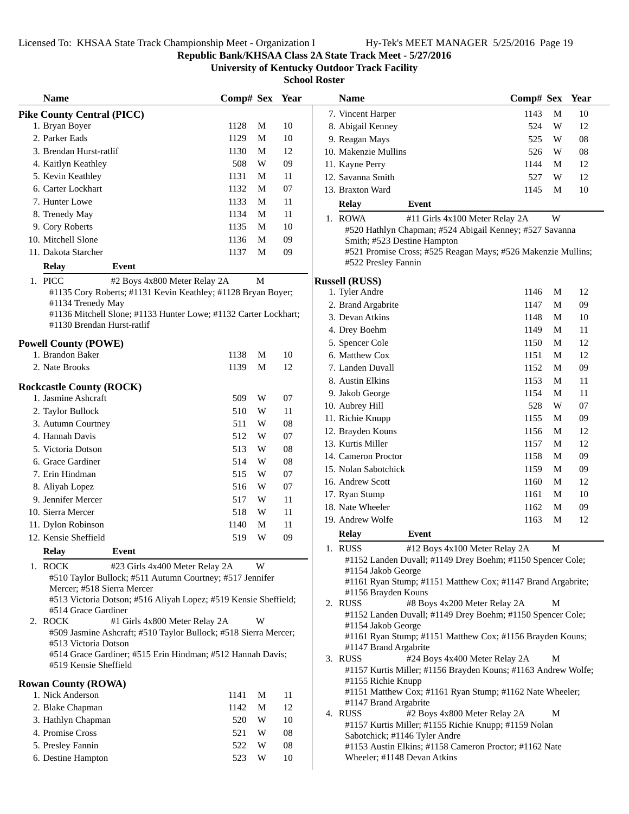**Republic Bank/KHSAA Class 2A State Track Meet - 5/27/2016**

**University of Kentucky Outdoor Track Facility**

| <b>Name</b>                       |                                                                                                  | Comp# Sex Year |             |            | <b>Name</b>                                                                             | Comp# Sex Year |   |            |
|-----------------------------------|--------------------------------------------------------------------------------------------------|----------------|-------------|------------|-----------------------------------------------------------------------------------------|----------------|---|------------|
| <b>Pike County Central (PICC)</b> |                                                                                                  |                |             |            | 7. Vincent Harper                                                                       | 1143           | M | 10         |
| 1. Bryan Boyer                    |                                                                                                  | 1128           | M           | 10         | 8. Abigail Kenney                                                                       | 524            | W | 12         |
| 2. Parker Eads                    |                                                                                                  | 1129           | $\mathbf M$ | 10         | 9. Reagan Mays                                                                          | 525            | W | ${\bf 08}$ |
| 3. Brendan Hurst-ratlif           |                                                                                                  | 1130           | M           | 12         | 10. Makenzie Mullins                                                                    | 526            | W | 08         |
| 4. Kaitlyn Keathley               |                                                                                                  | 508            | W           | 09         | 11. Kayne Perry                                                                         | 1144           | M | 12         |
| 5. Kevin Keathley                 |                                                                                                  | 1131           | M           | 11         | 12. Savanna Smith                                                                       | 527            | W | 12         |
| 6. Carter Lockhart                |                                                                                                  | 1132           | $\mathbf M$ | 07         | 13. Braxton Ward                                                                        | 1145           | M | 10         |
| 7. Hunter Lowe                    |                                                                                                  | 1133           | M           | 11         | Relay<br>Event                                                                          |                |   |            |
| 8. Trenedy May                    |                                                                                                  | 1134           | M           | 11         | 1. ROWA<br>#11 Girls 4x100 Meter Relay 2A                                               |                | W |            |
| 9. Cory Roberts                   |                                                                                                  | 1135           | M           | 10         | #520 Hathlyn Chapman; #524 Abigail Kenney; #527 Savanna                                 |                |   |            |
| 10. Mitchell Slone                |                                                                                                  | 1136           | M           | 09         | Smith; #523 Destine Hampton                                                             |                |   |            |
| 11. Dakota Starcher               |                                                                                                  | 1137           | M           | 09         | #521 Promise Cross; #525 Reagan Mays; #526 Makenzie Mullins;                            |                |   |            |
| <b>Relay</b>                      | Event                                                                                            |                |             |            | #522 Presley Fannin                                                                     |                |   |            |
| 1. PICC                           | #2 Boys 4x800 Meter Relay 2A                                                                     |                | $\mathbf M$ |            | <b>Russell (RUSS)</b>                                                                   |                |   |            |
|                                   | #1135 Cory Roberts; #1131 Kevin Keathley; #1128 Bryan Boyer;                                     |                |             |            | 1. Tyler Andre                                                                          | 1146           | M | 12         |
| #1134 Trenedy May                 |                                                                                                  |                |             |            | 2. Brand Argabrite                                                                      | 1147           | M | 09         |
|                                   | #1136 Mitchell Slone; #1133 Hunter Lowe; #1132 Carter Lockhart;                                  |                |             |            | 3. Devan Atkins                                                                         | 1148           | M | 10         |
| #1130 Brendan Hurst-ratlif        |                                                                                                  |                |             |            | 4. Drey Boehm                                                                           | 1149           | M | 11         |
| <b>Powell County (POWE)</b>       |                                                                                                  |                |             |            | 5. Spencer Cole                                                                         | 1150           | M | 12         |
| 1. Brandon Baker                  |                                                                                                  | 1138           | M           | 10         | 6. Matthew Cox                                                                          | 1151           | M | 12         |
| 2. Nate Brooks                    |                                                                                                  | 1139           | M           | 12         | 7. Landen Duvall                                                                        | 1152           | M | 09         |
|                                   |                                                                                                  |                |             |            | 8. Austin Elkins                                                                        | 1153           | M | 11         |
| <b>Rockcastle County (ROCK)</b>   |                                                                                                  |                |             |            | 9. Jakob George                                                                         | 1154           | M | 11         |
| 1. Jasmine Ashcraft               |                                                                                                  | 509            | W           | 07         | 10. Aubrey Hill                                                                         | 528            | W | 07         |
| 2. Taylor Bullock                 |                                                                                                  | 510            | W           | 11         | 11. Richie Knupp                                                                        | 1155           | M | 09         |
| 3. Autumn Courtney                |                                                                                                  | 511            | W           | ${\bf 08}$ | 12. Brayden Kouns                                                                       | 1156           | M | 12         |
| 4. Hannah Davis                   |                                                                                                  | 512            | W           | 07         | 13. Kurtis Miller                                                                       |                | M | 12         |
| 5. Victoria Dotson                |                                                                                                  | 513            | W           | ${\bf 08}$ | 14. Cameron Proctor                                                                     | 1157<br>1158   | M | 09         |
| 6. Grace Gardiner                 |                                                                                                  | 514            | W           | 08         | 15. Nolan Sabotchick                                                                    | 1159           | M | 09         |
| 7. Erin Hindman                   |                                                                                                  | 515            | W           | $07\,$     | 16. Andrew Scott                                                                        | 1160           | M | 12         |
| 8. Aliyah Lopez                   |                                                                                                  | 516            | W           | 07         | 17. Ryan Stump                                                                          | 1161           | M | 10         |
| 9. Jennifer Mercer                |                                                                                                  | 517            | W           | 11         | 18. Nate Wheeler                                                                        | 1162           | M | 09         |
| 10. Sierra Mercer                 |                                                                                                  | 518            | W           | 11         | 19. Andrew Wolfe                                                                        | 1163           | M | 12         |
| 11. Dylon Robinson                |                                                                                                  | 1140           | M           | 11         |                                                                                         |                |   |            |
| 12. Kensie Sheffield              |                                                                                                  | 519            | W           | 09         | <b>Relay</b><br><b>Event</b>                                                            |                |   |            |
| <b>Relay</b>                      | <b>Event</b>                                                                                     |                |             |            | 1. RUSS<br>#12 Boys 4x100 Meter Relay 2A                                                |                | M |            |
| 1. ROCK                           | #23 Girls 4x400 Meter Relay 2A                                                                   |                | W           |            | #1152 Landen Duvall; #1149 Drey Boehm; #1150 Spencer Cole;<br>#1154 Jakob George        |                |   |            |
|                                   | #510 Taylor Bullock; #511 Autumn Courtney; #517 Jennifer                                         |                |             |            | #1161 Ryan Stump; #1151 Matthew Cox; #1147 Brand Argabrite;                             |                |   |            |
| Mercer; #518 Sierra Mercer        |                                                                                                  |                |             |            | #1156 Brayden Kouns                                                                     |                |   |            |
|                                   | #513 Victoria Dotson; #516 Aliyah Lopez; #519 Kensie Sheffield;                                  |                |             |            | 2. RUSS<br>#8 Boys 4x200 Meter Relay 2A                                                 |                | М |            |
| #514 Grace Gardiner               |                                                                                                  |                | W           |            | #1152 Landen Duvall; #1149 Drey Boehm; #1150 Spencer Cole;                              |                |   |            |
| 2. ROCK                           | #1 Girls 4x800 Meter Relay 2A<br>#509 Jasmine Ashcraft; #510 Taylor Bullock; #518 Sierra Mercer; |                |             |            | #1154 Jakob George                                                                      |                |   |            |
| #513 Victoria Dotson              |                                                                                                  |                |             |            | #1161 Ryan Stump; #1151 Matthew Cox; #1156 Brayden Kouns;                               |                |   |            |
|                                   | #514 Grace Gardiner; #515 Erin Hindman; #512 Hannah Davis;                                       |                |             |            | #1147 Brand Argabrite<br>3. RUSS<br>#24 Boys 4x400 Meter Relay 2A                       |                | М |            |
| #519 Kensie Sheffield             |                                                                                                  |                |             |            | #1157 Kurtis Miller; #1156 Brayden Kouns; #1163 Andrew Wolfe                            |                |   |            |
| <b>Rowan County (ROWA)</b>        |                                                                                                  |                |             |            | #1155 Richie Knupp                                                                      |                |   |            |
| 1. Nick Anderson                  |                                                                                                  | 1141           | M           | 11         | #1151 Matthew Cox; #1161 Ryan Stump; #1162 Nate Wheeler;                                |                |   |            |
| 2. Blake Chapman                  |                                                                                                  | 1142           | M           | 12         | #1147 Brand Argabrite                                                                   |                |   |            |
| 3. Hathlyn Chapman                |                                                                                                  | 520            | W           | 10         | #2 Boys 4x800 Meter Relay 2A<br>4. RUSS                                                 |                | M |            |
| 4. Promise Cross                  |                                                                                                  | 521            | W           | 08         | #1157 Kurtis Miller; #1155 Richie Knupp; #1159 Nolan                                    |                |   |            |
| 5. Presley Fannin                 |                                                                                                  | 522            | W           | 08         | Sabotchick; #1146 Tyler Andre<br>#1153 Austin Elkins; #1158 Cameron Proctor; #1162 Nate |                |   |            |
| 6. Destine Hampton                |                                                                                                  | 523            | W           | 10         | Wheeler; #1148 Devan Atkins                                                             |                |   |            |
|                                   |                                                                                                  |                |             |            |                                                                                         |                |   |            |

| гчаше                                                                                                                                                                                    | сошр# эех                      |   | rear |  |
|------------------------------------------------------------------------------------------------------------------------------------------------------------------------------------------|--------------------------------|---|------|--|
| 7. Vincent Harper                                                                                                                                                                        | 1143                           | М | 10   |  |
| 8. Abigail Kenney                                                                                                                                                                        | 524                            | W | 12   |  |
| 9. Reagan Mays                                                                                                                                                                           | 525                            | W | 08   |  |
| 10. Makenzie Mullins                                                                                                                                                                     | 526                            | W | 08   |  |
| 11. Kayne Perry                                                                                                                                                                          | 1144                           | М | 12   |  |
| 12. Savanna Smith                                                                                                                                                                        | 527                            | W | 12   |  |
| 13. Braxton Ward                                                                                                                                                                         | 1145                           | М | 10   |  |
| <b>Relay</b><br>Event                                                                                                                                                                    |                                |   |      |  |
|                                                                                                                                                                                          |                                |   |      |  |
| 1. ROWA<br>#520 Hathlyn Chapman; #524 Abigail Kenney; #527 Savanna<br>Smith; #523 Destine Hampton<br>#521 Promise Cross; #525 Reagan Mays; #526 Makenzie Mullins;<br>#522 Presley Fannin | #11 Girls 4x100 Meter Relay 2A | W |      |  |
| ussell (RUSS)                                                                                                                                                                            |                                |   |      |  |
| 1. Tyler Andre                                                                                                                                                                           | 1146                           | М | 12   |  |
| 2. Brand Argabrite                                                                                                                                                                       | 1147                           | М | 09   |  |
| 3. Devan Atkins                                                                                                                                                                          | 1148                           | M | 10   |  |
| 4. Drey Boehm                                                                                                                                                                            | 1149                           | М | 11   |  |
| 5. Spencer Cole                                                                                                                                                                          | 1150                           | М | 12   |  |
| 6. Matthew Cox                                                                                                                                                                           | 1151                           | М | 12   |  |
| 7. Landen Duvall                                                                                                                                                                         | 1152                           | М | 09   |  |
| 8. Austin Elkins                                                                                                                                                                         | 1153                           | М | 11   |  |
| 9. Jakob George                                                                                                                                                                          | 1154                           | М | 11   |  |
| 10. Aubrey Hill                                                                                                                                                                          | 528                            | W | 07   |  |
| 11. Richie Knupp                                                                                                                                                                         | 1155                           | М | 09   |  |
| 12. Brayden Kouns                                                                                                                                                                        | 1156                           | М | 12   |  |
| 13. Kurtis Miller                                                                                                                                                                        | 1157                           | М | 12   |  |
| 14. Cameron Proctor                                                                                                                                                                      | 1158                           | М | 09   |  |
| 15. Nolan Sabotchick                                                                                                                                                                     | 1159                           | М | 09   |  |
| 16. Andrew Scott                                                                                                                                                                         | 1160                           | М | 12   |  |
| 17. Ryan Stump                                                                                                                                                                           | 1161                           | М | 10   |  |
| 18. Nate Wheeler                                                                                                                                                                         | 1162                           | М | 09   |  |
| 19. Andrew Wolfe                                                                                                                                                                         | 1163                           | М | 12   |  |
| Event<br><b>Relay</b>                                                                                                                                                                    |                                |   |      |  |
|                                                                                                                                                                                          |                                |   |      |  |
| 1. RUSS<br>#1152 Landen Duvall; #1149 Drey Boehm; #1150 Spencer Cole;<br>#1154 Jakob George<br>#1161 Ryan Stump; #1151 Matthew Cox; #1147 Brand Argabrite;<br>#1156 Brayden Kouns        | #12 Boys 4x100 Meter Relay 2A  | М |      |  |
| 2. RUSS                                                                                                                                                                                  | #8 Boys 4x200 Meter Relay 2A   | М |      |  |
| #1152 Landen Duvall; #1149 Drey Boehm; #1150 Spencer Cole;                                                                                                                               |                                |   |      |  |
| #1154 Jakob George<br>#1161 Ryan Stump; #1151 Matthew Cox; #1156 Brayden Kouns;                                                                                                          |                                |   |      |  |
| #1147 Brand Argabrite                                                                                                                                                                    |                                |   |      |  |
| 3. RUSS<br>#1157 Kurtis Miller; #1156 Brayden Kouns; #1163 Andrew Wolfe;                                                                                                                 | #24 Boys 4x400 Meter Relay 2A  | М |      |  |
| #1155 Richie Knupp                                                                                                                                                                       |                                |   |      |  |
| #1151 Matthew Cox; #1161 Ryan Stump; #1162 Nate Wheeler;                                                                                                                                 |                                |   |      |  |
| #1147 Brand Argabrite                                                                                                                                                                    |                                |   |      |  |
| 4. RUSS                                                                                                                                                                                  | #2 Boys 4x800 Meter Relay 2A   | М |      |  |
| #1157 Kurtis Miller; #1155 Richie Knupp; #1159 Nolan<br>Sabotchick; #1146 Tyler Andre                                                                                                    |                                |   |      |  |
| #1153 Austin Elkins; #1158 Cameron Proctor; #1162 Nate                                                                                                                                   |                                |   |      |  |
| Wheeler; #1148 Devan Atkins                                                                                                                                                              |                                |   |      |  |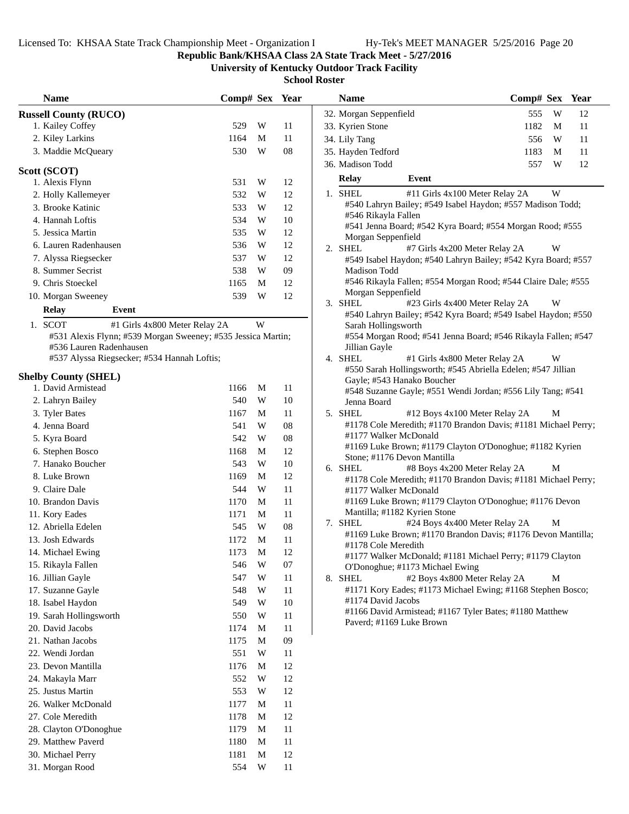### **Republic Bank/KHSAA Class 2A State Track Meet - 5/27/2016**

**University of Kentucky Outdoor Track Facility**

| <b>Name</b>                                                            | Comp# Sex Year |   |            | Comp# Sex Year<br><b>Name</b>                                                                                 |    |
|------------------------------------------------------------------------|----------------|---|------------|---------------------------------------------------------------------------------------------------------------|----|
| <b>Russell County (RUCO)</b>                                           |                |   |            | 32. Morgan Seppenfield<br>W<br>555                                                                            | 12 |
| 1. Kailey Coffey                                                       | 529            | W | 11         | 33. Kyrien Stone<br>1182<br>M                                                                                 | 11 |
| 2. Kiley Larkins                                                       | 1164           | M | 11         | 34. Lily Tang<br>556<br>W                                                                                     | 11 |
| 3. Maddie McQueary                                                     | 530            | W | ${\bf 08}$ | 35. Hayden Tedford<br>1183<br>M                                                                               | 11 |
|                                                                        |                |   |            | 557<br>W<br>36. Madison Todd                                                                                  | 12 |
| Scott (SCOT)<br>1. Alexis Flynn                                        | 531            | W | 12         | <b>Relay</b><br>Event                                                                                         |    |
| 2. Holly Kallemeyer                                                    | 532            | W | 12         | W<br>1. SHEL<br>#11 Girls 4x100 Meter Relay 2A                                                                |    |
| 3. Brooke Katinic                                                      | 533            | W | 12         | #540 Lahryn Bailey; #549 Isabel Haydon; #557 Madison Todd;                                                    |    |
| 4. Hannah Loftis                                                       | 534            | W | $10\,$     | #546 Rikayla Fallen                                                                                           |    |
|                                                                        |                |   |            | #541 Jenna Board; #542 Kyra Board; #554 Morgan Rood; #555                                                     |    |
| 5. Jessica Martin                                                      | 535            | W | 12         | Morgan Seppenfield                                                                                            |    |
| 6. Lauren Radenhausen                                                  | 536            | W | 12         | 2. SHEL<br>W<br>#7 Girls 4x200 Meter Relay 2A                                                                 |    |
| 7. Alyssa Riegsecker                                                   | 537            | W | 12         | #549 Isabel Haydon; #540 Lahryn Bailey; #542 Kyra Board; #557                                                 |    |
| 8. Summer Secrist                                                      | 538            | W | 09         | Madison Todd<br>#546 Rikayla Fallen; #554 Morgan Rood; #544 Claire Dale; #555                                 |    |
| 9. Chris Stoeckel                                                      | 1165           | M | 12         | Morgan Seppenfield                                                                                            |    |
| 10. Morgan Sweeney                                                     | 539            | W | 12         | 3. SHEL<br>#23 Girls 4x400 Meter Relay 2A<br>W                                                                |    |
| <b>Relay</b><br>Event                                                  |                |   |            | #540 Lahryn Bailey; #542 Kyra Board; #549 Isabel Haydon; #550                                                 |    |
| 1. SCOT<br>#1 Girls 4x800 Meter Relay 2A                               |                | W |            | Sarah Hollingsworth                                                                                           |    |
| #531 Alexis Flynn; #539 Morgan Sweeney; #535 Jessica Martin;           |                |   |            | #554 Morgan Rood; #541 Jenna Board; #546 Rikayla Fallen; #547                                                 |    |
| #536 Lauren Radenhausen<br>#537 Alyssa Riegsecker; #534 Hannah Loftis; |                |   |            | Jillian Gayle<br>4. SHEL<br>W                                                                                 |    |
|                                                                        |                |   |            | #1 Girls 4x800 Meter Relay 2A<br>#550 Sarah Hollingsworth; #545 Abriella Edelen; #547 Jillian                 |    |
| <b>Shelby County (SHEL)</b>                                            |                |   |            | Gayle; #543 Hanako Boucher                                                                                    |    |
| 1. David Armistead                                                     | 1166           | M | 11         | #548 Suzanne Gayle; #551 Wendi Jordan; #556 Lily Tang; #541                                                   |    |
| 2. Lahryn Bailey                                                       | 540            | W | 10         | Jenna Board                                                                                                   |    |
| 3. Tyler Bates                                                         | 1167           | M | 11         | 5. SHEL<br>#12 Boys 4x100 Meter Relay 2A<br>M                                                                 |    |
| 4. Jenna Board                                                         | 541            | W | ${\bf 08}$ | #1178 Cole Meredith; #1170 Brandon Davis; #1181 Michael Perry;                                                |    |
| 5. Kyra Board                                                          | 542            | W | ${\bf 08}$ | #1177 Walker McDonald                                                                                         |    |
| 6. Stephen Bosco                                                       | 1168           | M | 12         | #1169 Luke Brown; #1179 Clayton O'Donoghue; #1182 Kyrien<br>Stone; #1176 Devon Mantilla                       |    |
| 7. Hanako Boucher                                                      | 543            | W | 10         | #8 Boys 4x200 Meter Relay 2A<br>6. SHEL<br>M                                                                  |    |
| 8. Luke Brown                                                          | 1169           | M | 12         | #1178 Cole Meredith; #1170 Brandon Davis; #1181 Michael Perry;                                                |    |
| 9. Claire Dale                                                         | 544            | W | 11         | #1177 Walker McDonald                                                                                         |    |
| 10. Brandon Davis                                                      | 1170           | M | 11         | #1169 Luke Brown; #1179 Clayton O'Donoghue; #1176 Devon                                                       |    |
| 11. Kory Eades                                                         | 1171           | M | 11         | Mantilla; #1182 Kyrien Stone                                                                                  |    |
| 12. Abriella Edelen                                                    | 545            | W | ${\bf 08}$ | #24 Boys 4x400 Meter Relay 2A<br>M<br>7. SHEL<br>#1169 Luke Brown; #1170 Brandon Davis; #1176 Devon Mantilla; |    |
| 13. Josh Edwards                                                       | 1172           | M | 11         | #1178 Cole Meredith                                                                                           |    |
| 14. Michael Ewing                                                      | 1173           | M | 12         | #1177 Walker McDonald; #1181 Michael Perry; #1179 Clayton                                                     |    |
| 15. Rikayla Fallen                                                     | 546            | W | 07         | O'Donoghue; #1173 Michael Ewing                                                                               |    |
| 16. Jillian Gayle                                                      | 547            | W | 11         | #2 Boys 4x800 Meter Relay 2A<br>M<br>8. SHEL                                                                  |    |
| 17. Suzanne Gayle                                                      | 548            | W | 11         | #1171 Kory Eades; #1173 Michael Ewing; #1168 Stephen Bosco;                                                   |    |
| 18. Isabel Haydon                                                      | 549            | W | $10\,$     | #1174 David Jacobs                                                                                            |    |
| 19. Sarah Hollingsworth                                                | 550            | W | 11         | #1166 David Armistead; #1167 Tyler Bates; #1180 Matthew<br>Paverd; #1169 Luke Brown                           |    |
| 20. David Jacobs                                                       | 1174           | M | 11         |                                                                                                               |    |
| 21. Nathan Jacobs                                                      | 1175           | M | 09         |                                                                                                               |    |
| 22. Wendi Jordan                                                       | 551            | W | 11         |                                                                                                               |    |
| 23. Devon Mantilla                                                     | 1176           | M | 12         |                                                                                                               |    |
| 24. Makayla Marr                                                       | 552            | W | 12         |                                                                                                               |    |
| 25. Justus Martin                                                      | 553            | W | 12         |                                                                                                               |    |
| 26. Walker McDonald                                                    | 1177           | M | 11         |                                                                                                               |    |
| 27. Cole Meredith                                                      | 1178           | M | 12         |                                                                                                               |    |
| 28. Clayton O'Donoghue                                                 | 1179           | M | 11         |                                                                                                               |    |
| 29. Matthew Paverd                                                     | 1180           | M | 11         |                                                                                                               |    |
| 30. Michael Perry                                                      | 1181           | M | 12         |                                                                                                               |    |
| 31. Morgan Rood                                                        | 554            | W | 11         |                                                                                                               |    |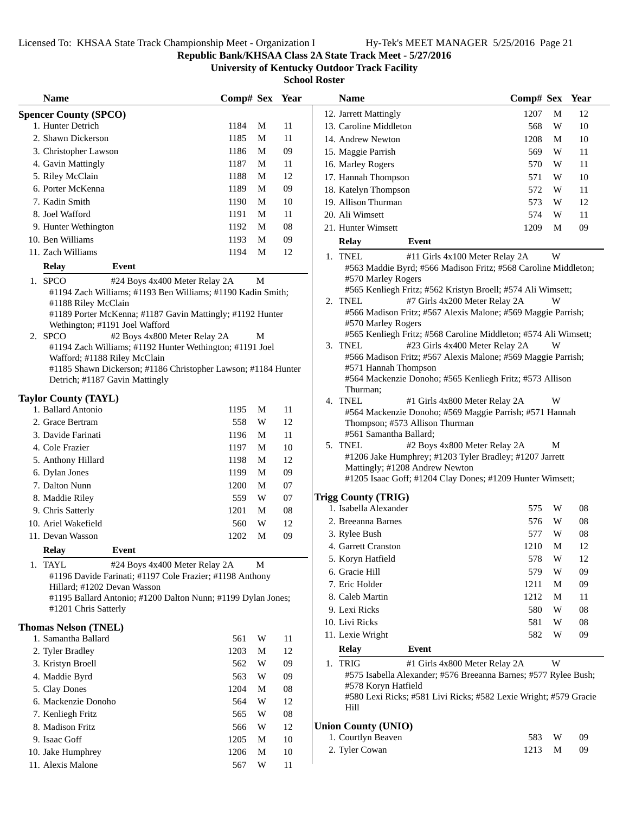**Republic Bank/KHSAA Class 2A State Track Meet - 5/27/2016**

**University of Kentucky Outdoor Track Facility**

|    | <b>Name</b>                                                                                     | Comp# Sex |   | Year |
|----|-------------------------------------------------------------------------------------------------|-----------|---|------|
|    | <b>Spencer County (SPCO)</b>                                                                    |           |   |      |
|    | 1. Hunter Detrich                                                                               | 1184      | М | 11   |
|    | 2. Shawn Dickerson                                                                              | 1185      | М | 11   |
|    | 3. Christopher Lawson                                                                           | 1186      | М | 09   |
|    | 4. Gavin Mattingly                                                                              | 1187      | М | 11   |
|    | 5. Riley McClain                                                                                | 1188      | М | 12   |
|    | 6. Porter McKenna                                                                               | 1189      | М | 09   |
|    | 7. Kadin Smith                                                                                  | 1190      | М | 10   |
|    | 8. Joel Wafford                                                                                 | 1191      | М | 11   |
|    | 9. Hunter Wethington                                                                            | 1192      | М | 08   |
|    | 10. Ben Williams                                                                                | 1193      | М | 09   |
|    | 11. Zach Williams                                                                               | 1194      | М | 12   |
|    | Event<br><b>Relay</b>                                                                           |           |   |      |
|    | 1. SPCO                                                                                         |           |   |      |
|    | #24 Boys 4x400 Meter Relay 2A<br>#1194 Zach Williams; #1193 Ben Williams; #1190 Kadin Smith;    |           | М |      |
|    | #1188 Riley McClain                                                                             |           |   |      |
|    | #1189 Porter McKenna; #1187 Gavin Mattingly; #1192 Hunter                                       |           |   |      |
|    | Wethington; #1191 Joel Wafford                                                                  |           |   |      |
|    | 2. SPCO<br>#2 Boys 4x800 Meter Relay 2A                                                         |           | M |      |
|    | #1194 Zach Williams; #1192 Hunter Wethington; #1191 Joel                                        |           |   |      |
|    | Wafford; #1188 Riley McClain                                                                    |           |   |      |
|    | #1185 Shawn Dickerson; #1186 Christopher Lawson; #1184 Hunter<br>Detrich; #1187 Gavin Mattingly |           |   |      |
|    |                                                                                                 |           |   |      |
|    | <b>Taylor County (TAYL)</b>                                                                     |           |   |      |
|    | 1. Ballard Antonio                                                                              | 1195      | М | 11   |
|    | 2. Grace Bertram                                                                                | 558       | W | 12   |
|    | 3. Davide Farinati                                                                              | 1196      | М | 11   |
|    | 4. Cole Frazier                                                                                 | 1197      | М | 10   |
|    | 5. Anthony Hillard                                                                              | 1198      | М | 12   |
|    | 6. Dylan Jones                                                                                  | 1199      | М | 09   |
|    | 7. Dalton Nunn                                                                                  | 1200      | М | 07   |
|    | 8. Maddie Riley                                                                                 | 559       | W | 07   |
|    | 9. Chris Satterly                                                                               | 1201      | М | 08   |
|    | 10. Ariel Wakefield                                                                             | 560       | W | 12   |
|    | 11. Devan Wasson                                                                                | 1202      | М | 09   |
|    | <b>Relav</b><br><b>Event</b>                                                                    |           |   |      |
| 1. | <b>TAYL</b><br>#24 Boys 4x400 Meter Relay 2A                                                    |           | М |      |
|    | #1196 Davide Farinati; #1197 Cole Frazier; #1198 Anthony                                        |           |   |      |
|    | Hillard; #1202 Devan Wasson                                                                     |           |   |      |
|    | #1195 Ballard Antonio; #1200 Dalton Nunn; #1199 Dylan Jones;                                    |           |   |      |
|    | #1201 Chris Satterly                                                                            |           |   |      |
|    | <b>Thomas Nelson (TNEL)</b>                                                                     |           |   |      |
|    | 1. Samantha Ballard                                                                             | 561       | W | 11   |
|    | 2. Tyler Bradley                                                                                | 1203      | М | 12   |
|    | 3. Kristyn Broell                                                                               | 562       | W | 09   |
|    | 4. Maddie Byrd                                                                                  | 563       | W | 09   |
|    | 5. Clay Dones                                                                                   | 1204      | М | 08   |
|    | 6. Mackenzie Donoho                                                                             | 564       | W | 12   |
|    | 7. Kenliegh Fritz                                                                               | 565       | W | 08   |
|    | 8. Madison Fritz                                                                                | 566       | W | 12   |
|    | 9. Isaac Goff                                                                                   | 1205      | М | 10   |
|    | 10. Jake Humphrey                                                                               | 1206      | М | 10   |
|    | 11. Alexis Malone                                                                               | 567       | W | 11   |
|    |                                                                                                 |           |   |      |

| Name                                                                                          | Comp# Sex Year |   |            | <b>Name</b>                                                                                                  | Comp# Sex Year |             |    |
|-----------------------------------------------------------------------------------------------|----------------|---|------------|--------------------------------------------------------------------------------------------------------------|----------------|-------------|----|
| er County (SPCO)                                                                              |                |   |            | 12. Jarrett Mattingly                                                                                        | 1207           | M           | 12 |
| Hunter Detrich                                                                                | 1184           | M | 11         | 13. Caroline Middleton                                                                                       | 568            | W           | 10 |
| <b>Shawn Dickerson</b>                                                                        | 1185           | M | 11         | 14. Andrew Newton                                                                                            | 1208           | M           | 10 |
| Christopher Lawson                                                                            | 1186           | M | 09         | 15. Maggie Parrish                                                                                           | 569            | W           | 11 |
| <b>Gavin Mattingly</b>                                                                        | 1187           | M | 11         | 16. Marley Rogers                                                                                            | 570            | W           | 11 |
| Riley McClain                                                                                 | 1188           | M | 12         | 17. Hannah Thompson                                                                                          | 571            | W           | 10 |
| Porter McKenna                                                                                | 1189           | M | 09         | 18. Katelyn Thompson                                                                                         | 572            | W           | 11 |
| Kadin Smith                                                                                   | 1190           | M | 10         | 19. Allison Thurman                                                                                          | 573            | W           | 12 |
| Joel Wafford                                                                                  | 1191           | M | 11         | 20. Ali Wimsett                                                                                              | 574            | W           | 11 |
| Hunter Wethington                                                                             | 1192           | M | 08         | 21. Hunter Wimsett                                                                                           | 1209           | M           | 09 |
| Ben Williams                                                                                  | 1193           | M | 09         | <b>Relay</b><br>Event                                                                                        |                |             |    |
| Zach Williams                                                                                 | 1194           | M | 12         | 1. TNEL<br>#11 Girls 4x100 Meter Relay 2A                                                                    |                | W           |    |
| Relay<br>Event                                                                                |                |   |            | #563 Maddie Byrd; #566 Madison Fritz; #568 Caroline Middleton;                                               |                |             |    |
| SPCO<br>#24 Boys 4x400 Meter Relay 2A                                                         |                | M |            | #570 Marley Rogers                                                                                           |                |             |    |
| #1194 Zach Williams; #1193 Ben Williams; #1190 Kadin Smith;                                   |                |   |            | #565 Kenliegh Fritz; #562 Kristyn Broell; #574 Ali Wimsett;                                                  |                |             |    |
| #1188 Riley McClain                                                                           |                |   |            | #7 Girls 4x200 Meter Relay 2A<br>2. TNEL                                                                     |                | W           |    |
| #1189 Porter McKenna; #1187 Gavin Mattingly; #1192 Hunter                                     |                |   |            | #566 Madison Fritz; #567 Alexis Malone; #569 Maggie Parrish;                                                 |                |             |    |
| Wethington; #1191 Joel Wafford                                                                |                |   |            | #570 Marley Rogers                                                                                           |                |             |    |
| SPCO<br>#2 Boys 4x800 Meter Relay 2A                                                          |                | M |            | #565 Kenliegh Fritz; #568 Caroline Middleton; #574 Ali Wimsett;<br>3. TNEL<br>#23 Girls 4x400 Meter Relay 2A |                | W           |    |
| #1194 Zach Williams; #1192 Hunter Wethington; #1191 Joel                                      |                |   |            | #566 Madison Fritz; #567 Alexis Malone; #569 Maggie Parrish;                                                 |                |             |    |
| Wafford; #1188 Riley McClain<br>#1185 Shawn Dickerson; #1186 Christopher Lawson; #1184 Hunter |                |   |            | #571 Hannah Thompson                                                                                         |                |             |    |
| Detrich; #1187 Gavin Mattingly                                                                |                |   |            | #564 Mackenzie Donoho; #565 Kenliegh Fritz; #573 Allison                                                     |                |             |    |
|                                                                                               |                |   |            | Thurman;                                                                                                     |                |             |    |
| r County (TAYL)                                                                               |                |   |            | 4. TNEL<br>#1 Girls 4x800 Meter Relay 2A                                                                     |                | W           |    |
| <b>Ballard Antonio</b>                                                                        | 1195           | M | 11         | #564 Mackenzie Donoho; #569 Maggie Parrish; #571 Hannah                                                      |                |             |    |
| Grace Bertram                                                                                 | 558            | W | 12         | Thompson; #573 Allison Thurman                                                                               |                |             |    |
| Davide Farinati                                                                               | 1196           | M | 11         | #561 Samantha Ballard;                                                                                       |                |             |    |
| Cole Frazier                                                                                  | 1197           | M | 10         | 5. TNEL<br>#2 Boys 4x800 Meter Relay 2A<br>#1206 Jake Humphrey; #1203 Tyler Bradley; #1207 Jarrett           |                | М           |    |
| Anthony Hillard                                                                               | 1198           | M | 12         | Mattingly; #1208 Andrew Newton                                                                               |                |             |    |
| Dylan Jones                                                                                   | 1199           | M | 09         | #1205 Isaac Goff; #1204 Clay Dones; #1209 Hunter Wimsett;                                                    |                |             |    |
| Dalton Nunn                                                                                   | 1200           | M | 07         |                                                                                                              |                |             |    |
| Maddie Riley                                                                                  | 559            | W | 07         | <b>Trigg County (TRIG)</b>                                                                                   |                |             |    |
| Chris Satterly                                                                                | 1201           | M | 08         | 1. Isabella Alexander                                                                                        | 575            | W           | 08 |
| Ariel Wakefield                                                                               | 560            | W | 12         | 2. Breeanna Barnes                                                                                           | 576            | W           | 08 |
| Devan Wasson                                                                                  | 1202           | M | 09         | 3. Rylee Bush                                                                                                | 577            | W           | 08 |
| <b>Relay</b><br><b>Event</b>                                                                  |                |   |            | 4. Garrett Cranston                                                                                          | 1210           | $\mathbf M$ | 12 |
| TAYL<br>#24 Boys 4x400 Meter Relay 2A                                                         |                | M |            | 5. Koryn Hatfield                                                                                            | 578            | W           | 12 |
| #1196 Davide Farinati; #1197 Cole Frazier; #1198 Anthony                                      |                |   |            | 6. Gracie Hill                                                                                               | 579            | W           | 09 |
| Hillard; #1202 Devan Wasson                                                                   |                |   |            | 7. Eric Holder                                                                                               | 1211           | M           | 09 |
| #1195 Ballard Antonio; #1200 Dalton Nunn; #1199 Dylan Jones;                                  |                |   |            | 8. Caleb Martin                                                                                              | 1212           | M           | 11 |
| #1201 Chris Satterly                                                                          |                |   |            | 9. Lexi Ricks                                                                                                | 580            | W           | 08 |
| as Nelson (TNEL)                                                                              |                |   |            | 10. Livi Ricks                                                                                               | 581            | W           | 08 |
| Samantha Ballard                                                                              | 561            | W | 11         | 11. Lexie Wright                                                                                             | 582            | W           | 09 |
| <b>Tyler Bradley</b>                                                                          | 1203           | M | 12         | <b>Relay</b><br>Event                                                                                        |                |             |    |
| Kristyn Broell                                                                                | 562            | W | 09         | #1 Girls 4x800 Meter Relay 2A<br>1. TRIG                                                                     |                | W           |    |
| Maddie Byrd                                                                                   | 563            | W | 09         | #575 Isabella Alexander; #576 Breeanna Barnes; #577 Rylee Bush;                                              |                |             |    |
| <b>Clay Dones</b>                                                                             | 1204           | M | 08         | #578 Koryn Hatfield                                                                                          |                |             |    |
| Mackenzie Donoho                                                                              | 564            | W | 12         | #580 Lexi Ricks; #581 Livi Ricks; #582 Lexie Wright; #579 Gracie                                             |                |             |    |
| Kenliegh Fritz                                                                                | 565            | W | ${\bf 08}$ | Hill                                                                                                         |                |             |    |
| <b>Madison Fritz</b>                                                                          | 566            | W | 12         | <b>Union County (UNIO)</b>                                                                                   |                |             |    |
| Isaac Goff                                                                                    | 1205           | M | 10         | 1. Courtlyn Beaven                                                                                           | 583            | W           | 09 |
| Jake Humphrev                                                                                 | 1206 M         |   | 10         | 2. Tyler Cowan                                                                                               | 1213           | M           | 09 |
|                                                                                               |                |   |            |                                                                                                              |                |             |    |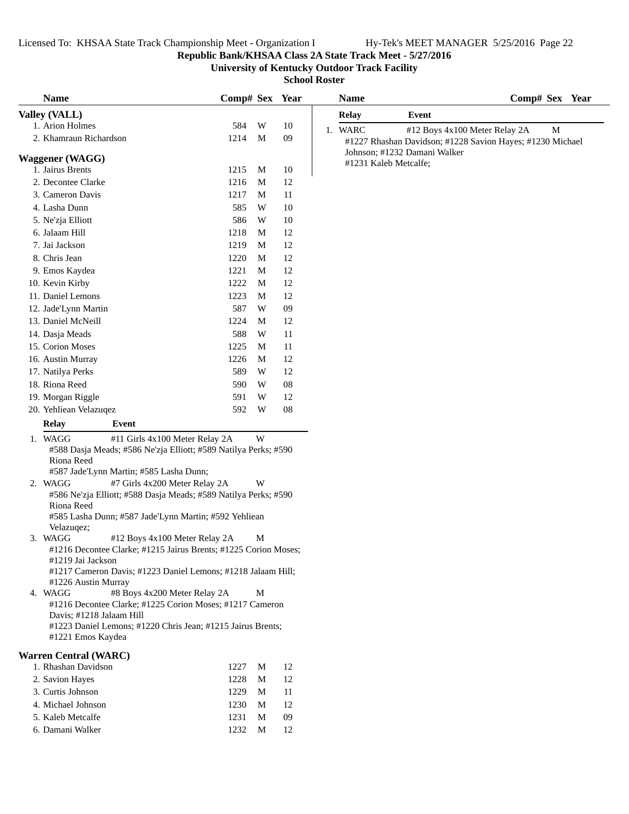### **Republic Bank/KHSAA Class 2A State Track Meet - 5/27/2016**

**University of Kentucky Outdoor Track Facility**

| <b>Name</b>                                | Comp# Sex Year                                                  |   |        | <b>Name</b>           | Comp# Sex Year                                            |
|--------------------------------------------|-----------------------------------------------------------------|---|--------|-----------------------|-----------------------------------------------------------|
| Valley (VALL)                              |                                                                 |   |        | Relay                 | Event                                                     |
| 1. Arion Holmes                            | 584                                                             | W | 10     | 1. WARC               | #12 Boys 4x100 Meter Relay 2A<br>M                        |
| 2. Khamraun Richardson                     | 1214                                                            | M | 09     |                       | #1227 Rhashan Davidson; #1228 Savion Hayes; #1230 Michael |
|                                            |                                                                 |   |        |                       | Johnson; #1232 Damani Walker                              |
| <b>Waggener</b> (WAGG)<br>1. Jairus Brents | 1215                                                            | M | 10     | #1231 Kaleb Metcalfe; |                                                           |
| 2. Decontee Clarke                         | 1216                                                            | M | 12     |                       |                                                           |
| 3. Cameron Davis                           | 1217                                                            | M | 11     |                       |                                                           |
| 4. Lasha Dunn                              | 585                                                             | W | 10     |                       |                                                           |
| 5. Ne'zja Elliott                          | 586                                                             | W | 10     |                       |                                                           |
| 6. Jalaam Hill                             | 1218                                                            | M | 12     |                       |                                                           |
| 7. Jai Jackson                             | 1219                                                            | M | 12     |                       |                                                           |
| 8. Chris Jean                              | 1220                                                            | M | 12     |                       |                                                           |
| 9. Emos Kaydea                             | 1221                                                            | M | $12\,$ |                       |                                                           |
| 10. Kevin Kirby                            | 1222                                                            | M | 12     |                       |                                                           |
| 11. Daniel Lemons                          | 1223                                                            | M | 12     |                       |                                                           |
| 12. Jade'Lynn Martin                       | 587                                                             | W | 09     |                       |                                                           |
| 13. Daniel McNeill                         | 1224                                                            | M | 12     |                       |                                                           |
| 14. Dasja Meads                            | 588                                                             | W | 11     |                       |                                                           |
| 15. Corion Moses                           | 1225                                                            | M | 11     |                       |                                                           |
| 16. Austin Murray                          | 1226                                                            | M | 12     |                       |                                                           |
| 17. Natilya Perks                          | 589                                                             | W | 12     |                       |                                                           |
| 18. Riona Reed                             | 590                                                             | W | 08     |                       |                                                           |
| 19. Morgan Riggle                          | 591                                                             | W | 12     |                       |                                                           |
| 20. Yehliean Velazuqez                     | 592                                                             | W | 08     |                       |                                                           |
| <b>Relay</b><br>Event                      |                                                                 |   |        |                       |                                                           |
| 1. WAGG                                    | #11 Girls 4x100 Meter Relay 2A                                  | W |        |                       |                                                           |
|                                            | #588 Dasja Meads; #586 Ne'zja Elliott; #589 Natilya Perks; #590 |   |        |                       |                                                           |
| Riona Reed                                 |                                                                 |   |        |                       |                                                           |
| #587 Jade'Lynn Martin; #585 Lasha Dunn;    |                                                                 |   |        |                       |                                                           |
| 2. WAGG                                    | #7 Girls 4x200 Meter Relay 2A                                   | W |        |                       |                                                           |
|                                            | #586 Ne'zja Elliott; #588 Dasja Meads; #589 Natilya Perks; #590 |   |        |                       |                                                           |
| Riona Reed                                 | #585 Lasha Dunn; #587 Jade'Lynn Martin; #592 Yehliean           |   |        |                       |                                                           |
| Velazuqez;                                 |                                                                 |   |        |                       |                                                           |
| 3. WAGG                                    | #12 Boys 4x100 Meter Relay 2A                                   | M |        |                       |                                                           |
|                                            | #1216 Decontee Clarke; #1215 Jairus Brents; #1225 Corion Moses; |   |        |                       |                                                           |
| #1219 Jai Jackson                          |                                                                 |   |        |                       |                                                           |
| #1226 Austin Murray                        | #1217 Cameron Davis; #1223 Daniel Lemons; #1218 Jalaam Hill;    |   |        |                       |                                                           |
| 4. WAGG                                    | #8 Boys 4x200 Meter Relay 2A                                    | M |        |                       |                                                           |
|                                            | #1216 Decontee Clarke; #1225 Corion Moses; #1217 Cameron        |   |        |                       |                                                           |
| Davis; #1218 Jalaam Hill                   |                                                                 |   |        |                       |                                                           |
|                                            | #1223 Daniel Lemons; #1220 Chris Jean; #1215 Jairus Brents;     |   |        |                       |                                                           |
| #1221 Emos Kaydea                          |                                                                 |   |        |                       |                                                           |
| <b>Warren Central (WARC)</b>               |                                                                 |   |        |                       |                                                           |
| 1. Rhashan Davidson                        | 1227                                                            | M | 12     |                       |                                                           |
| 2. Savion Hayes                            | 1228                                                            | M | 12     |                       |                                                           |
| 3. Curtis Johnson                          | 1229                                                            | M | 11     |                       |                                                           |
| 4. Michael Johnson                         | 1230                                                            | M | 12     |                       |                                                           |
| 5. Kaleb Metcalfe                          | 1231                                                            | M | 09     |                       |                                                           |
| 6. Damani Walker                           | 1232                                                            | M | 12     |                       |                                                           |
|                                            |                                                                 |   |        |                       |                                                           |
|                                            |                                                                 |   |        |                       |                                                           |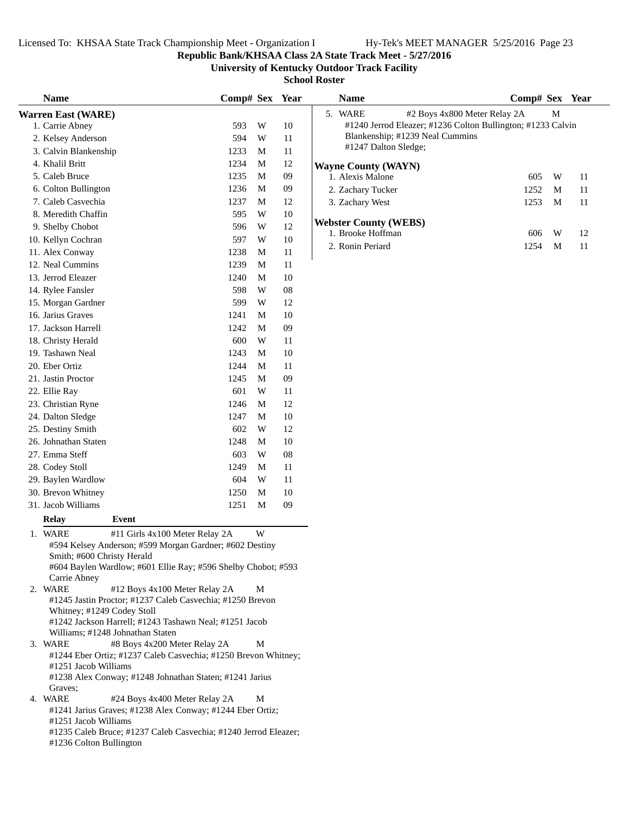**Republic Bank/KHSAA Class 2A State Track Meet - 5/27/2016**

**University of Kentucky Outdoor Track Facility**

| <b>Name</b>                |                                                                  | Comp# Sex Year |   |    | <b>Name</b>                                                 | Comp# Sex Year |    |
|----------------------------|------------------------------------------------------------------|----------------|---|----|-------------------------------------------------------------|----------------|----|
| <b>Warren East (WARE)</b>  |                                                                  |                |   |    | 5. WARE<br>#2 Boys 4x800 Meter Relay 2A                     | M              |    |
| 1. Carrie Abney            |                                                                  | 593            | W | 10 | #1240 Jerrod Eleazer; #1236 Colton Bullington; #1233 Calvin |                |    |
| 2. Kelsey Anderson         |                                                                  | 594            | W | 11 | Blankenship; #1239 Neal Cummins                             |                |    |
| 3. Calvin Blankenship      |                                                                  | 1233           | M | 11 | #1247 Dalton Sledge;                                        |                |    |
| 4. Khalil Britt            |                                                                  | 1234           | M | 12 | <b>Wayne County (WAYN)</b>                                  |                |    |
| 5. Caleb Bruce             |                                                                  | 1235           | M | 09 | 1. Alexis Malone                                            | W<br>605       | 11 |
| 6. Colton Bullington       |                                                                  | 1236           | M | 09 | 2. Zachary Tucker                                           | 1252<br>M      | 11 |
| 7. Caleb Casvechia         |                                                                  | 1237           | M | 12 | 3. Zachary West                                             | 1253<br>M      | 11 |
| 8. Meredith Chaffin        |                                                                  | 595            | W | 10 |                                                             |                |    |
| 9. Shelby Chobot           |                                                                  | 596            | W | 12 | <b>Webster County (WEBS)</b>                                |                |    |
| 10. Kellyn Cochran         |                                                                  | 597            | W | 10 | 1. Brooke Hoffman                                           | 606<br>W       | 12 |
| 11. Alex Conway            |                                                                  | 1238           | M | 11 | 2. Ronin Periard                                            | 1254<br>M      | 11 |
| 12. Neal Cummins           |                                                                  | 1239           | M | 11 |                                                             |                |    |
| 13. Jerrod Eleazer         |                                                                  | 1240           | M | 10 |                                                             |                |    |
| 14. Rylee Fansler          |                                                                  | 598            | W | 08 |                                                             |                |    |
| 15. Morgan Gardner         |                                                                  | 599            | W | 12 |                                                             |                |    |
| 16. Jarius Graves          |                                                                  | 1241           | M | 10 |                                                             |                |    |
| 17. Jackson Harrell        |                                                                  | 1242           | M | 09 |                                                             |                |    |
| 18. Christy Herald         |                                                                  | 600            | W | 11 |                                                             |                |    |
| 19. Tashawn Neal           |                                                                  | 1243           | M | 10 |                                                             |                |    |
| 20. Eber Ortiz             |                                                                  | 1244           | M | 11 |                                                             |                |    |
| 21. Jastin Proctor         |                                                                  | 1245           | M | 09 |                                                             |                |    |
| 22. Ellie Ray              |                                                                  | 601            | W | 11 |                                                             |                |    |
| 23. Christian Ryne         |                                                                  | 1246           | M | 12 |                                                             |                |    |
| 24. Dalton Sledge          |                                                                  | 1247           | M | 10 |                                                             |                |    |
| 25. Destiny Smith          |                                                                  | 602            | W | 12 |                                                             |                |    |
| 26. Johnathan Staten       |                                                                  | 1248           | M | 10 |                                                             |                |    |
| 27. Emma Steff             |                                                                  | 603            | W | 08 |                                                             |                |    |
| 28. Codey Stoll            |                                                                  | 1249           | M | 11 |                                                             |                |    |
| 29. Baylen Wardlow         |                                                                  | 604            | W | 11 |                                                             |                |    |
| 30. Brevon Whitney         |                                                                  | 1250           | M | 10 |                                                             |                |    |
| 31. Jacob Williams         |                                                                  | 1251           | M | 09 |                                                             |                |    |
| <b>Relay</b>               | Event                                                            |                |   |    |                                                             |                |    |
|                            |                                                                  |                |   |    |                                                             |                |    |
| 1. WARE                    | #11 Girls 4x100 Meter Relay 2A                                   |                | W |    |                                                             |                |    |
| Smith; #600 Christy Herald | #594 Kelsey Anderson; #599 Morgan Gardner; #602 Destiny          |                |   |    |                                                             |                |    |
|                            | #604 Baylen Wardlow; #601 Ellie Ray; #596 Shelby Chobot; #593    |                |   |    |                                                             |                |    |
| Carrie Abney               |                                                                  |                |   |    |                                                             |                |    |
| 2. WARE                    | #12 Boys 4x100 Meter Relay 2A                                    |                | M |    |                                                             |                |    |
|                            | #1245 Jastin Proctor; #1237 Caleb Casvechia; #1250 Brevon        |                |   |    |                                                             |                |    |
| Whitney; #1249 Codey Stoll |                                                                  |                |   |    |                                                             |                |    |
|                            | #1242 Jackson Harrell; #1243 Tashawn Neal; #1251 Jacob           |                |   |    |                                                             |                |    |
| 3. WARE                    | Williams; #1248 Johnathan Staten<br>#8 Boys 4x200 Meter Relay 2A |                | M |    |                                                             |                |    |
|                            | #1244 Eber Ortiz; #1237 Caleb Casvechia; #1250 Brevon Whitney;   |                |   |    |                                                             |                |    |
| #1251 Jacob Williams       |                                                                  |                |   |    |                                                             |                |    |
|                            | #1238 Alex Conway; #1248 Johnathan Staten; #1241 Jarius          |                |   |    |                                                             |                |    |
| Graves;                    |                                                                  |                |   |    |                                                             |                |    |
| 4. WARE                    | #24 Boys 4x400 Meter Relay 2A                                    |                | M |    |                                                             |                |    |
|                            | #1241 Jarius Graves; #1238 Alex Conway; #1244 Eber Ortiz;        |                |   |    |                                                             |                |    |
| #1251 Jacob Williams       |                                                                  |                |   |    |                                                             |                |    |
| #1236 Colton Bullington    | #1235 Caleb Bruce; #1237 Caleb Casvechia; #1240 Jerrod Eleazer;  |                |   |    |                                                             |                |    |
|                            |                                                                  |                |   |    |                                                             |                |    |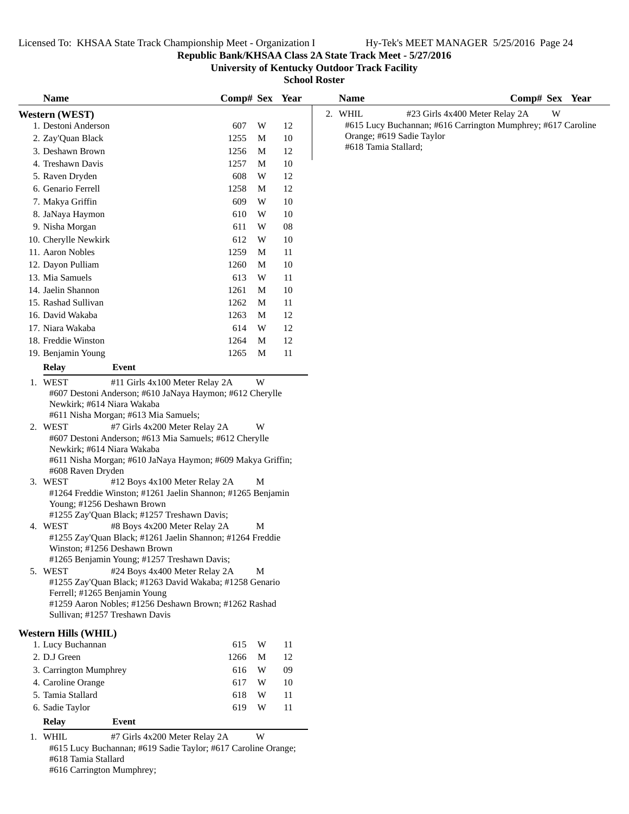**Republic Bank/KHSAA Class 2A State Track Meet - 5/27/2016**

**University of Kentucky Outdoor Track Facility**

**School Roster**

| <b>Name</b>                                                                                                                                                                                                                                                                                                                                                                                                                                                                                                                                                                                                                                                                                                                                                                                                                                                                                                                                                             | Comp# Sex Year |                  |    | <b>Name</b>               | Comp# Sex Year                                               |
|-------------------------------------------------------------------------------------------------------------------------------------------------------------------------------------------------------------------------------------------------------------------------------------------------------------------------------------------------------------------------------------------------------------------------------------------------------------------------------------------------------------------------------------------------------------------------------------------------------------------------------------------------------------------------------------------------------------------------------------------------------------------------------------------------------------------------------------------------------------------------------------------------------------------------------------------------------------------------|----------------|------------------|----|---------------------------|--------------------------------------------------------------|
| Western (WEST)                                                                                                                                                                                                                                                                                                                                                                                                                                                                                                                                                                                                                                                                                                                                                                                                                                                                                                                                                          |                |                  |    | 2. WHIL                   | #23 Girls 4x400 Meter Relay 2A<br>W                          |
| 1. Destoni Anderson                                                                                                                                                                                                                                                                                                                                                                                                                                                                                                                                                                                                                                                                                                                                                                                                                                                                                                                                                     |                | W                | 12 |                           | #615 Lucy Buchannan; #616 Carrington Mumphrey; #617 Caroline |
| 2. Zay'Quan Black                                                                                                                                                                                                                                                                                                                                                                                                                                                                                                                                                                                                                                                                                                                                                                                                                                                                                                                                                       | 1255           | M                | 10 | Orange; #619 Sadie Taylor |                                                              |
| 3. Deshawn Brown                                                                                                                                                                                                                                                                                                                                                                                                                                                                                                                                                                                                                                                                                                                                                                                                                                                                                                                                                        | 1256           | M                | 12 | #618 Tamia Stallard;      |                                                              |
| 4. Treshawn Davis                                                                                                                                                                                                                                                                                                                                                                                                                                                                                                                                                                                                                                                                                                                                                                                                                                                                                                                                                       | 1257           | M                | 10 |                           |                                                              |
| 5. Raven Dryden                                                                                                                                                                                                                                                                                                                                                                                                                                                                                                                                                                                                                                                                                                                                                                                                                                                                                                                                                         | 608            | W                | 12 |                           |                                                              |
| 6. Genario Ferrell                                                                                                                                                                                                                                                                                                                                                                                                                                                                                                                                                                                                                                                                                                                                                                                                                                                                                                                                                      | 1258           | M                | 12 |                           |                                                              |
| 7. Makya Griffin                                                                                                                                                                                                                                                                                                                                                                                                                                                                                                                                                                                                                                                                                                                                                                                                                                                                                                                                                        | 609            | W                | 10 |                           |                                                              |
| 8. JaNaya Haymon                                                                                                                                                                                                                                                                                                                                                                                                                                                                                                                                                                                                                                                                                                                                                                                                                                                                                                                                                        | 610            | W                | 10 |                           |                                                              |
| 9. Nisha Morgan                                                                                                                                                                                                                                                                                                                                                                                                                                                                                                                                                                                                                                                                                                                                                                                                                                                                                                                                                         | 611            | W                | 08 |                           |                                                              |
| 10. Cherylle Newkirk                                                                                                                                                                                                                                                                                                                                                                                                                                                                                                                                                                                                                                                                                                                                                                                                                                                                                                                                                    | 612            | W                | 10 |                           |                                                              |
| 11. Aaron Nobles                                                                                                                                                                                                                                                                                                                                                                                                                                                                                                                                                                                                                                                                                                                                                                                                                                                                                                                                                        | 1259           | M                | 11 |                           |                                                              |
| 12. Dayon Pulliam                                                                                                                                                                                                                                                                                                                                                                                                                                                                                                                                                                                                                                                                                                                                                                                                                                                                                                                                                       | 1260           | M                | 10 |                           |                                                              |
| 13. Mia Samuels                                                                                                                                                                                                                                                                                                                                                                                                                                                                                                                                                                                                                                                                                                                                                                                                                                                                                                                                                         | 613            | W                | 11 |                           |                                                              |
| 14. Jaelin Shannon                                                                                                                                                                                                                                                                                                                                                                                                                                                                                                                                                                                                                                                                                                                                                                                                                                                                                                                                                      | 1261           | M                | 10 |                           |                                                              |
| 15. Rashad Sullivan                                                                                                                                                                                                                                                                                                                                                                                                                                                                                                                                                                                                                                                                                                                                                                                                                                                                                                                                                     | 1262           | М                | 11 |                           |                                                              |
| 16. David Wakaba                                                                                                                                                                                                                                                                                                                                                                                                                                                                                                                                                                                                                                                                                                                                                                                                                                                                                                                                                        | 1263           | M                | 12 |                           |                                                              |
| 17. Niara Wakaba                                                                                                                                                                                                                                                                                                                                                                                                                                                                                                                                                                                                                                                                                                                                                                                                                                                                                                                                                        | 614            | W                | 12 |                           |                                                              |
| 18. Freddie Winston                                                                                                                                                                                                                                                                                                                                                                                                                                                                                                                                                                                                                                                                                                                                                                                                                                                                                                                                                     | 1264           | M                | 12 |                           |                                                              |
| 19. Benjamin Young                                                                                                                                                                                                                                                                                                                                                                                                                                                                                                                                                                                                                                                                                                                                                                                                                                                                                                                                                      | 1265           | M                | 11 |                           |                                                              |
| <b>Relay</b><br>Event                                                                                                                                                                                                                                                                                                                                                                                                                                                                                                                                                                                                                                                                                                                                                                                                                                                                                                                                                   |                |                  |    |                           |                                                              |
| 1. WEST<br>#11 Girls 4x100 Meter Relay 2A                                                                                                                                                                                                                                                                                                                                                                                                                                                                                                                                                                                                                                                                                                                                                                                                                                                                                                                               |                | W                |    |                           |                                                              |
| #607 Destoni Anderson; #610 JaNaya Haymon; #612 Cherylle<br>Newkirk; #614 Niara Wakaba<br>#611 Nisha Morgan; #613 Mia Samuels;<br>2. WEST<br>#7 Girls 4x200 Meter Relay 2A<br>#607 Destoni Anderson; #613 Mia Samuels; #612 Cherylle<br>Newkirk; #614 Niara Wakaba<br>#611 Nisha Morgan; #610 JaNaya Haymon; #609 Makya Griffin;<br>#608 Raven Dryden<br>3. WEST<br>#12 Boys 4x100 Meter Relay 2A<br>#1264 Freddie Winston; #1261 Jaelin Shannon; #1265 Benjamin<br>Young; #1256 Deshawn Brown<br>#1255 Zay'Quan Black; #1257 Treshawn Davis;<br>4. WEST<br>#8 Boys 4x200 Meter Relay 2A<br>#1255 Zay'Quan Black; #1261 Jaelin Shannon; #1264 Freddie<br>Winston: #1256 Deshawn Brown<br>#1265 Benjamin Young; #1257 Treshawn Davis;<br>#24 Boys 4x400 Meter Relay 2A<br>5. WEST<br>#1255 Zay'Quan Black; #1263 David Wakaba; #1258 Genario<br>Ferrell; #1265 Benjamin Young<br>#1259 Aaron Nobles; #1256 Deshawn Brown; #1262 Rashad<br>Sullivan; #1257 Treshawn Davis |                | W<br>М<br>M<br>M |    |                           |                                                              |
| <b>Western Hills (WHIL)</b>                                                                                                                                                                                                                                                                                                                                                                                                                                                                                                                                                                                                                                                                                                                                                                                                                                                                                                                                             |                |                  |    |                           |                                                              |
| 1. Lucy Buchannan                                                                                                                                                                                                                                                                                                                                                                                                                                                                                                                                                                                                                                                                                                                                                                                                                                                                                                                                                       | 615            | W                | 11 |                           |                                                              |
| 2. D.J Green                                                                                                                                                                                                                                                                                                                                                                                                                                                                                                                                                                                                                                                                                                                                                                                                                                                                                                                                                            | 1266           | M                | 12 |                           |                                                              |
| 3. Carrington Mumphrey                                                                                                                                                                                                                                                                                                                                                                                                                                                                                                                                                                                                                                                                                                                                                                                                                                                                                                                                                  | 616            | W                | 09 |                           |                                                              |
| 4. Caroline Orange                                                                                                                                                                                                                                                                                                                                                                                                                                                                                                                                                                                                                                                                                                                                                                                                                                                                                                                                                      | 617            | W                | 10 |                           |                                                              |
| 5. Tamia Stallard                                                                                                                                                                                                                                                                                                                                                                                                                                                                                                                                                                                                                                                                                                                                                                                                                                                                                                                                                       | 618            | W                | 11 |                           |                                                              |
| 6. Sadie Taylor                                                                                                                                                                                                                                                                                                                                                                                                                                                                                                                                                                                                                                                                                                                                                                                                                                                                                                                                                         | 619            | W                | 11 |                           |                                                              |
| <b>Relay</b><br>Event                                                                                                                                                                                                                                                                                                                                                                                                                                                                                                                                                                                                                                                                                                                                                                                                                                                                                                                                                   |                |                  |    |                           |                                                              |
| 1. WHIL<br>#7 Girls 4x200 Meter Relay 2A                                                                                                                                                                                                                                                                                                                                                                                                                                                                                                                                                                                                                                                                                                                                                                                                                                                                                                                                |                | W                |    |                           |                                                              |
| #615 Lucy Buchannan; #619 Sadie Taylor; #617 Caroline Orange;                                                                                                                                                                                                                                                                                                                                                                                                                                                                                                                                                                                                                                                                                                                                                                                                                                                                                                           |                |                  |    |                           |                                                              |

#618 Tamia Stallard

#616 Carrington Mumphrey;